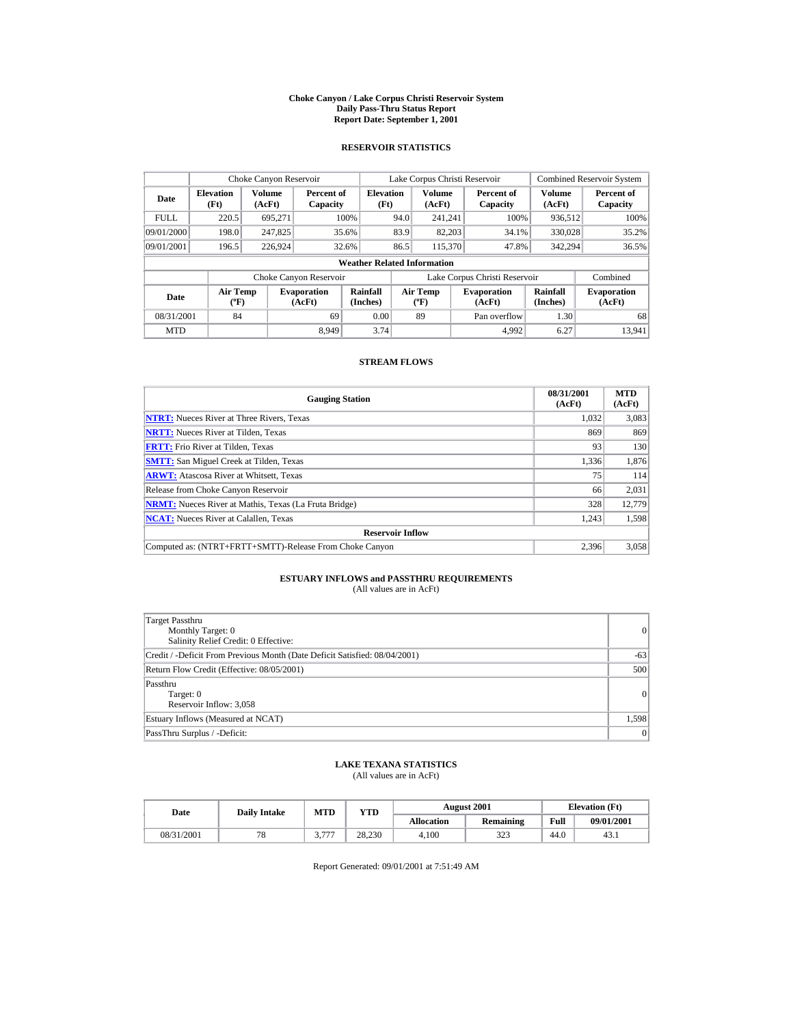#### **Choke Canyon / Lake Corpus Christi Reservoir System Daily Pass-Thru Status Report Report Date: September 1, 2001**

### **RESERVOIR STATISTICS**

|             | Choke Canyon Reservoir                      |                  |                              |                                    |      | Lake Corpus Christi Reservoir    |                               |                             | <b>Combined Reservoir System</b> |
|-------------|---------------------------------------------|------------------|------------------------------|------------------------------------|------|----------------------------------|-------------------------------|-----------------------------|----------------------------------|
| Date        | <b>Elevation</b><br>(Ft)                    | Volume<br>(AcFt) | Percent of<br>Capacity       | <b>Elevation</b><br>(Ft)           |      | <b>Volume</b><br>(AcFt)          | Percent of<br>Capacity        | Volume<br>(AcFt)            | Percent of<br>Capacity           |
| <b>FULL</b> | 220.5                                       | 695.271          |                              | 100%                               | 94.0 | 241.241                          | 100%                          | 936.512                     | 100%                             |
| 09/01/2000  | 198.0                                       | 247,825          |                              | 35.6%                              | 83.9 | 82.203                           | 34.1%                         | 330,028                     | 35.2%                            |
| 09/01/2001  | 196.5                                       | 226.924          |                              | 32.6%                              | 86.5 | 115,370                          | 47.8%                         | 342,294                     | 36.5%                            |
|             |                                             |                  |                              | <b>Weather Related Information</b> |      |                                  |                               |                             |                                  |
|             |                                             |                  | Choke Canyon Reservoir       |                                    |      |                                  | Lake Corpus Christi Reservoir |                             | Combined                         |
| Date        | <b>Air Temp</b><br>$({}^{\circ}\mathrm{F})$ |                  | <b>Evaporation</b><br>(AcFt) | Rainfall<br>(Inches)               |      | <b>Air Temp</b><br>$(^{\circ}F)$ | <b>Evaporation</b><br>(AcFt)  | <b>Rainfall</b><br>(Inches) | <b>Evaporation</b><br>(AcFt)     |
| 08/31/2001  | 84                                          |                  | 69                           | 0.00                               |      | 89                               | Pan overflow                  | 1.30                        | 68                               |
| <b>MTD</b>  |                                             |                  | 8.949                        | 3.74                               |      |                                  | 4.992                         | 6.27                        | 13.941                           |

### **STREAM FLOWS**

| <b>Gauging Station</b>                                       | 08/31/2001<br>(AcFt) | <b>MTD</b><br>(AcFt) |
|--------------------------------------------------------------|----------------------|----------------------|
| <b>NTRT:</b> Nueces River at Three Rivers, Texas             | 1.032                | 3,083                |
| <b>NRTT:</b> Nueces River at Tilden, Texas                   | 869                  | 869                  |
| <b>FRTT:</b> Frio River at Tilden, Texas                     | 93                   | 130                  |
| <b>SMTT:</b> San Miguel Creek at Tilden, Texas               | 1,336                | 1,876                |
| <b>ARWT:</b> Atascosa River at Whitsett, Texas               | 75                   | 114                  |
| Release from Choke Canyon Reservoir                          | 66                   | 2,031                |
| <b>NRMT:</b> Nueces River at Mathis, Texas (La Fruta Bridge) | 328                  | 12,779               |
| <b>NCAT:</b> Nueces River at Calallen, Texas                 | 1,243                | 1,598                |
| <b>Reservoir Inflow</b>                                      |                      |                      |
| Computed as: (NTRT+FRTT+SMTT)-Release From Choke Canyon      | 2.396                | 3,058                |

# **ESTUARY INFLOWS and PASSTHRU REQUIREMENTS**<br>(All values are in AcFt)

| Target Passthru<br>Monthly Target: 0<br>Salinity Relief Credit: 0 Effective: | 0     |
|------------------------------------------------------------------------------|-------|
| Credit / -Deficit From Previous Month (Date Deficit Satisfied: 08/04/2001)   | $-63$ |
| Return Flow Credit (Effective: 08/05/2001)                                   | 500   |
| Passthru<br>Target: 0<br>Reservoir Inflow: 3,058                             | 0     |
| Estuary Inflows (Measured at NCAT)                                           | 1,598 |
| PassThru Surplus / -Deficit:                                                 | 0     |

## **LAKE TEXANA STATISTICS**

(All values are in AcFt)

| Date |            | <b>Daily Intake</b> | <b>MTD</b> | YTD    |                   | <b>August 2001</b> |      | <b>Elevation</b> (Ft) |
|------|------------|---------------------|------------|--------|-------------------|--------------------|------|-----------------------|
|      |            |                     |            |        | <b>Allocation</b> | <b>Remaining</b>   | Full | 09/01/2001            |
|      | 08/31/2001 | 70                  | $-777$     | 28.230 | 4.100             | 323                | 44.0 | 43.1                  |

Report Generated: 09/01/2001 at 7:51:49 AM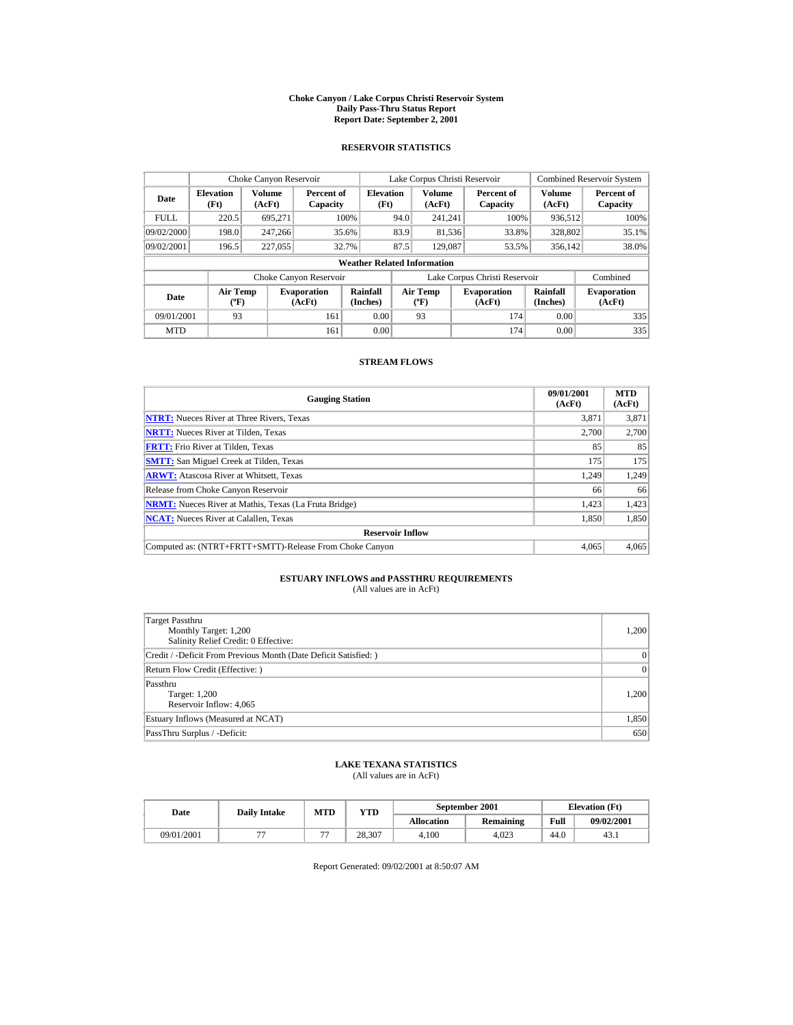#### **Choke Canyon / Lake Corpus Christi Reservoir System Daily Pass-Thru Status Report Report Date: September 2, 2001**

### **RESERVOIR STATISTICS**

|             | Choke Canyon Reservoir                      |                         |                              |                                    |      | Lake Corpus Christi Reservoir            |                               |                         | <b>Combined Reservoir System</b> |
|-------------|---------------------------------------------|-------------------------|------------------------------|------------------------------------|------|------------------------------------------|-------------------------------|-------------------------|----------------------------------|
| Date        | <b>Elevation</b><br>(Ft)                    | <b>Volume</b><br>(AcFt) | Percent of<br>Capacity       | <b>Elevation</b><br>(Ft)           |      | Volume<br>(AcFt)                         | Percent of<br>Capacity        | <b>Volume</b><br>(AcFt) | Percent of<br>Capacity           |
| <b>FULL</b> | 220.5                                       | 695,271                 |                              | 100%                               | 94.0 | 241.241                                  | 100%                          | 936.512                 | 100%                             |
| 09/02/2000  | 198.0                                       | 247,266                 |                              | 35.6%                              | 83.9 | 81,536                                   | 33.8%                         | 328,802                 | 35.1%                            |
| 09/02/2001  | 196.5                                       | 227,055                 |                              | 32.7%                              | 87.5 | 129,087                                  | 53.5%                         | 356,142                 | 38.0%                            |
|             |                                             |                         |                              | <b>Weather Related Information</b> |      |                                          |                               |                         |                                  |
|             |                                             |                         | Choke Canyon Reservoir       |                                    |      |                                          | Lake Corpus Christi Reservoir |                         | Combined                         |
| Date        | <b>Air Temp</b><br>$({}^{\circ}\mathrm{F})$ |                         | <b>Evaporation</b><br>(AcFt) | Rainfall<br>(Inches)               |      | <b>Air Temp</b><br>$({}^{\circ}{\rm F})$ | <b>Evaporation</b><br>(AcFt)  | Rainfall<br>(Inches)    | <b>Evaporation</b><br>(AcFt)     |
| 09/01/2001  | 93                                          |                         | 161                          | 0.00                               |      | 93                                       | 174                           | 0.00                    | 335                              |
| <b>MTD</b>  |                                             |                         | 161                          | 0.00                               |      |                                          | 174                           | 0.00                    | 335                              |

### **STREAM FLOWS**

| <b>Gauging Station</b>                                       | 09/01/2001<br>(AcFt) | <b>MTD</b><br>(AcFt) |
|--------------------------------------------------------------|----------------------|----------------------|
| <b>NTRT:</b> Nueces River at Three Rivers, Texas             | 3.871                | 3,871                |
| <b>NRTT:</b> Nueces River at Tilden, Texas                   | 2.700                | 2,700                |
| <b>FRTT:</b> Frio River at Tilden, Texas                     | 85                   | 85                   |
| <b>SMTT:</b> San Miguel Creek at Tilden, Texas               | 175                  | 175                  |
| <b>ARWT:</b> Atascosa River at Whitsett, Texas               | 1,249                | 1,249                |
| Release from Choke Canyon Reservoir                          | 66                   | 66                   |
| <b>NRMT:</b> Nueces River at Mathis, Texas (La Fruta Bridge) | 1.423                | 1,423                |
| <b>NCAT:</b> Nueces River at Calallen, Texas                 | 1,850                | 1,850                |
| <b>Reservoir Inflow</b>                                      |                      |                      |
| Computed as: (NTRT+FRTT+SMTT)-Release From Choke Canyon      | 4.065                | 4,065                |

# **ESTUARY INFLOWS and PASSTHRU REQUIREMENTS**<br>(All values are in AcFt)

| Target Passthru<br>Monthly Target: 1,200<br>Salinity Relief Credit: 0 Effective: | 1,200 |
|----------------------------------------------------------------------------------|-------|
| Credit / -Deficit From Previous Month (Date Deficit Satisfied: )                 | 0     |
| Return Flow Credit (Effective: )                                                 | 0     |
| Passthru<br>Target: 1,200<br>Reservoir Inflow: 4,065                             | 1,200 |
| Estuary Inflows (Measured at NCAT)                                               | 1,850 |
| PassThru Surplus / -Deficit:                                                     | 650   |

## **LAKE TEXANA STATISTICS**

(All values are in AcFt)

| Date |            | <b>Daily Intake</b> | MTD                      | $_{\rm VTD}$ |                   | September 2001   | <b>Elevation</b> (Ft) |            |
|------|------------|---------------------|--------------------------|--------------|-------------------|------------------|-----------------------|------------|
|      |            |                     |                          |              | <b>Allocation</b> | <b>Remaining</b> | Full                  | 09/02/2001 |
|      | 09/01/2001 |                     | $\overline{\phantom{a}}$ | 28.307       | 4.100             | 4.023            | 44.0                  | 43.1       |

Report Generated: 09/02/2001 at 8:50:07 AM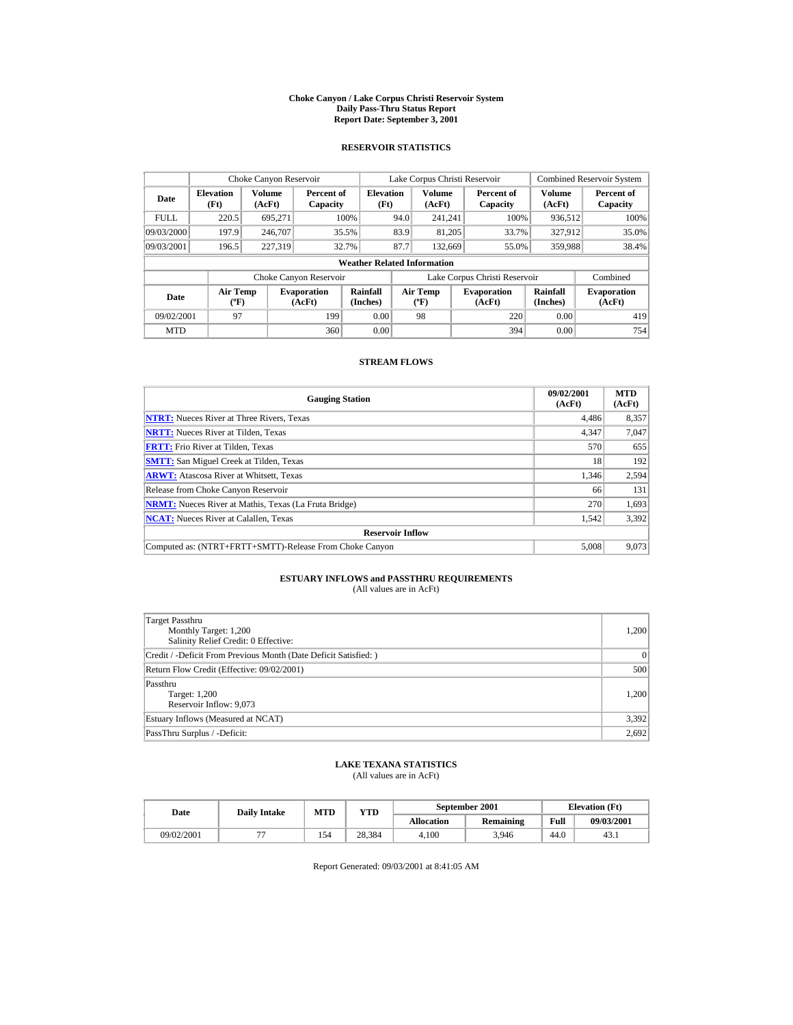#### **Choke Canyon / Lake Corpus Christi Reservoir System Daily Pass-Thru Status Report Report Date: September 3, 2001**

### **RESERVOIR STATISTICS**

|             | Choke Canyon Reservoir                      |                         |                              |                                    |      | Lake Corpus Christi Reservoir            |                               |                         | <b>Combined Reservoir System</b> |
|-------------|---------------------------------------------|-------------------------|------------------------------|------------------------------------|------|------------------------------------------|-------------------------------|-------------------------|----------------------------------|
| Date        | <b>Elevation</b><br>(Ft)                    | <b>Volume</b><br>(AcFt) | Percent of<br>Capacity       | <b>Elevation</b><br>(Ft)           |      | Volume<br>(AcFt)                         | Percent of<br>Capacity        | <b>Volume</b><br>(AcFt) | Percent of<br>Capacity           |
| <b>FULL</b> | 220.5                                       | 695,271                 |                              | 100%                               | 94.0 | 241.241                                  | 100%                          | 936.512                 | 100%                             |
| 09/03/2000  | 197.9                                       | 246,707                 |                              | 35.5%                              | 83.9 | 81.205                                   | 33.7%                         | 327.912                 | 35.0%                            |
| 09/03/2001  | 196.5                                       | 227,319                 |                              | 32.7%                              | 87.7 | 132,669                                  | 55.0%                         | 359,988                 | 38.4%                            |
|             |                                             |                         |                              | <b>Weather Related Information</b> |      |                                          |                               |                         |                                  |
|             |                                             |                         | Choke Canyon Reservoir       |                                    |      |                                          | Lake Corpus Christi Reservoir |                         | Combined                         |
| Date        | <b>Air Temp</b><br>$({}^{\circ}\mathrm{F})$ |                         | <b>Evaporation</b><br>(AcFt) | Rainfall<br>(Inches)               |      | <b>Air Temp</b><br>$({}^{\circ}{\rm F})$ | <b>Evaporation</b><br>(AcFt)  | Rainfall<br>(Inches)    | <b>Evaporation</b><br>(AcFt)     |
| 09/02/2001  | 97                                          |                         | 199                          | 0.00                               |      | 98                                       | 220                           | 0.00                    | 419                              |
| <b>MTD</b>  |                                             |                         | 360                          | 0.00                               |      |                                          | 394                           | 0.00                    | 754                              |

### **STREAM FLOWS**

| <b>Gauging Station</b>                                       | 09/02/2001<br>(AcFt) | <b>MTD</b><br>(AcFt) |
|--------------------------------------------------------------|----------------------|----------------------|
| <b>NTRT:</b> Nueces River at Three Rivers, Texas             | 4.486                | 8,357                |
| <b>NRTT:</b> Nueces River at Tilden, Texas                   | 4.347                | 7,047                |
| <b>FRTT:</b> Frio River at Tilden, Texas                     | 570                  | 655                  |
| <b>SMTT:</b> San Miguel Creek at Tilden, Texas               | 18                   | 192                  |
| <b>ARWT:</b> Atascosa River at Whitsett, Texas               | 1,346                | 2,594                |
| Release from Choke Canyon Reservoir                          | 66                   | 131                  |
| <b>NRMT:</b> Nueces River at Mathis, Texas (La Fruta Bridge) | 270                  | 1.693                |
| <b>NCAT:</b> Nueces River at Calallen, Texas                 | 1,542                | 3,392                |
| <b>Reservoir Inflow</b>                                      |                      |                      |
| Computed as: (NTRT+FRTT+SMTT)-Release From Choke Canyon      | 5.008                | 9,073                |

# **ESTUARY INFLOWS and PASSTHRU REQUIREMENTS**<br>(All values are in AcFt)

| Target Passthru<br>Monthly Target: 1,200<br>Salinity Relief Credit: 0 Effective: | 1,200 |
|----------------------------------------------------------------------------------|-------|
| Credit / -Deficit From Previous Month (Date Deficit Satisfied:)                  | 0     |
| Return Flow Credit (Effective: 09/02/2001)                                       | 500   |
| Passthru<br>Target: 1,200<br>Reservoir Inflow: 9,073                             | 1,200 |
| Estuary Inflows (Measured at NCAT)                                               | 3,392 |
| PassThru Surplus / -Deficit:                                                     | 2,692 |

## **LAKE TEXANA STATISTICS**

(All values are in AcFt)

| Date       | <b>Daily Intake</b> | <b>MTD</b> | $_{\rm VTD}$ |                   | September 2001 |      | <b>Elevation</b> (Ft) |
|------------|---------------------|------------|--------------|-------------------|----------------|------|-----------------------|
|            |                     |            |              | <b>Allocation</b> | Remaining      | Full | 09/03/2001            |
| 09/02/2001 |                     | 154        | 28.384       | 4.100             | 3.946          | 44.0 | 43.1                  |

Report Generated: 09/03/2001 at 8:41:05 AM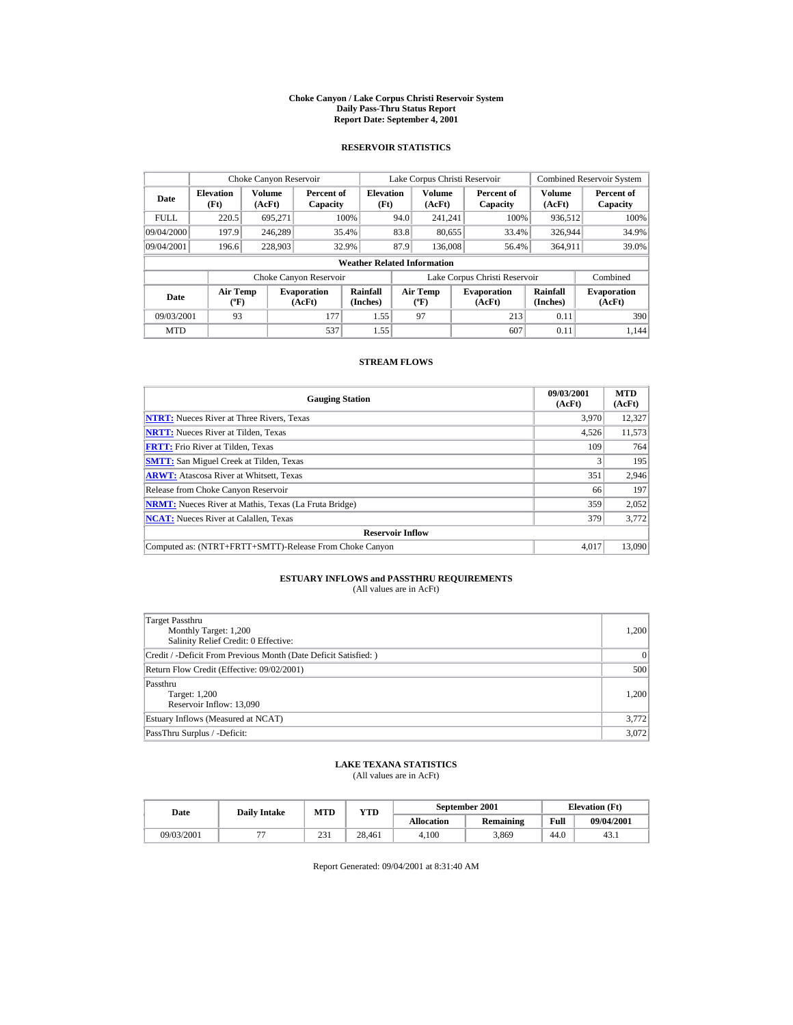#### **Choke Canyon / Lake Corpus Christi Reservoir System Daily Pass-Thru Status Report Report Date: September 4, 2001**

### **RESERVOIR STATISTICS**

| Choke Canyon Reservoir |                                             |                  |                              |                          |      | Lake Corpus Christi Reservoir            |  |                               |                         | <b>Combined Reservoir System</b> |  |  |  |
|------------------------|---------------------------------------------|------------------|------------------------------|--------------------------|------|------------------------------------------|--|-------------------------------|-------------------------|----------------------------------|--|--|--|
| Date                   | <b>Elevation</b><br>(Ft)                    | Volume<br>(AcFt) | Percent of<br>Capacity       | <b>Elevation</b><br>(Ft) |      | <b>Volume</b><br>(AcFt)                  |  | Percent of<br>Capacity        | <b>Volume</b><br>(AcFt) | Percent of<br>Capacity           |  |  |  |
| <b>FULL</b>            | 220.5                                       | 695.271          |                              | 100%                     | 94.0 | 241.241                                  |  | 100%                          | 936.512                 | 100%                             |  |  |  |
| 09/04/2000             | 197.9                                       | 246.289          |                              | 35.4%                    | 83.8 | 80,655                                   |  | 33.4%                         | 326,944                 | 34.9%                            |  |  |  |
| 09/04/2001             | 196.6                                       | 228,903          |                              | 32.9%                    | 87.9 | 136,008                                  |  | 56.4%                         | 364,911                 | 39.0%                            |  |  |  |
|                        | <b>Weather Related Information</b>          |                  |                              |                          |      |                                          |  |                               |                         |                                  |  |  |  |
|                        |                                             |                  | Choke Canyon Reservoir       |                          |      |                                          |  | Lake Corpus Christi Reservoir |                         | Combined                         |  |  |  |
| Date                   | <b>Air Temp</b><br>$({}^{\circ}\mathrm{F})$ |                  | <b>Evaporation</b><br>(AcFt) | Rainfall<br>(Inches)     |      | <b>Air Temp</b><br>$({}^{\circ}{\rm F})$ |  | <b>Evaporation</b><br>(AcFt)  | Rainfall<br>(Inches)    |                                  |  |  |  |
| 09/03/2001             | 93                                          |                  | 177                          | 1.55                     |      | 97                                       |  | 213                           | 0.11                    | 390                              |  |  |  |
| <b>MTD</b>             |                                             |                  | 537                          | 1.55                     |      |                                          |  | 607                           | 0.11                    | 1.144                            |  |  |  |

### **STREAM FLOWS**

| <b>Gauging Station</b>                                       | 09/03/2001<br>(AcFt) | <b>MTD</b><br>(AcFt) |
|--------------------------------------------------------------|----------------------|----------------------|
| <b>NTRT:</b> Nueces River at Three Rivers, Texas             | 3,970                | 12,327               |
| <b>NRTT:</b> Nueces River at Tilden, Texas                   | 4,526                | 11,573               |
| <b>FRTT:</b> Frio River at Tilden, Texas                     | 109                  | 764                  |
| <b>SMTT:</b> San Miguel Creek at Tilden, Texas               |                      | 195                  |
| <b>ARWT:</b> Atascosa River at Whitsett, Texas               | 351                  | 2,946                |
| Release from Choke Canyon Reservoir                          | 66                   | 197                  |
| <b>NRMT:</b> Nueces River at Mathis, Texas (La Fruta Bridge) | 359                  | 2,052                |
| <b>NCAT:</b> Nueces River at Calallen, Texas                 | 379                  | 3.772                |
| <b>Reservoir Inflow</b>                                      |                      |                      |
| Computed as: (NTRT+FRTT+SMTT)-Release From Choke Canyon      | 4.017                | 13,090               |

# **ESTUARY INFLOWS and PASSTHRU REQUIREMENTS**<br>(All values are in AcFt)

| Target Passthru<br>Monthly Target: 1,200<br>Salinity Relief Credit: 0 Effective: | 1,200 |
|----------------------------------------------------------------------------------|-------|
| Credit / -Deficit From Previous Month (Date Deficit Satisfied:)                  | 0     |
| Return Flow Credit (Effective: 09/02/2001)                                       | 500   |
| Passthru<br>Target: 1,200<br>Reservoir Inflow: 13,090                            | 1,200 |
| Estuary Inflows (Measured at NCAT)                                               | 3,772 |
| PassThru Surplus / -Deficit:                                                     | 3,072 |

## **LAKE TEXANA STATISTICS**

(All values are in AcFt)

| Date       | <b>Daily Intake</b> | MTD | VTD -  |                   | September 2001 |      | <b>Elevation</b> (Ft) |
|------------|---------------------|-----|--------|-------------------|----------------|------|-----------------------|
|            |                     |     |        | <b>Allocation</b> | Remaining      | Full | 09/04/2001            |
| 09/03/2001 | $- -$               | 231 | 28.461 | 4.100             | 3.869          | 44.0 | 43.1                  |

Report Generated: 09/04/2001 at 8:31:40 AM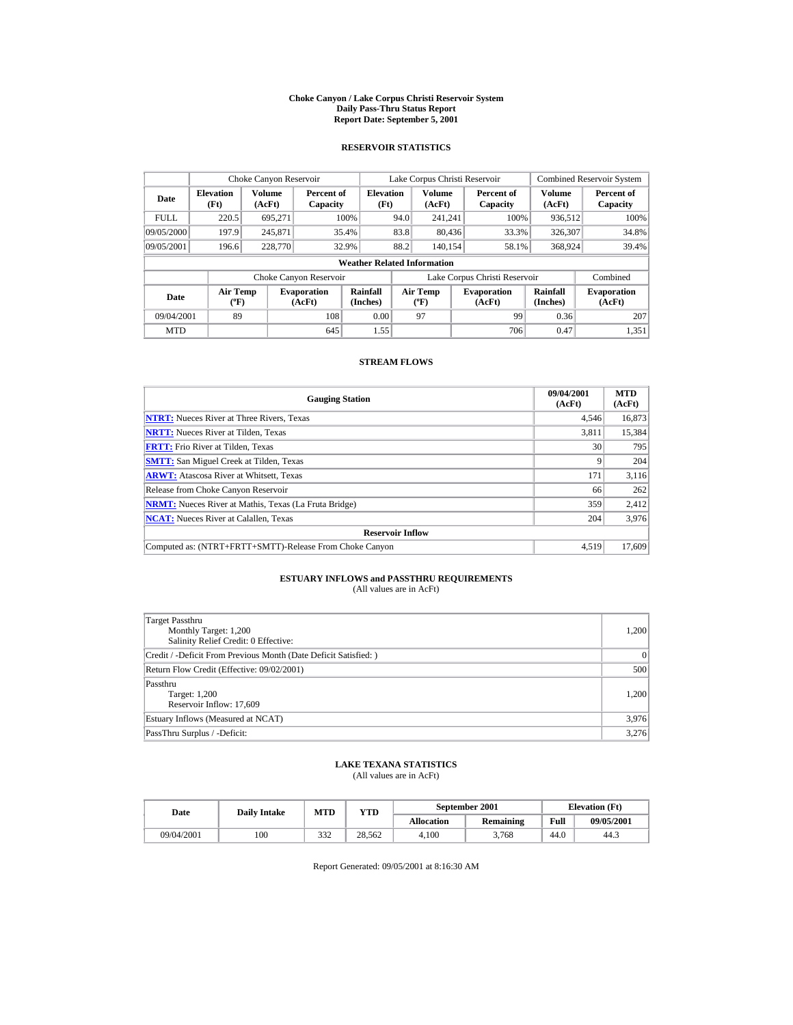#### **Choke Canyon / Lake Corpus Christi Reservoir System Daily Pass-Thru Status Report Report Date: September 5, 2001**

### **RESERVOIR STATISTICS**

| Choke Canyon Reservoir |                                             |                  |                              |                          |      | Lake Corpus Christi Reservoir            |  |                               |                         | <b>Combined Reservoir System</b> |  |  |  |
|------------------------|---------------------------------------------|------------------|------------------------------|--------------------------|------|------------------------------------------|--|-------------------------------|-------------------------|----------------------------------|--|--|--|
| Date                   | <b>Elevation</b><br>(Ft)                    | Volume<br>(AcFt) | Percent of<br>Capacity       | <b>Elevation</b><br>(Ft) |      | <b>Volume</b><br>(AcFt)                  |  | Percent of<br>Capacity        | <b>Volume</b><br>(AcFt) | Percent of<br>Capacity           |  |  |  |
| <b>FULL</b>            | 220.5                                       | 695.271          |                              | 100%                     | 94.0 | 241.241                                  |  | 100%                          | 936.512                 | 100%                             |  |  |  |
| 09/05/2000             | 197.9                                       | 245.871          |                              | 35.4%                    | 83.8 | 80.436                                   |  | 33.3%                         | 326,307                 | 34.8%                            |  |  |  |
| 09/05/2001             | 196.6                                       | 228,770          |                              | 32.9%                    | 88.2 | 140.154                                  |  | 58.1%                         | 368,924                 | 39.4%                            |  |  |  |
|                        | <b>Weather Related Information</b>          |                  |                              |                          |      |                                          |  |                               |                         |                                  |  |  |  |
|                        |                                             |                  | Choke Canyon Reservoir       |                          |      |                                          |  | Lake Corpus Christi Reservoir |                         | Combined                         |  |  |  |
| Date                   | <b>Air Temp</b><br>$({}^{\circ}\mathrm{F})$ |                  | <b>Evaporation</b><br>(AcFt) | Rainfall<br>(Inches)     |      | <b>Air Temp</b><br>$({}^{\circ}{\rm F})$ |  | <b>Evaporation</b><br>(AcFt)  | Rainfall<br>(Inches)    | <b>Evaporation</b><br>(AcFt)     |  |  |  |
| 09/04/2001             | 89                                          |                  | 108                          | 0.00                     |      | 97                                       |  | 99                            | 0.36                    | 207                              |  |  |  |
| <b>MTD</b>             |                                             |                  | 645                          | 1.55                     |      |                                          |  | 706                           | 0.47                    | 1.351                            |  |  |  |

### **STREAM FLOWS**

| <b>Gauging Station</b>                                       | 09/04/2001<br>(AcFt) | <b>MTD</b><br>(AcFt) |
|--------------------------------------------------------------|----------------------|----------------------|
| <b>NTRT:</b> Nueces River at Three Rivers, Texas             | 4.546                | 16,873               |
| <b>NRTT:</b> Nueces River at Tilden, Texas                   | 3.811                | 15,384               |
| <b>FRTT:</b> Frio River at Tilden, Texas                     | 30                   | 795                  |
| <b>SMTT:</b> San Miguel Creek at Tilden, Texas               |                      | 204                  |
| <b>ARWT:</b> Atascosa River at Whitsett, Texas               | 171                  | 3,116                |
| Release from Choke Canyon Reservoir                          | 66                   | 262                  |
| <b>NRMT:</b> Nueces River at Mathis, Texas (La Fruta Bridge) | 359                  | 2,412                |
| <b>NCAT:</b> Nueces River at Calallen, Texas                 | 204                  | 3,976                |
| <b>Reservoir Inflow</b>                                      |                      |                      |
| Computed as: (NTRT+FRTT+SMTT)-Release From Choke Canyon      | 4.519                | 17.609               |

# **ESTUARY INFLOWS and PASSTHRU REQUIREMENTS**<br>(All values are in AcFt)

| Target Passthru<br>Monthly Target: 1,200<br>Salinity Relief Credit: 0 Effective: | 1,200 |
|----------------------------------------------------------------------------------|-------|
| Credit / -Deficit From Previous Month (Date Deficit Satisfied:)                  | 0     |
| Return Flow Credit (Effective: 09/02/2001)                                       | 500   |
| Passthru<br>Target: 1,200<br>Reservoir Inflow: 17,609                            | 1,200 |
| Estuary Inflows (Measured at NCAT)                                               | 3,976 |
| PassThru Surplus / -Deficit:                                                     | 3,276 |

## **LAKE TEXANA STATISTICS**

(All values are in AcFt)

| Date       | <b>Daily Intake</b> | MTD | $_{\rm VTD}$ |                   | September 2001   | <b>Elevation</b> (Ft) |            |
|------------|---------------------|-----|--------------|-------------------|------------------|-----------------------|------------|
|            |                     |     |              | <b>Allocation</b> | <b>Remaining</b> | Full                  | 09/05/2001 |
| 09/04/2001 | 100                 | 332 | 28.562       | 4.100             | 3.768            | 44.0                  | 44.3       |

Report Generated: 09/05/2001 at 8:16:30 AM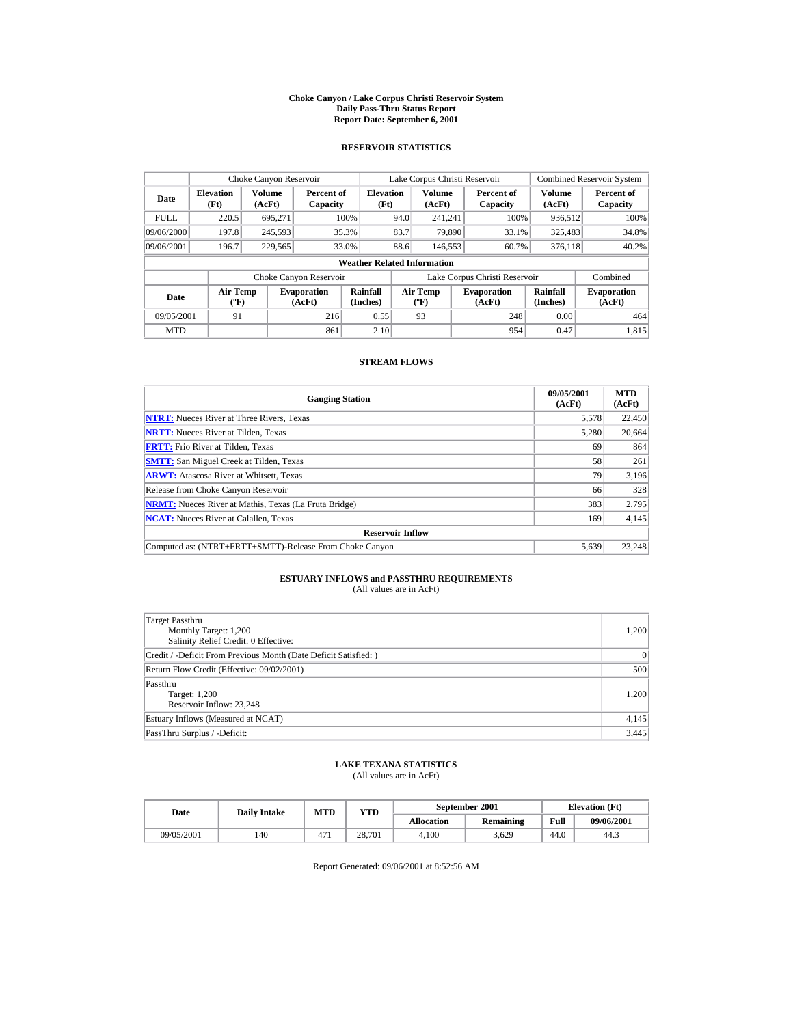#### **Choke Canyon / Lake Corpus Christi Reservoir System Daily Pass-Thru Status Report Report Date: September 6, 2001**

### **RESERVOIR STATISTICS**

|             | Choke Canyon Reservoir                      |                  |                              |                                    |      | Lake Corpus Christi Reservoir            |                               |                         | <b>Combined Reservoir System</b> |
|-------------|---------------------------------------------|------------------|------------------------------|------------------------------------|------|------------------------------------------|-------------------------------|-------------------------|----------------------------------|
| Date        | <b>Elevation</b><br>(Ft)                    | Volume<br>(AcFt) | Percent of<br>Capacity       | <b>Elevation</b><br>(Ft)           |      | <b>Volume</b><br>(AcFt)                  | Percent of<br>Capacity        | <b>Volume</b><br>(AcFt) | Percent of<br>Capacity           |
| <b>FULL</b> | 220.5                                       | 695.271          |                              | 100%                               | 94.0 | 241.241                                  | 100%                          | 936.512                 | 100%                             |
| 09/06/2000  | 197.8                                       | 245,593          |                              | 35.3%                              | 83.7 | 79.890                                   | 33.1%                         | 325,483                 | 34.8%                            |
| 09/06/2001  | 196.7                                       | 229,565          |                              | 33.0%                              | 88.6 | 146,553                                  | 60.7%                         | 376,118                 | 40.2%                            |
|             |                                             |                  |                              | <b>Weather Related Information</b> |      |                                          |                               |                         |                                  |
|             |                                             |                  | Choke Canyon Reservoir       |                                    |      |                                          | Lake Corpus Christi Reservoir |                         | Combined                         |
| Date        | <b>Air Temp</b><br>$({}^{\circ}\mathrm{F})$ |                  | <b>Evaporation</b><br>(AcFt) | Rainfall<br>(Inches)               |      | <b>Air Temp</b><br>$({}^{\circ}{\rm F})$ | <b>Evaporation</b><br>(AcFt)  | Rainfall<br>(Inches)    | <b>Evaporation</b><br>(AcFt)     |
| 09/05/2001  | 91                                          |                  | 216                          | 0.55                               |      | 93                                       | 248                           | 0.00                    | 464                              |
| <b>MTD</b>  |                                             |                  | 861                          | 2.10                               |      |                                          | 954                           | 0.47                    | 1.815                            |

### **STREAM FLOWS**

| <b>Gauging Station</b>                                       | 09/05/2001<br>(AcFt) | <b>MTD</b><br>(AcFt) |
|--------------------------------------------------------------|----------------------|----------------------|
| <b>NTRT:</b> Nueces River at Three Rivers, Texas             | 5,578                | 22,450               |
| <b>NRTT:</b> Nueces River at Tilden, Texas                   | 5,280                | 20,664               |
| <b>FRTT:</b> Frio River at Tilden, Texas                     | 69                   | 864                  |
| <b>SMTT:</b> San Miguel Creek at Tilden, Texas               | 58                   | 261                  |
| <b>ARWT:</b> Atascosa River at Whitsett, Texas               | 79                   | 3,196                |
| Release from Choke Canyon Reservoir                          | 66                   | 328                  |
| <b>NRMT:</b> Nueces River at Mathis, Texas (La Fruta Bridge) | 383                  | 2.795                |
| <b>NCAT:</b> Nueces River at Calallen, Texas                 | 169                  | 4,145                |
| <b>Reservoir Inflow</b>                                      |                      |                      |
| Computed as: (NTRT+FRTT+SMTT)-Release From Choke Canyon      | 5.639                | 23,248               |

# **ESTUARY INFLOWS and PASSTHRU REQUIREMENTS**<br>(All values are in AcFt)

| Target Passthru<br>Monthly Target: 1,200<br>Salinity Relief Credit: 0 Effective: | 1,200     |
|----------------------------------------------------------------------------------|-----------|
| Credit / -Deficit From Previous Month (Date Deficit Satisfied:)                  | $\vert$ 0 |
| Return Flow Credit (Effective: 09/02/2001)                                       | 500       |
| Passthru<br>Target: 1,200<br>Reservoir Inflow: 23,248                            | 1,200     |
| Estuary Inflows (Measured at NCAT)                                               | 4,145     |
| PassThru Surplus / -Deficit:                                                     | 3,445     |

## **LAKE TEXANA STATISTICS**

(All values are in AcFt)

| Date       | <b>Daily Intake</b> | <b>MTD</b><br>$_{\rm VTD}$ |        |                   | September 2001 | <b>Elevation</b> (Ft) |            |
|------------|---------------------|----------------------------|--------|-------------------|----------------|-----------------------|------------|
|            |                     |                            |        | <b>Allocation</b> | Remaining      | Full                  | 09/06/2001 |
| 09/05/2001 | 140                 | 47 <sub>1</sub>            | 28.701 | 4.100             | 3.629          | 44.0                  | 44.3       |

Report Generated: 09/06/2001 at 8:52:56 AM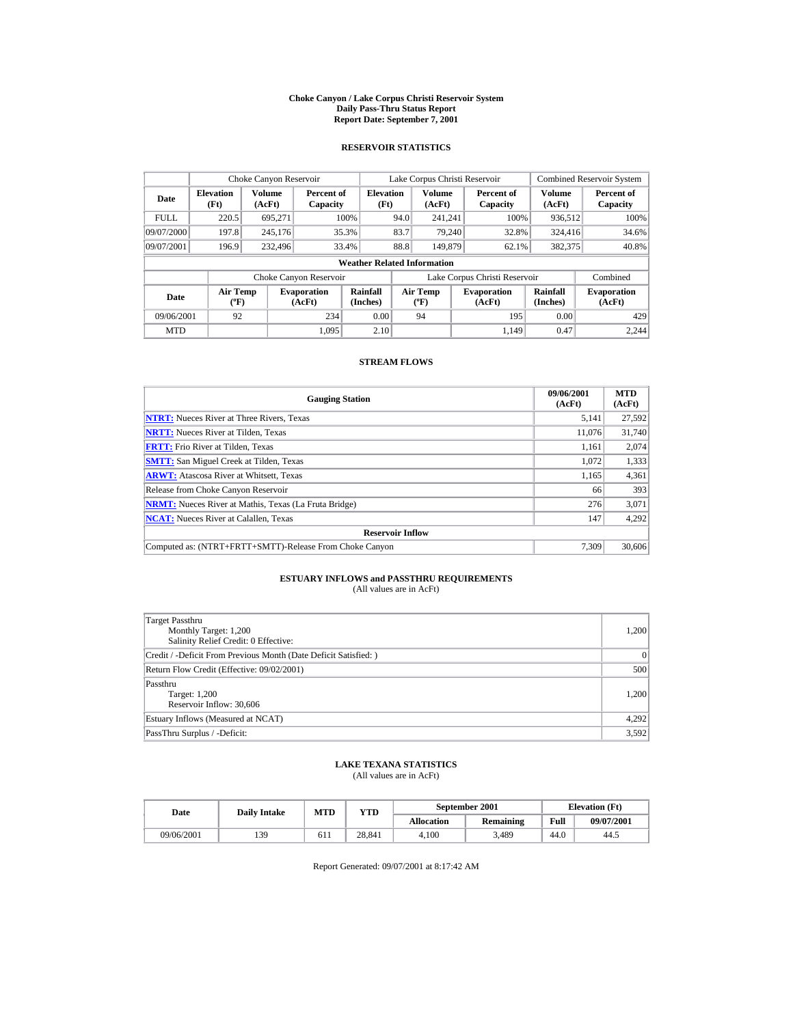#### **Choke Canyon / Lake Corpus Christi Reservoir System Daily Pass-Thru Status Report Report Date: September 7, 2001**

### **RESERVOIR STATISTICS**

|                                    | Choke Canyon Reservoir                      |                         |                              |                          | Lake Corpus Christi Reservoir |                                      |  |                               | <b>Combined Reservoir System</b> |                              |
|------------------------------------|---------------------------------------------|-------------------------|------------------------------|--------------------------|-------------------------------|--------------------------------------|--|-------------------------------|----------------------------------|------------------------------|
| Date                               | <b>Elevation</b><br>(Ft)                    | <b>Volume</b><br>(AcFt) | Percent of<br>Capacity       | <b>Elevation</b><br>(Ft) |                               | <b>Volume</b><br>(AcFt)              |  | Percent of<br>Capacity        | <b>Volume</b><br>(AcFt)          | Percent of<br>Capacity       |
| <b>FULL</b>                        | 220.5                                       | 695,271                 |                              | 100%                     | 94.0                          | 241.241                              |  | 100%                          | 936,512                          | 100%                         |
| 09/07/2000                         | 197.8                                       | 245,176                 |                              | 35.3%                    | 83.7                          | 79.240                               |  | 32.8%                         | 324,416                          | 34.6%                        |
| 09/07/2001                         | 196.9                                       | 232,496                 |                              | 33.4%                    | 88.8                          | 149,879                              |  | 62.1%                         | 382,375                          | 40.8%                        |
| <b>Weather Related Information</b> |                                             |                         |                              |                          |                               |                                      |  |                               |                                  |                              |
|                                    |                                             |                         | Choke Canyon Reservoir       |                          |                               |                                      |  | Lake Corpus Christi Reservoir |                                  | Combined                     |
| Date                               | <b>Air Temp</b><br>$({}^{\circ}\mathrm{F})$ |                         | <b>Evaporation</b><br>(AcFt) | Rainfall<br>(Inches)     |                               | Air Temp<br>$({}^{\circ}\mathbf{F})$ |  | <b>Evaporation</b><br>(AcFt)  | Rainfall<br>(Inches)             | <b>Evaporation</b><br>(AcFt) |
| 09/06/2001                         | 92                                          |                         | 234                          | 0.00                     |                               | 94                                   |  | 195                           | 0.00                             | 429                          |
| <b>MTD</b>                         |                                             |                         | 1.095                        | 2.10                     |                               |                                      |  | 1.149                         | 0.47                             | 2.244                        |

### **STREAM FLOWS**

| <b>Gauging Station</b>                                       | 09/06/2001<br>(AcFt) | <b>MTD</b><br>(AcFt) |
|--------------------------------------------------------------|----------------------|----------------------|
| <b>NTRT:</b> Nueces River at Three Rivers, Texas             | 5,141                | 27,592               |
| <b>NRTT:</b> Nueces River at Tilden, Texas                   | 11.076               | 31,740               |
| <b>FRTT:</b> Frio River at Tilden, Texas                     | 1.161                | 2,074                |
| <b>SMTT:</b> San Miguel Creek at Tilden, Texas               | 1.072                | 1,333                |
| <b>ARWT:</b> Atascosa River at Whitsett, Texas               | 1,165                | 4,361                |
| Release from Choke Canyon Reservoir                          | 66                   | 393                  |
| <b>NRMT:</b> Nueces River at Mathis, Texas (La Fruta Bridge) | 276                  | 3,071                |
| <b>NCAT:</b> Nueces River at Calallen, Texas                 | 147                  | 4,292                |
| <b>Reservoir Inflow</b>                                      |                      |                      |
| Computed as: (NTRT+FRTT+SMTT)-Release From Choke Canyon      | 7.309                | 30,606               |

# **ESTUARY INFLOWS and PASSTHRU REQUIREMENTS**<br>(All values are in AcFt)

| Target Passthru<br>Monthly Target: 1,200<br>Salinity Relief Credit: 0 Effective: | 1,200 |
|----------------------------------------------------------------------------------|-------|
| Credit / -Deficit From Previous Month (Date Deficit Satisfied:)                  | 0     |
| Return Flow Credit (Effective: 09/02/2001)                                       | 500   |
| Passthru<br>Target: 1,200<br>Reservoir Inflow: 30,606                            | 1,200 |
| Estuary Inflows (Measured at NCAT)                                               | 4,292 |
| PassThru Surplus / -Deficit:                                                     | 3,592 |

## **LAKE TEXANA STATISTICS**

(All values are in AcFt)

| Date       | <b>Daily Intake</b> | <b>MTD</b> | $_{\rm VTD}$ |                   | September 2001 | <b>Elevation</b> (Ft) |            |
|------------|---------------------|------------|--------------|-------------------|----------------|-----------------------|------------|
|            |                     |            |              | <b>Allocation</b> | Remaining      | Full                  | 09/07/2001 |
| 09/06/2001 | 139                 | 611        | 28.841       | 4.100             | 3.489          | 44.0                  | 44.5       |

Report Generated: 09/07/2001 at 8:17:42 AM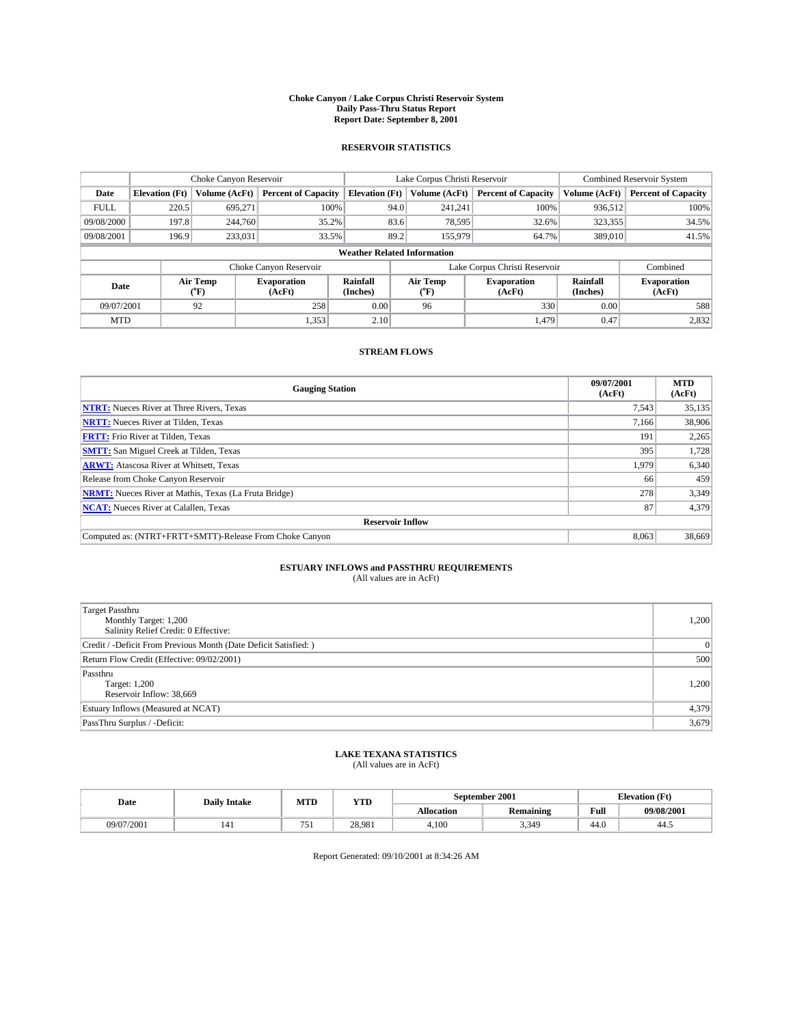#### **Choke Canyon / Lake Corpus Christi Reservoir System Daily Pass-Thru Status Report Report Date: September 8, 2001**

### **RESERVOIR STATISTICS**

|                                    | Choke Canyon Reservoir |                              |                            |                       | Lake Corpus Christi Reservoir                    |               |                               |                              | <b>Combined Reservoir System</b> |  |
|------------------------------------|------------------------|------------------------------|----------------------------|-----------------------|--------------------------------------------------|---------------|-------------------------------|------------------------------|----------------------------------|--|
| Date                               | <b>Elevation</b> (Ft)  | Volume (AcFt)                | <b>Percent of Capacity</b> | <b>Elevation</b> (Ft) |                                                  | Volume (AcFt) | <b>Percent of Capacity</b>    | Volume (AcFt)                | <b>Percent of Capacity</b>       |  |
| <b>FULL</b>                        | 220.5                  | 695,271                      | 100%                       |                       | 94.0                                             | 241,241       | 100%                          | 936,512                      | 100%                             |  |
| 09/08/2000                         | 197.8                  | 244,760                      | 35.2%                      |                       | 83.6                                             | 78,595        | 32.6%                         | 323,355                      | 34.5%                            |  |
| 09/08/2001                         | 196.9                  | 233,031                      | 33.5%                      |                       | 89.2                                             | 155,979       | 64.7%                         | 389,010                      | 41.5%                            |  |
| <b>Weather Related Information</b> |                        |                              |                            |                       |                                                  |               |                               |                              |                                  |  |
|                                    |                        |                              | Choke Canyon Reservoir     |                       |                                                  |               | Lake Corpus Christi Reservoir |                              | Combined                         |  |
| Air Temp<br>Date<br>(°F)           |                        | <b>Evaporation</b><br>(AcFt) | Rainfall<br>(Inches)       |                       | Air Temp<br><b>Evaporation</b><br>(AcFt)<br>("F) |               | Rainfall<br>(Inches)          | <b>Evaporation</b><br>(AcFt) |                                  |  |
| 09/07/2001                         |                        | 92                           | 258                        | 0.00                  | 96                                               |               | 330                           | 0.00                         | 588                              |  |
| <b>MTD</b>                         |                        |                              | 1,353                      | 2.10                  |                                                  |               | 1.479                         | 0.47                         | 2,832                            |  |

### **STREAM FLOWS**

| <b>Gauging Station</b>                                       | 09/07/2001<br>(AcFt) | <b>MTD</b><br>(AcFt) |
|--------------------------------------------------------------|----------------------|----------------------|
| <b>NTRT:</b> Nueces River at Three Rivers, Texas             | 7,543                | 35,135               |
| <b>NRTT:</b> Nueces River at Tilden, Texas                   | 7,166                | 38,906               |
| <b>FRTT:</b> Frio River at Tilden, Texas                     | 191                  | 2,265                |
| <b>SMTT:</b> San Miguel Creek at Tilden, Texas               | 395                  | 1,728                |
| <b>ARWT:</b> Atascosa River at Whitsett, Texas               | 1,979                | 6,340                |
| Release from Choke Canyon Reservoir                          | 66                   | 459                  |
| <b>NRMT:</b> Nueces River at Mathis, Texas (La Fruta Bridge) | 278                  | 3,349                |
| <b>NCAT:</b> Nueces River at Calallen, Texas                 | 87                   | 4,379                |
| <b>Reservoir Inflow</b>                                      |                      |                      |
| Computed as: (NTRT+FRTT+SMTT)-Release From Choke Canyon      | 8,063                | 38,669               |

# **ESTUARY INFLOWS and PASSTHRU REQUIREMENTS**<br>(All values are in AcFt)

| <b>Target Passthru</b><br>Monthly Target: 1,200<br>Salinity Relief Credit: 0 Effective: | 1,200 |
|-----------------------------------------------------------------------------------------|-------|
| Credit / -Deficit From Previous Month (Date Deficit Satisfied: )                        | 0     |
| Return Flow Credit (Effective: 09/02/2001)                                              | 500   |
| Passthru<br>Target: 1,200<br>Reservoir Inflow: 38,669                                   | 1,200 |
| Estuary Inflows (Measured at NCAT)                                                      | 4,379 |
| PassThru Surplus / -Deficit:                                                            | 3,679 |

# **LAKE TEXANA STATISTICS** (All values are in AcFt)

| Date       | <b>Daily Intake</b> | MTD        | <b>VTT</b><br>1 I D | September 2001    |                  | . Æt<br>Llevation |            |
|------------|---------------------|------------|---------------------|-------------------|------------------|-------------------|------------|
|            |                     |            |                     | <b>Allocation</b> | <b>Remaining</b> | Full              | 09/08/2001 |
| 09/07/2001 | 141                 | $- -$<br>. | 28.981              | 4,100             | 3,349            | 44.0              | 44.3       |

Report Generated: 09/10/2001 at 8:34:26 AM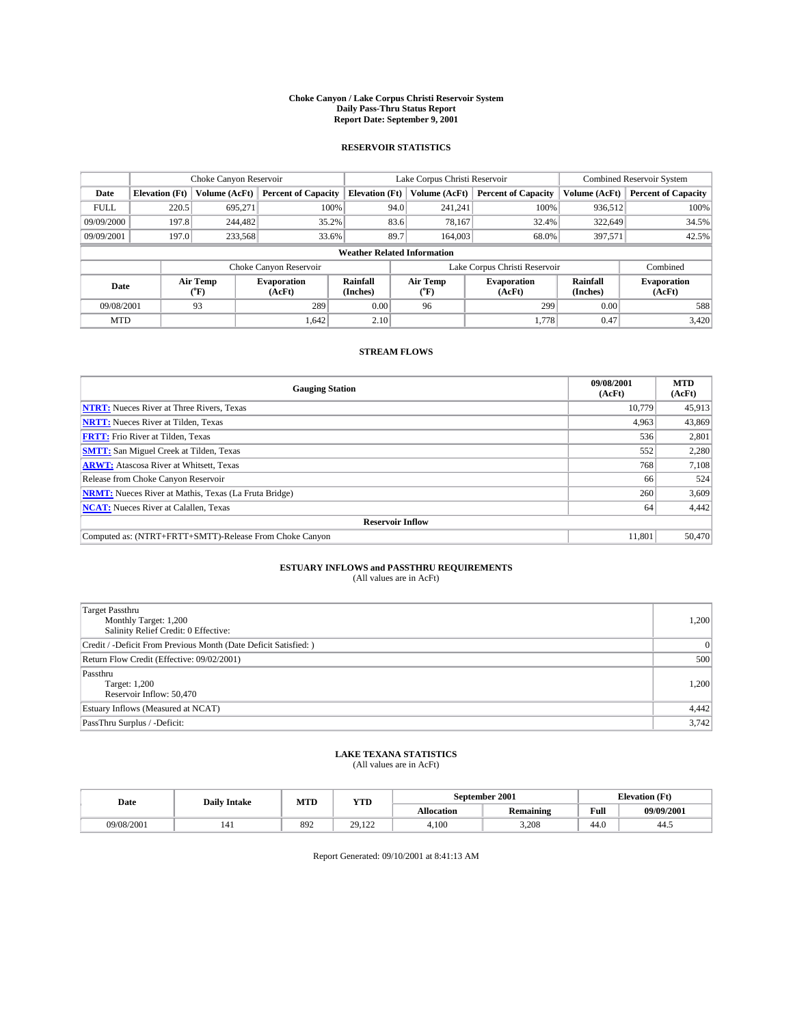#### **Choke Canyon / Lake Corpus Christi Reservoir System Daily Pass-Thru Status Report Report Date: September 9, 2001**

### **RESERVOIR STATISTICS**

|                          | Choke Canyon Reservoir             |               |                              |                       | Lake Corpus Christi Reservoir | <b>Combined Reservoir System</b> |                      |                              |  |
|--------------------------|------------------------------------|---------------|------------------------------|-----------------------|-------------------------------|----------------------------------|----------------------|------------------------------|--|
| Date                     | <b>Elevation</b> (Ft)              | Volume (AcFt) | <b>Percent of Capacity</b>   | <b>Elevation</b> (Ft) | Volume (AcFt)                 | <b>Percent of Capacity</b>       | Volume (AcFt)        | <b>Percent of Capacity</b>   |  |
| <b>FULL</b>              | 220.5                              | 695,271       | 100%                         | 94.0                  | 241,241                       | 100%                             | 936,512              | 100%                         |  |
| 09/09/2000               | 197.8                              | 244,482       | 35.2%                        | 83.6                  | 78,167                        | 32.4%                            | 322,649              | 34.5%                        |  |
| 09/09/2001               | 197.0                              | 233,568       | 33.6%                        | 89.7                  | 164,003                       | 68.0%                            | 397,571              | 42.5%                        |  |
|                          | <b>Weather Related Information</b> |               |                              |                       |                               |                                  |                      |                              |  |
|                          |                                    |               | Choke Canyon Reservoir       |                       | Lake Corpus Christi Reservoir |                                  | Combined             |                              |  |
| Air Temp<br>Date<br>(°F) |                                    |               | <b>Evaporation</b><br>(AcFt) | Rainfall<br>(Inches)  | Air Temp<br>("F)              | <b>Evaporation</b><br>(AcFt)     | Rainfall<br>(Inches) | <b>Evaporation</b><br>(AcFt) |  |
| 09/08/2001               |                                    | 93            | 289                          | 0.00                  | 96                            | 299                              | 0.00                 | 588                          |  |
| <b>MTD</b>               |                                    |               | 1,642                        | 2.10                  |                               | 1.778                            | 0.47                 | 3,420                        |  |

### **STREAM FLOWS**

| <b>Gauging Station</b>                                       | 09/08/2001<br>(AcFt) | <b>MTD</b><br>(AcFt) |
|--------------------------------------------------------------|----------------------|----------------------|
| <b>NTRT:</b> Nueces River at Three Rivers, Texas             | 10.779               | 45,913               |
| <b>NRTT:</b> Nueces River at Tilden, Texas                   | 4.963                | 43,869               |
| <b>FRTT:</b> Frio River at Tilden, Texas                     | 536                  | 2,801                |
| <b>SMTT:</b> San Miguel Creek at Tilden, Texas               | 552                  | 2,280                |
| <b>ARWT:</b> Atascosa River at Whitsett, Texas               | 768                  | 7,108                |
| Release from Choke Canyon Reservoir                          | 66                   | 524                  |
| <b>NRMT:</b> Nueces River at Mathis, Texas (La Fruta Bridge) | 260                  | 3,609                |
| <b>NCAT:</b> Nueces River at Calallen, Texas                 | 64                   | 4,442                |
| <b>Reservoir Inflow</b>                                      |                      |                      |
| Computed as: (NTRT+FRTT+SMTT)-Release From Choke Canyon      | 11.801               | 50,470               |

# **ESTUARY INFLOWS and PASSTHRU REQUIREMENTS**<br>(All values are in AcFt)

| <b>Target Passthru</b><br>Monthly Target: 1,200<br>Salinity Relief Credit: 0 Effective: | 1,200 |
|-----------------------------------------------------------------------------------------|-------|
| Credit / -Deficit From Previous Month (Date Deficit Satisfied: )                        | 0     |
| Return Flow Credit (Effective: 09/02/2001)                                              | 500   |
| Passthru<br>Target: 1,200<br>Reservoir Inflow: 50,470                                   | 1,200 |
| Estuary Inflows (Measured at NCAT)                                                      | 4,442 |
| PassThru Surplus / -Deficit:                                                            | 3,742 |

# **LAKE TEXANA STATISTICS** (All values are in AcFt)

| Date       | <b>Daily Intake</b> | MTD | <b>VTT</b><br>1 I D                  |                   | <b>September 2001</b> | - (Ft<br>tlevation |            |
|------------|---------------------|-----|--------------------------------------|-------------------|-----------------------|--------------------|------------|
|            |                     |     |                                      | <b>Allocation</b> | <b>Remaining</b>      | <b>TO</b><br>Full  | 09/09/2001 |
| 09/08/2001 | 141                 | 892 | 20.<br>$\sim$ $\sim$ $\sim$<br>----- | 4.100             | 3,208                 | 44.0               | 44.J       |

Report Generated: 09/10/2001 at 8:41:13 AM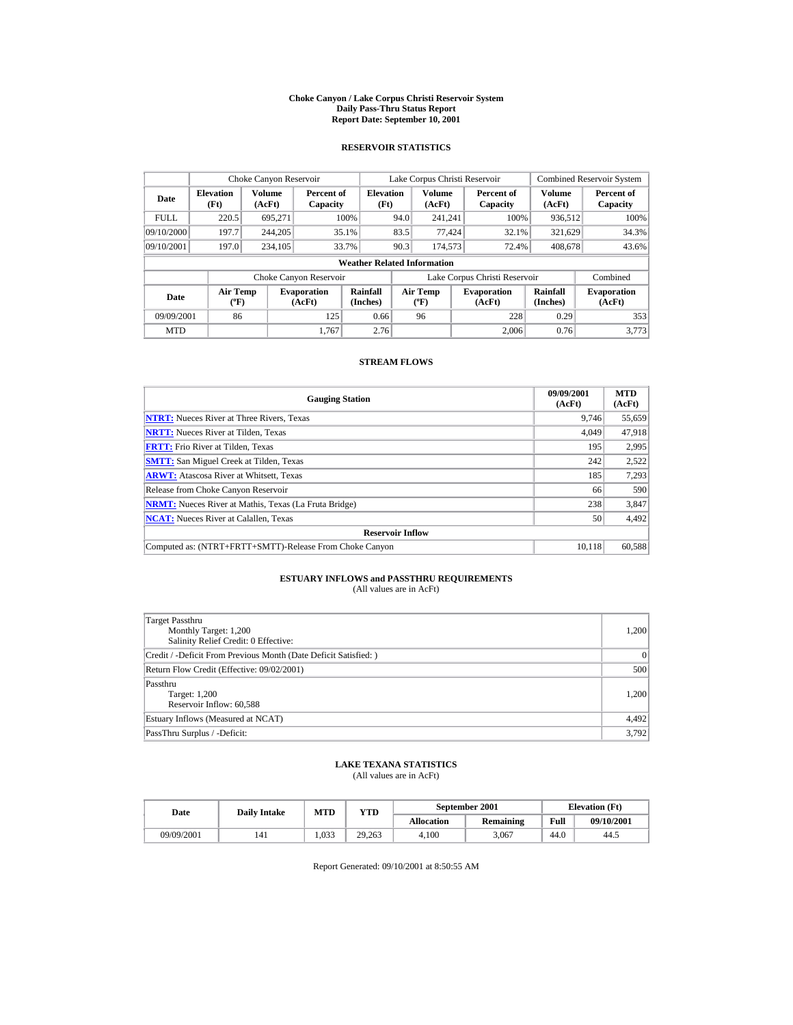#### **Choke Canyon / Lake Corpus Christi Reservoir System Daily Pass-Thru Status Report Report Date: September 10, 2001**

### **RESERVOIR STATISTICS**

|             | Choke Canyon Reservoir                      |                  |                              |                          | Lake Corpus Christi Reservoir |                                          |  |                               |                      | <b>Combined Reservoir System</b> |  |  |
|-------------|---------------------------------------------|------------------|------------------------------|--------------------------|-------------------------------|------------------------------------------|--|-------------------------------|----------------------|----------------------------------|--|--|
| Date        | <b>Elevation</b><br>(Ft)                    | Volume<br>(AcFt) | Percent of<br>Capacity       | <b>Elevation</b><br>(Ft) |                               | <b>Volume</b><br>(AcFt)                  |  | Percent of<br>Capacity        | Volume<br>(AcFt)     | Percent of<br>Capacity           |  |  |
| <b>FULL</b> | 220.5                                       | 695.271          |                              | 100%                     | 94.0                          | 241.241                                  |  | 100%                          | 936,512              | 100%                             |  |  |
| 09/10/2000  | 197.7                                       | 244,205          |                              | 35.1%                    | 83.5                          | 77.424                                   |  | 32.1%                         | 321,629              | 34.3%                            |  |  |
| 09/10/2001  | 197.0                                       | 234,105          |                              | 33.7%                    | 90.3                          | 174,573                                  |  | 72.4%                         | 408,678              | 43.6%                            |  |  |
|             | <b>Weather Related Information</b>          |                  |                              |                          |                               |                                          |  |                               |                      |                                  |  |  |
|             |                                             |                  | Choke Canyon Reservoir       |                          |                               |                                          |  | Lake Corpus Christi Reservoir |                      | Combined                         |  |  |
| Date        | <b>Air Temp</b><br>$({}^{\circ}\mathrm{F})$ |                  | <b>Evaporation</b><br>(AcFt) | Rainfall<br>(Inches)     |                               | <b>Air Temp</b><br>$({}^{\circ}{\rm F})$ |  | <b>Evaporation</b><br>(AcFt)  | Rainfall<br>(Inches) | <b>Evaporation</b><br>(AcFt)     |  |  |
| 09/09/2001  | 86                                          |                  | 125                          | 0.66                     |                               | 96                                       |  | 228                           | 0.29                 | 353                              |  |  |
| <b>MTD</b>  |                                             |                  | 1.767                        | 2.76                     |                               |                                          |  | 2.006                         | 0.76                 | 3.773                            |  |  |

### **STREAM FLOWS**

| <b>Gauging Station</b>                                       | 09/09/2001<br>(AcFt) | <b>MTD</b><br>(AcFt) |
|--------------------------------------------------------------|----------------------|----------------------|
| <b>NTRT:</b> Nueces River at Three Rivers, Texas             | 9,746                | 55,659               |
| <b>NRTT:</b> Nueces River at Tilden, Texas                   | 4,049                | 47,918               |
| <b>FRTT:</b> Frio River at Tilden, Texas                     | 195                  | 2,995                |
| <b>SMTT:</b> San Miguel Creek at Tilden, Texas               | 242                  | 2,522                |
| <b>ARWT:</b> Atascosa River at Whitsett, Texas               | 185                  | 7,293                |
| Release from Choke Canyon Reservoir                          | 66                   | 590                  |
| <b>NRMT:</b> Nueces River at Mathis, Texas (La Fruta Bridge) | 238                  | 3,847                |
| <b>NCAT:</b> Nueces River at Calallen, Texas                 | 50                   | 4,492                |
| <b>Reservoir Inflow</b>                                      |                      |                      |
| Computed as: (NTRT+FRTT+SMTT)-Release From Choke Canyon      | 10.118               | 60,588               |

# **ESTUARY INFLOWS and PASSTHRU REQUIREMENTS**<br>(All values are in AcFt)

| Target Passthru<br>Monthly Target: 1,200<br>Salinity Relief Credit: 0 Effective: | 1,200     |
|----------------------------------------------------------------------------------|-----------|
| Credit / -Deficit From Previous Month (Date Deficit Satisfied:)                  | $\vert$ 0 |
| Return Flow Credit (Effective: 09/02/2001)                                       | 500       |
| Passthru<br>Target: 1,200<br>Reservoir Inflow: 60,588                            | 1,200     |
| Estuary Inflows (Measured at NCAT)                                               | 4,492     |
| PassThru Surplus / -Deficit:                                                     | 3,792     |

## **LAKE TEXANA STATISTICS**

(All values are in AcFt)

| Date |            | MTD<br><b>Daily Intake</b> |              |                   | September 2001 | <b>Elevation</b> (Ft) |            |      |
|------|------------|----------------------------|--------------|-------------------|----------------|-----------------------|------------|------|
|      |            |                            | $_{\rm VTD}$ | <b>Allocation</b> | Remaining      | Full                  | 09/10/2001 |      |
|      | 09/09/2001 | 141                        | .033         | 29.263            | 4.100          | 3.067                 | 44.0       | 44.5 |

Report Generated: 09/10/2001 at 8:50:55 AM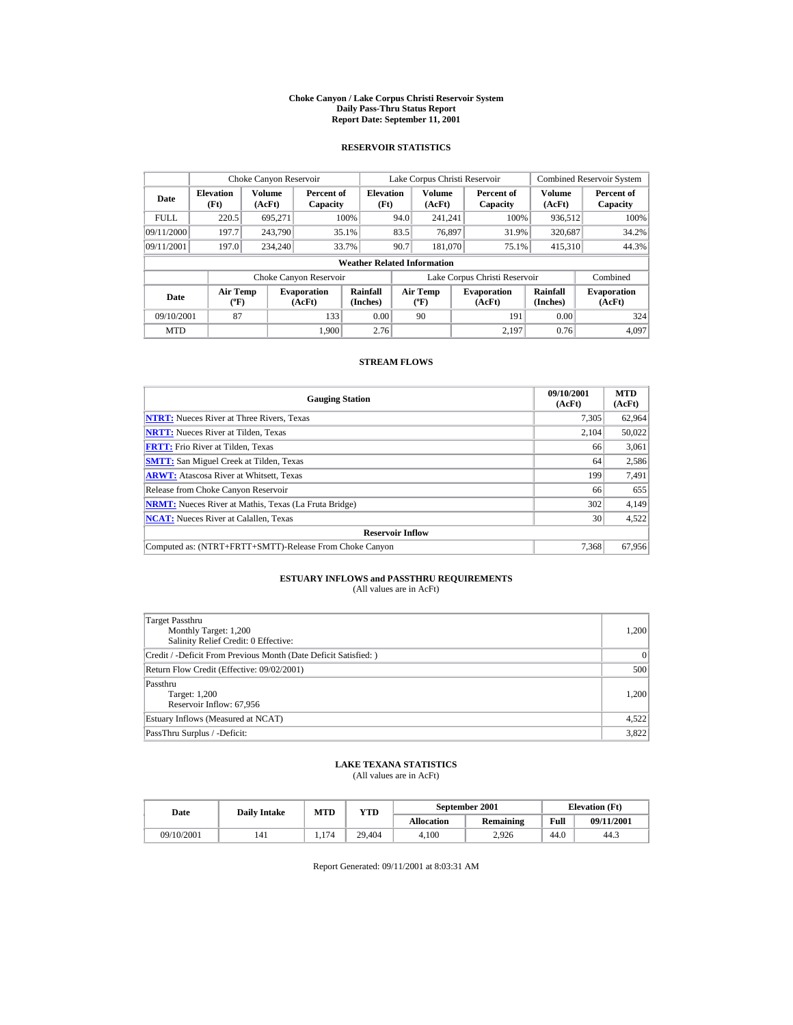#### **Choke Canyon / Lake Corpus Christi Reservoir System Daily Pass-Thru Status Report Report Date: September 11, 2001**

### **RESERVOIR STATISTICS**

|             | Choke Canyon Reservoir                      |                  |                              |                          | Lake Corpus Christi Reservoir |                                          |  |                               |                      | <b>Combined Reservoir System</b> |  |  |
|-------------|---------------------------------------------|------------------|------------------------------|--------------------------|-------------------------------|------------------------------------------|--|-------------------------------|----------------------|----------------------------------|--|--|
| Date        | <b>Elevation</b><br>(Ft)                    | Volume<br>(AcFt) | Percent of<br>Capacity       | <b>Elevation</b><br>(Ft) |                               | <b>Volume</b><br>(AcFt)                  |  | Percent of<br>Capacity        | Volume<br>(AcFt)     | Percent of<br>Capacity           |  |  |
| <b>FULL</b> | 220.5                                       | 695.271          |                              | 100%                     | 94.0                          | 241.241                                  |  | 100%                          | 936.512              | 100%                             |  |  |
| 09/11/2000  | 197.7                                       | 243,790          |                              | 35.1%                    | 83.5                          | 76.897                                   |  | 31.9%                         | 320,687              | 34.2%                            |  |  |
| 09/11/2001  | 197.0                                       | 234,240          |                              | 33.7%                    | 90.7                          | 181,070                                  |  | 75.1%                         | 415,310              | 44.3%                            |  |  |
|             | <b>Weather Related Information</b>          |                  |                              |                          |                               |                                          |  |                               |                      |                                  |  |  |
|             |                                             |                  | Choke Canyon Reservoir       |                          |                               |                                          |  | Lake Corpus Christi Reservoir |                      | Combined                         |  |  |
| Date        | <b>Air Temp</b><br>$({}^{\circ}\mathrm{F})$ |                  | <b>Evaporation</b><br>(AcFt) | Rainfall<br>(Inches)     |                               | <b>Air Temp</b><br>$({}^{\circ}{\rm F})$ |  | <b>Evaporation</b><br>(AcFt)  | Rainfall<br>(Inches) | <b>Evaporation</b><br>(AcFt)     |  |  |
| 09/10/2001  | 87                                          |                  | 133                          | 0.00                     |                               | 90                                       |  | 191                           | 0.00                 | 324                              |  |  |
| <b>MTD</b>  |                                             |                  | 1.900                        | 2.76                     |                               |                                          |  | 2.197                         | 0.76                 | 4.097                            |  |  |

### **STREAM FLOWS**

| <b>Gauging Station</b>                                       | 09/10/2001<br>(AcFt) | <b>MTD</b><br>(AcFt) |
|--------------------------------------------------------------|----------------------|----------------------|
| <b>NTRT:</b> Nueces River at Three Rivers, Texas             | 7,305                | 62,964               |
| <b>NRTT:</b> Nueces River at Tilden, Texas                   | 2,104                | 50,022               |
| <b>FRTT:</b> Frio River at Tilden, Texas                     | 66                   | 3,061                |
| <b>SMTT:</b> San Miguel Creek at Tilden, Texas               | 64                   | 2,586                |
| <b>ARWT:</b> Atascosa River at Whitsett, Texas               | 199                  | 7,491                |
| Release from Choke Canyon Reservoir                          | 66                   | 655                  |
| <b>NRMT:</b> Nueces River at Mathis, Texas (La Fruta Bridge) | 302                  | 4,149                |
| <b>NCAT:</b> Nueces River at Calallen, Texas                 | 30                   | 4,522                |
| <b>Reservoir Inflow</b>                                      |                      |                      |
| Computed as: (NTRT+FRTT+SMTT)-Release From Choke Canyon      | 7.368                | 67,956               |

# **ESTUARY INFLOWS and PASSTHRU REQUIREMENTS**<br>(All values are in AcFt)

| Target Passthru<br>Monthly Target: 1,200<br>Salinity Relief Credit: 0 Effective: | 1,200 |
|----------------------------------------------------------------------------------|-------|
| Credit / -Deficit From Previous Month (Date Deficit Satisfied:)                  | 0     |
| Return Flow Credit (Effective: 09/02/2001)                                       | 500   |
| Passthru<br>Target: 1,200<br>Reservoir Inflow: 67,956                            | 1,200 |
| Estuary Inflows (Measured at NCAT)                                               | 4,522 |
| PassThru Surplus / -Deficit:                                                     | 3,822 |

## **LAKE TEXANA STATISTICS**

(All values are in AcFt)

| Date       | <b>Daily Intake</b> | <b>MTD</b><br>$_{\rm VTD}$ |        |                   | September 2001 | <b>Elevation</b> (Ft) |            |
|------------|---------------------|----------------------------|--------|-------------------|----------------|-----------------------|------------|
|            |                     |                            |        | <b>Allocation</b> | Remaining      | Full                  | 09/11/2001 |
| 09/10/2001 | 141                 | .174                       | 29.404 | 4.100             | 2.926          | 44.0                  | 44.3       |

Report Generated: 09/11/2001 at 8:03:31 AM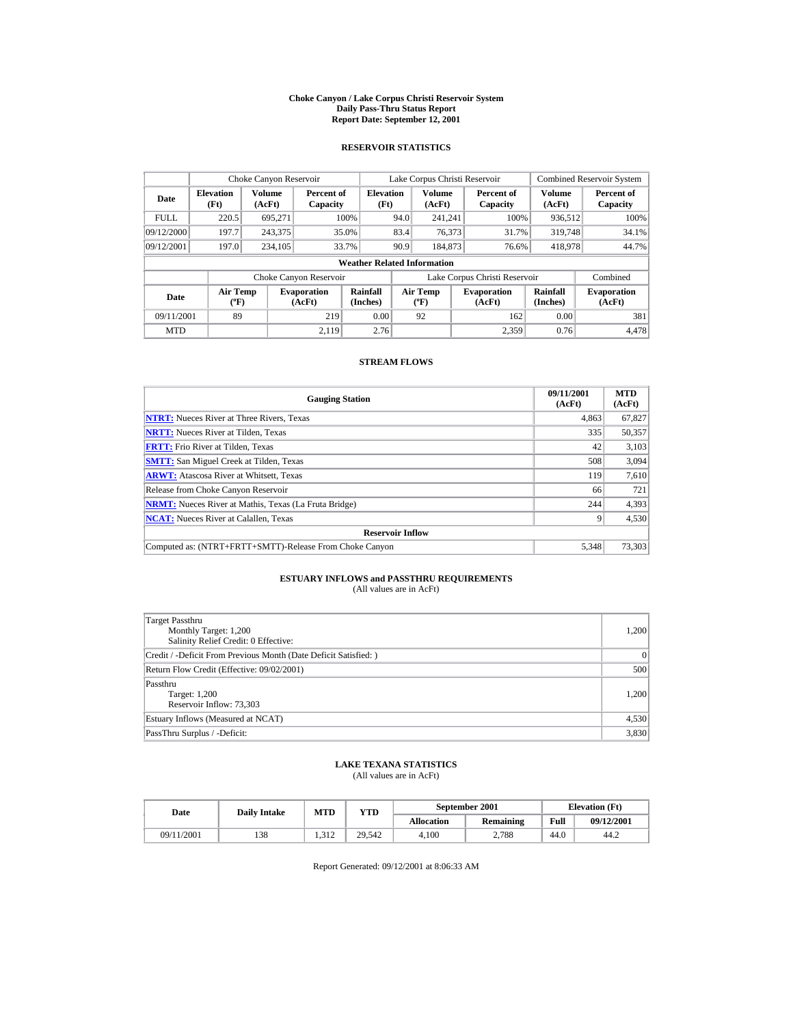#### **Choke Canyon / Lake Corpus Christi Reservoir System Daily Pass-Thru Status Report Report Date: September 12, 2001**

### **RESERVOIR STATISTICS**

|             | Choke Canyon Reservoir                           |                         |                              |                          | Lake Corpus Christi Reservoir |                                          |  |                               |                         | <b>Combined Reservoir System</b> |  |  |
|-------------|--------------------------------------------------|-------------------------|------------------------------|--------------------------|-------------------------------|------------------------------------------|--|-------------------------------|-------------------------|----------------------------------|--|--|
| Date        | <b>Elevation</b><br>(Ft)                         | <b>Volume</b><br>(AcFt) | Percent of<br>Capacity       | <b>Elevation</b><br>(Ft) |                               | <b>Volume</b><br>(AcFt)                  |  | Percent of<br>Capacity        | <b>Volume</b><br>(AcFt) | Percent of<br>Capacity           |  |  |
| <b>FULL</b> | 220.5                                            | 695.271                 |                              | 100%                     | 94.0                          | 241.241                                  |  | 100%                          | 936,512                 | 100%                             |  |  |
| 09/12/2000  | 197.7                                            | 243,375                 |                              | 35.0%                    | 83.4                          | 76,373                                   |  | 31.7%                         | 319,748                 | 34.1%                            |  |  |
| 09/12/2001  | 197.0                                            | 234,105                 |                              | 33.7%                    | 90.9                          | 184,873                                  |  | 76.6%                         | 418,978                 | 44.7%                            |  |  |
|             | <b>Weather Related Information</b>               |                         |                              |                          |                               |                                          |  |                               |                         |                                  |  |  |
|             |                                                  |                         | Choke Canyon Reservoir       |                          |                               |                                          |  | Lake Corpus Christi Reservoir |                         | Combined                         |  |  |
| Date        | <b>Air Temp</b><br>$({}^{\mathrm{o}}\mathbf{F})$ |                         | <b>Evaporation</b><br>(AcFt) | Rainfall<br>(Inches)     |                               | <b>Air Temp</b><br>$({}^{\circ}{\rm F})$ |  | <b>Evaporation</b><br>(AcFt)  | Rainfall<br>(Inches)    | <b>Evaporation</b><br>(AcFt)     |  |  |
| 09/11/2001  | 89                                               |                         | 219                          | 0.00                     |                               | 92                                       |  | 162                           | 0.00                    | 381                              |  |  |
| <b>MTD</b>  |                                                  |                         | 2.119                        | 2.76                     |                               |                                          |  | 2.359                         | 0.76                    | 4.478                            |  |  |

### **STREAM FLOWS**

| <b>Gauging Station</b>                                       | 09/11/2001<br>(AcFt) | <b>MTD</b><br>(AcFt) |
|--------------------------------------------------------------|----------------------|----------------------|
| <b>NTRT:</b> Nueces River at Three Rivers, Texas             | 4,863                | 67,827               |
| <b>NRTT:</b> Nueces River at Tilden, Texas                   | 335                  | 50,357               |
| <b>FRTT:</b> Frio River at Tilden, Texas                     | 42                   | 3,103                |
| <b>SMTT:</b> San Miguel Creek at Tilden, Texas               | 508                  | 3,094                |
| <b>ARWT:</b> Atascosa River at Whitsett, Texas               | 119                  | 7,610                |
| Release from Choke Canyon Reservoir                          | 66                   | 721                  |
| <b>NRMT:</b> Nueces River at Mathis, Texas (La Fruta Bridge) | 244                  | 4,393                |
| <b>NCAT:</b> Nueces River at Calallen, Texas                 |                      | 4,530                |
| <b>Reservoir Inflow</b>                                      |                      |                      |
| Computed as: (NTRT+FRTT+SMTT)-Release From Choke Canyon      | 5.348                | 73,303               |

# **ESTUARY INFLOWS and PASSTHRU REQUIREMENTS**<br>(All values are in AcFt)

| Target Passthru<br>Monthly Target: 1,200<br>Salinity Relief Credit: 0 Effective: | 1,200 |
|----------------------------------------------------------------------------------|-------|
| Credit / -Deficit From Previous Month (Date Deficit Satisfied:)                  | 0     |
| Return Flow Credit (Effective: 09/02/2001)                                       | 500   |
| Passthru<br>Target: 1,200<br>Reservoir Inflow: 73,303                            | 1,200 |
| Estuary Inflows (Measured at NCAT)                                               | 4,530 |
| PassThru Surplus / -Deficit:                                                     | 3,830 |

## **LAKE TEXANA STATISTICS**

(All values are in AcFt)

| Date       | <b>Daily Intake</b> | <b>MTD</b>      | $_{\rm VTD}$ |                   | September 2001 | <b>Elevation</b> (Ft) |            |
|------------|---------------------|-----------------|--------------|-------------------|----------------|-----------------------|------------|
|            |                     |                 |              | <b>Allocation</b> | Remaining      | Full                  | 09/12/2001 |
| 09/11/2001 | 138                 | $-312$<br>1.912 | 29.542       | 4.100             | 2.788          | 44.0                  | 44.2       |

Report Generated: 09/12/2001 at 8:06:33 AM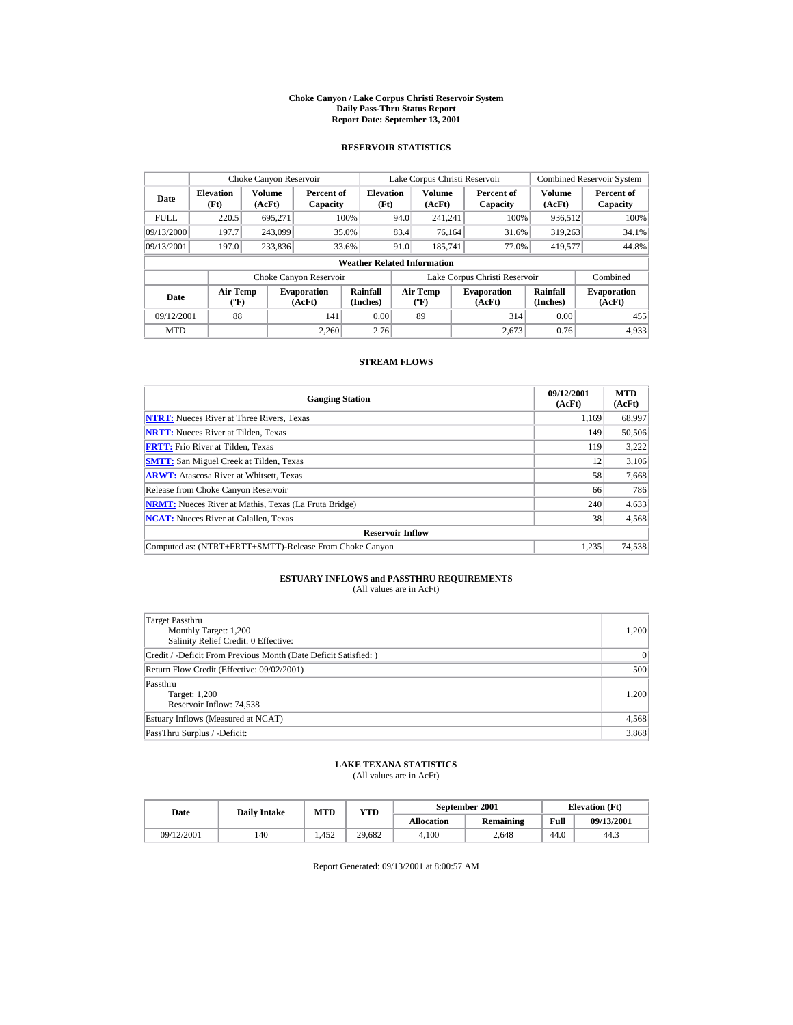#### **Choke Canyon / Lake Corpus Christi Reservoir System Daily Pass-Thru Status Report Report Date: September 13, 2001**

### **RESERVOIR STATISTICS**

| Choke Canyon Reservoir |                                                  |                         |                              |                                    |      | Lake Corpus Christi Reservoir            |                               |                         | <b>Combined Reservoir System</b> |
|------------------------|--------------------------------------------------|-------------------------|------------------------------|------------------------------------|------|------------------------------------------|-------------------------------|-------------------------|----------------------------------|
| Date                   | <b>Elevation</b><br>(Ft)                         | <b>Volume</b><br>(AcFt) | Percent of<br>Capacity       | <b>Elevation</b><br>(Ft)           |      | <b>Volume</b><br>(AcFt)                  | Percent of<br>Capacity        | <b>Volume</b><br>(AcFt) | Percent of<br>Capacity           |
| FULL.                  | 220.5                                            | 695.271                 |                              | 100%                               | 94.0 | 241.241                                  | 100%                          | 936,512                 | 100%                             |
| 09/13/2000             | 197.7                                            | 243,099                 |                              | 35.0%                              | 83.4 | 76.164                                   | 31.6%                         | 319,263                 | 34.1%                            |
| 09/13/2001             | 197.0                                            | 233,836                 |                              | 33.6%                              | 91.0 | 185.741                                  | 77.0%                         | 419,577                 | 44.8%                            |
|                        |                                                  |                         |                              | <b>Weather Related Information</b> |      |                                          |                               |                         |                                  |
|                        |                                                  |                         | Choke Canyon Reservoir       |                                    |      |                                          | Lake Corpus Christi Reservoir |                         | Combined                         |
| Date                   | <b>Air Temp</b><br>$({}^{\mathrm{o}}\mathbf{F})$ |                         | <b>Evaporation</b><br>(AcFt) | Rainfall<br>(Inches)               |      | <b>Air Temp</b><br>$({}^{\circ}{\rm F})$ | <b>Evaporation</b><br>(AcFt)  | Rainfall<br>(Inches)    | <b>Evaporation</b><br>(AcFt)     |
| 09/12/2001             | 88                                               |                         | 141                          | 0.00                               |      | 89                                       | 314                           | 0.00                    | 455                              |
| <b>MTD</b>             |                                                  |                         | 2.260                        | 2.76                               |      |                                          | 2.673                         | 0.76                    | 4.933                            |

### **STREAM FLOWS**

| <b>Gauging Station</b>                                       | 09/12/2001<br>(AcFt) | <b>MTD</b><br>(AcFt) |
|--------------------------------------------------------------|----------------------|----------------------|
| <b>NTRT:</b> Nueces River at Three Rivers, Texas             | 1.169                | 68,997               |
| <b>NRTT:</b> Nueces River at Tilden, Texas                   | 149                  | 50,506               |
| <b>FRTT:</b> Frio River at Tilden, Texas                     | 119                  | 3,222                |
| <b>SMTT:</b> San Miguel Creek at Tilden, Texas               | 12                   | 3,106                |
| <b>ARWT:</b> Atascosa River at Whitsett, Texas               | 58                   | 7,668                |
| Release from Choke Canyon Reservoir                          | 66                   | 786                  |
| <b>NRMT:</b> Nueces River at Mathis, Texas (La Fruta Bridge) | 240                  | 4,633                |
| <b>NCAT:</b> Nueces River at Calallen, Texas                 | 38                   | 4,568                |
| <b>Reservoir Inflow</b>                                      |                      |                      |
| Computed as: (NTRT+FRTT+SMTT)-Release From Choke Canyon      | 1.235                | 74,538               |

# **ESTUARY INFLOWS and PASSTHRU REQUIREMENTS**<br>(All values are in AcFt)

| Target Passthru<br>Monthly Target: 1,200<br>Salinity Relief Credit: 0 Effective: | 1,200     |
|----------------------------------------------------------------------------------|-----------|
| Credit / -Deficit From Previous Month (Date Deficit Satisfied:)                  | $\vert$ 0 |
| Return Flow Credit (Effective: 09/02/2001)                                       | 500       |
| Passthru<br>Target: 1,200<br>Reservoir Inflow: 74,538                            | 1,200     |
| Estuary Inflows (Measured at NCAT)                                               | 4,568     |
| PassThru Surplus / -Deficit:                                                     | 3,868     |

## **LAKE TEXANA STATISTICS**

(All values are in AcFt)

| Date       | <b>Daily Intake</b> |      | September 2001<br>MTD<br>YTD |                   |           |      | <b>Elevation</b> (Ft) |
|------------|---------------------|------|------------------------------|-------------------|-----------|------|-----------------------|
|            |                     |      |                              | <b>Allocation</b> | Remaining | Full | 09/13/2001            |
| 09/12/2001 | 140                 | .452 | 29.682                       | 4.100             | 2.648     | 44.0 | 44.3                  |

Report Generated: 09/13/2001 at 8:00:57 AM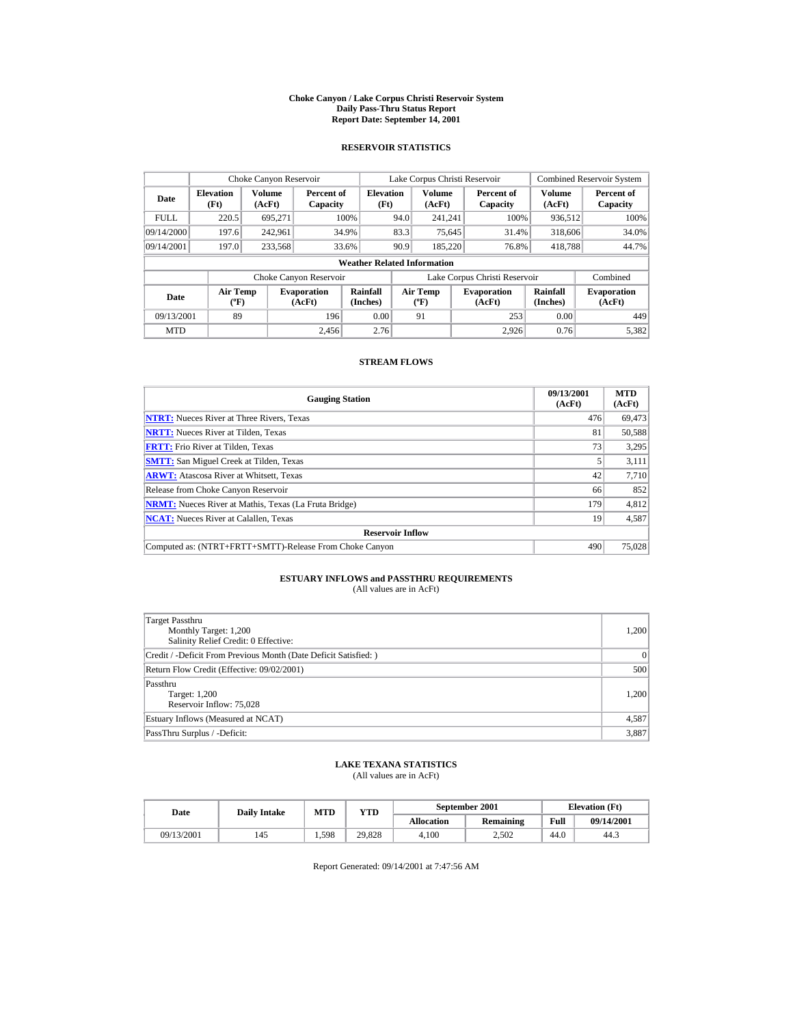#### **Choke Canyon / Lake Corpus Christi Reservoir System Daily Pass-Thru Status Report Report Date: September 14, 2001**

### **RESERVOIR STATISTICS**

| Choke Canyon Reservoir |                                             |                  |                              |                                    |      | Lake Corpus Christi Reservoir            |                               |                      | <b>Combined Reservoir System</b> |
|------------------------|---------------------------------------------|------------------|------------------------------|------------------------------------|------|------------------------------------------|-------------------------------|----------------------|----------------------------------|
| Date                   | <b>Elevation</b><br>(Ft)                    | Volume<br>(AcFt) | Percent of<br>Capacity       | <b>Elevation</b><br>(Ft)           |      | <b>Volume</b><br>(AcFt)                  | Percent of<br>Capacity        | Volume<br>(AcFt)     | Percent of<br>Capacity           |
| <b>FULL</b>            | 220.5                                       | 695.271          |                              | 100%                               | 94.0 | 241.241                                  | 100%                          | 936.512              | 100%                             |
| 09/14/2000             | 197.6                                       | 242.961          |                              | 34.9%                              | 83.3 | 75.645                                   | 31.4%                         | 318,606              | 34.0%                            |
| 09/14/2001             | 197.0                                       | 233,568          |                              | 33.6%                              | 90.9 | 185,220                                  | 76.8%                         | 418,788              | 44.7%                            |
|                        |                                             |                  |                              | <b>Weather Related Information</b> |      |                                          |                               |                      |                                  |
|                        |                                             |                  | Choke Canyon Reservoir       |                                    |      |                                          | Lake Corpus Christi Reservoir |                      | Combined                         |
| Date                   | <b>Air Temp</b><br>$({}^{\circ}\mathrm{F})$ |                  | <b>Evaporation</b><br>(AcFt) | Rainfall<br>(Inches)               |      | <b>Air Temp</b><br>$({}^{\circ}{\rm F})$ | <b>Evaporation</b><br>(AcFt)  | Rainfall<br>(Inches) | <b>Evaporation</b><br>(AcFt)     |
| 09/13/2001             | 89                                          |                  | 196                          | 0.00                               |      | 91                                       | 253                           | 0.00                 | 449                              |
| <b>MTD</b>             |                                             |                  | 2.456                        | 2.76                               |      |                                          | 2.926                         | 0.76                 | 5.382                            |

### **STREAM FLOWS**

| <b>Gauging Station</b>                                       | 09/13/2001<br>(AcFt) | <b>MTD</b><br>(AcFt) |
|--------------------------------------------------------------|----------------------|----------------------|
| <b>NTRT:</b> Nueces River at Three Rivers, Texas             | 476                  | 69,473               |
| <b>NRTT:</b> Nueces River at Tilden, Texas                   | 81                   | 50.588               |
| <b>FRTT:</b> Frio River at Tilden, Texas                     | 73                   | 3,295                |
| <b>SMTT:</b> San Miguel Creek at Tilden, Texas               |                      | 3,111                |
| <b>ARWT:</b> Atascosa River at Whitsett, Texas               | 42                   | 7,710                |
| Release from Choke Canyon Reservoir                          | 66                   | 852                  |
| <b>NRMT:</b> Nueces River at Mathis, Texas (La Fruta Bridge) | 179                  | 4,812                |
| <b>NCAT:</b> Nueces River at Calallen, Texas                 | 19                   | 4,587                |
| <b>Reservoir Inflow</b>                                      |                      |                      |
| Computed as: (NTRT+FRTT+SMTT)-Release From Choke Canyon      | 490                  | 75,028               |

# **ESTUARY INFLOWS and PASSTHRU REQUIREMENTS**<br>(All values are in AcFt)

| Target Passthru<br>Monthly Target: 1,200<br>Salinity Relief Credit: 0 Effective: | 1,200 |
|----------------------------------------------------------------------------------|-------|
| Credit / -Deficit From Previous Month (Date Deficit Satisfied:)                  | 0     |
| Return Flow Credit (Effective: 09/02/2001)                                       | 500   |
| Passthru<br>Target: 1,200<br>Reservoir Inflow: 75,028                            | 1,200 |
| Estuary Inflows (Measured at NCAT)                                               | 4,587 |
| PassThru Surplus / -Deficit:                                                     | 3,887 |

## **LAKE TEXANA STATISTICS**

(All values are in AcFt)

| Date       | <b>Daily Intake</b> |       | September 2001<br><b>MTD</b><br>$_{\rm VTD}$ |                   |           |      | <b>Elevation</b> (Ft) |
|------------|---------------------|-------|----------------------------------------------|-------------------|-----------|------|-----------------------|
|            |                     |       |                                              | <b>Allocation</b> | Remaining | Full | 09/14/2001            |
| 09/13/2001 | 145                 | 1.598 | 29.828                                       | 4.100             | 2.502     | 44.0 | 44.3                  |

Report Generated: 09/14/2001 at 7:47:56 AM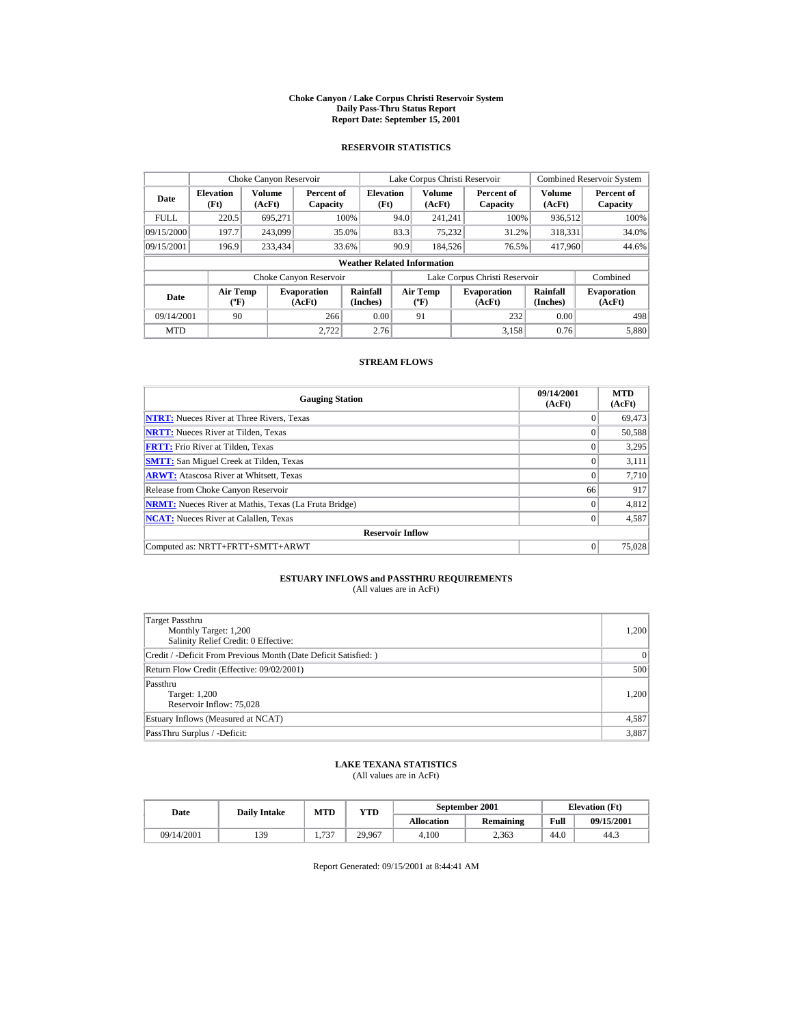#### **Choke Canyon / Lake Corpus Christi Reservoir System Daily Pass-Thru Status Report Report Date: September 15, 2001**

### **RESERVOIR STATISTICS**

|             | Choke Canyon Reservoir           |                  |                              |                                    |      | Lake Corpus Christi Reservoir               |                               |                             | <b>Combined Reservoir System</b> |
|-------------|----------------------------------|------------------|------------------------------|------------------------------------|------|---------------------------------------------|-------------------------------|-----------------------------|----------------------------------|
| Date        | <b>Elevation</b><br>(Ft)         | Volume<br>(AcFt) | Percent of<br>Capacity       | <b>Elevation</b><br>(Ft)           |      | Volume<br>(AcFt)                            | Percent of<br>Capacity        | Volume<br>(AcFt)            | Percent of<br>Capacity           |
| <b>FULL</b> | 220.5                            | 695.271          |                              | 100%                               | 94.0 | 241.241                                     | 100%                          | 936,512                     | 100%                             |
| 09/15/2000  | 197.7                            | 243,099          |                              | 35.0%                              | 83.3 | 75.232                                      | 31.2%                         | 318.331                     | 34.0%                            |
| 09/15/2001  | 196.9                            | 233,434          |                              | 33.6%                              | 90.9 | 184.526                                     | 76.5%                         | 417,960                     | 44.6%                            |
|             |                                  |                  |                              | <b>Weather Related Information</b> |      |                                             |                               |                             |                                  |
|             |                                  |                  | Choke Canyon Reservoir       |                                    |      |                                             | Lake Corpus Christi Reservoir |                             | Combined                         |
| Date        | <b>Air Temp</b><br>$(^{\circ}F)$ |                  | <b>Evaporation</b><br>(AcFt) | Rainfall<br>(Inches)               |      | <b>Air Temp</b><br>$({}^{\circ}\mathbf{F})$ | <b>Evaporation</b><br>(AcFt)  | <b>Rainfall</b><br>(Inches) | <b>Evaporation</b><br>(AcFt)     |
| 09/14/2001  | 90                               |                  | 266                          | 0.00                               |      | 91                                          | 232                           | 0.00                        | 498                              |
| <b>MTD</b>  |                                  |                  | 2.722                        | 2.76                               |      |                                             | 3.158                         | 0.76                        | 5.880                            |

### **STREAM FLOWS**

| <b>Gauging Station</b>                                       | 09/14/2001<br>(AcFt) | <b>MTD</b><br>(AcFt) |
|--------------------------------------------------------------|----------------------|----------------------|
| <b>NTRT:</b> Nueces River at Three Rivers, Texas             | $\theta$             | 69,473               |
| <b>NRTT:</b> Nueces River at Tilden, Texas                   | $\Omega$             | 50,588               |
| <b>FRTT:</b> Frio River at Tilden, Texas                     | $\Omega$             | 3,295                |
| <b>SMTT:</b> San Miguel Creek at Tilden, Texas               | $\Omega$             | 3,111                |
| <b>ARWT:</b> Atascosa River at Whitsett, Texas               | $\Omega$             | 7,710                |
| Release from Choke Canyon Reservoir                          | 66                   | 917                  |
| <b>NRMT:</b> Nueces River at Mathis, Texas (La Fruta Bridge) | $\Omega$             | 4,812                |
| <b>NCAT:</b> Nueces River at Calallen, Texas                 | $\Omega$             | 4,587                |
| <b>Reservoir Inflow</b>                                      |                      |                      |
| Computed as: NRTT+FRTT+SMTT+ARWT                             | $\Omega$             | 75,028               |

# **ESTUARY INFLOWS and PASSTHRU REQUIREMENTS**<br>(All values are in AcFt)

| Target Passthru<br>Monthly Target: 1,200<br>Salinity Relief Credit: 0 Effective: | 1,200 |
|----------------------------------------------------------------------------------|-------|
| Credit / -Deficit From Previous Month (Date Deficit Satisfied:)                  | 0     |
| Return Flow Credit (Effective: 09/02/2001)                                       | 500   |
| Passthru<br>Target: 1,200<br>Reservoir Inflow: 75,028                            | 1,200 |
| Estuary Inflows (Measured at NCAT)                                               | 4,587 |
| PassThru Surplus / -Deficit:                                                     | 3,887 |

## **LAKE TEXANA STATISTICS**

(All values are in AcFt)

| Date       | <b>Daily Intake</b> | MTD         | VTD    |                   | September 2001 |      | <b>Elevation</b> (Ft) |
|------------|---------------------|-------------|--------|-------------------|----------------|------|-----------------------|
|            |                     |             |        | <b>Allocation</b> | Remaining      | Full | 09/15/2001            |
| 09/14/2001 | 139                 | 737<br>1.1J | 29.967 | 4.100             | 2.363          | 44.0 | 44.3                  |

Report Generated: 09/15/2001 at 8:44:41 AM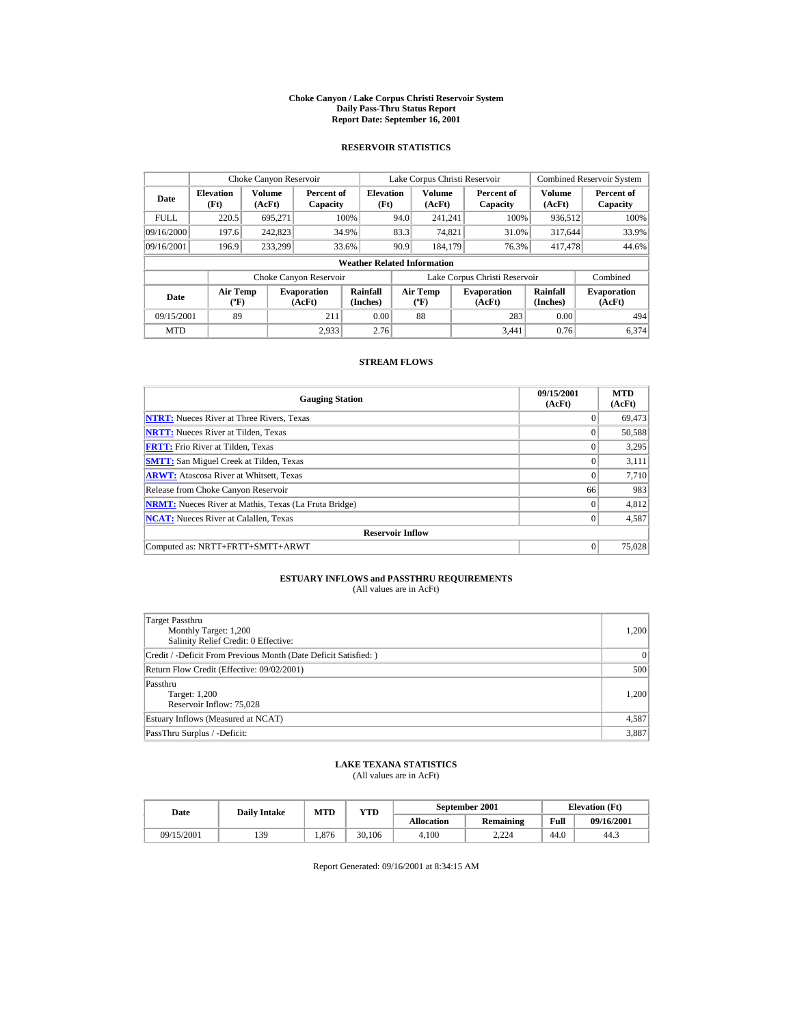#### **Choke Canyon / Lake Corpus Christi Reservoir System Daily Pass-Thru Status Report Report Date: September 16, 2001**

### **RESERVOIR STATISTICS**

|                                                     | Choke Canyon Reservoir   |                              |                        |                                    |                                          | Lake Corpus Christi Reservoir |                               |                              | <b>Combined Reservoir System</b> |
|-----------------------------------------------------|--------------------------|------------------------------|------------------------|------------------------------------|------------------------------------------|-------------------------------|-------------------------------|------------------------------|----------------------------------|
| Date                                                | <b>Elevation</b><br>(Ft) | Volume<br>(AcFt)             | Percent of<br>Capacity | <b>Elevation</b><br>(Ft)           |                                          | <b>Volume</b><br>(AcFt)       | Percent of<br>Capacity        | Volume<br>(AcFt)             | Percent of<br>Capacity           |
| <b>FULL</b>                                         | 220.5                    | 695.271                      |                        | 100%                               | 94.0                                     | 241.241                       | 100%                          | 936,512                      | 100%                             |
| 09/16/2000                                          | 197.6                    | 242,823                      |                        | 34.9%                              | 83.3                                     | 74.821                        | 31.0%                         | 317,644                      | 33.9%                            |
| 09/16/2001                                          | 196.9                    | 233.299                      |                        | 33.6%                              | 90.9                                     | 184,179                       | 76.3%                         | 417,478                      | 44.6%                            |
|                                                     |                          |                              |                        | <b>Weather Related Information</b> |                                          |                               |                               |                              |                                  |
|                                                     |                          |                              | Choke Canyon Reservoir |                                    |                                          |                               | Lake Corpus Christi Reservoir |                              | Combined                         |
| <b>Air Temp</b><br>Date<br>$({}^{\circ}\mathrm{F})$ |                          | <b>Evaporation</b><br>(AcFt) | Rainfall<br>(Inches)   |                                    | <b>Air Temp</b><br>$({}^{\circ}{\rm F})$ | <b>Evaporation</b><br>(AcFt)  | Rainfall<br>(Inches)          | <b>Evaporation</b><br>(AcFt) |                                  |
| 09/15/2001                                          | 89                       |                              | 211                    | 0.00                               |                                          | 88                            | 283                           | 0.00                         | 494                              |
| <b>MTD</b>                                          |                          |                              | 2.933                  | 2.76                               |                                          |                               | 3.441                         | 0.76                         | 6.374                            |

### **STREAM FLOWS**

| <b>Gauging Station</b>                                       | 09/15/2001<br>(AcFt) | <b>MTD</b><br>(AcFt) |
|--------------------------------------------------------------|----------------------|----------------------|
| <b>NTRT:</b> Nueces River at Three Rivers, Texas             | $\theta$             | 69,473               |
| <b>NRTT:</b> Nueces River at Tilden, Texas                   | $\Omega$             | 50,588               |
| <b>FRTT:</b> Frio River at Tilden, Texas                     | $\Omega$             | 3,295                |
| <b>SMTT:</b> San Miguel Creek at Tilden, Texas               | $\Omega$             | 3,111                |
| <b>ARWT:</b> Atascosa River at Whitsett, Texas               | $\Omega$             | 7,710                |
| Release from Choke Canyon Reservoir                          | 66                   | 983                  |
| <b>NRMT:</b> Nueces River at Mathis, Texas (La Fruta Bridge) | $\Omega$             | 4,812                |
| <b>NCAT:</b> Nueces River at Calallen, Texas                 | $\Omega$             | 4,587                |
| <b>Reservoir Inflow</b>                                      |                      |                      |
| Computed as: NRTT+FRTT+SMTT+ARWT                             | $\Omega$             | 75,028               |

# **ESTUARY INFLOWS and PASSTHRU REQUIREMENTS**<br>(All values are in AcFt)

| Target Passthru<br>Monthly Target: 1,200<br>Salinity Relief Credit: 0 Effective: | 1,200     |
|----------------------------------------------------------------------------------|-----------|
| Credit / -Deficit From Previous Month (Date Deficit Satisfied:)                  | $\vert$ 0 |
| Return Flow Credit (Effective: 09/02/2001)                                       | 500       |
| Passthru<br>Target: 1,200<br>Reservoir Inflow: 75,028                            | 1,200     |
| Estuary Inflows (Measured at NCAT)                                               | 4,587     |
| PassThru Surplus / -Deficit:                                                     | 3,887     |

## **LAKE TEXANA STATISTICS**

(All values are in AcFt)

| Date       | <b>Daily Intake</b> | MTD<br>YTD<br><b>Allocation</b> |        | September 2001 | <b>Elevation</b> (Ft) |      |            |
|------------|---------------------|---------------------------------|--------|----------------|-----------------------|------|------------|
|            |                     |                                 |        |                | Remaining             | Full | 09/16/2001 |
| 09/15/2001 | 139                 | .876                            | 30.106 | 4.100          | 2.224                 | 44.0 | 44.3       |

Report Generated: 09/16/2001 at 8:34:15 AM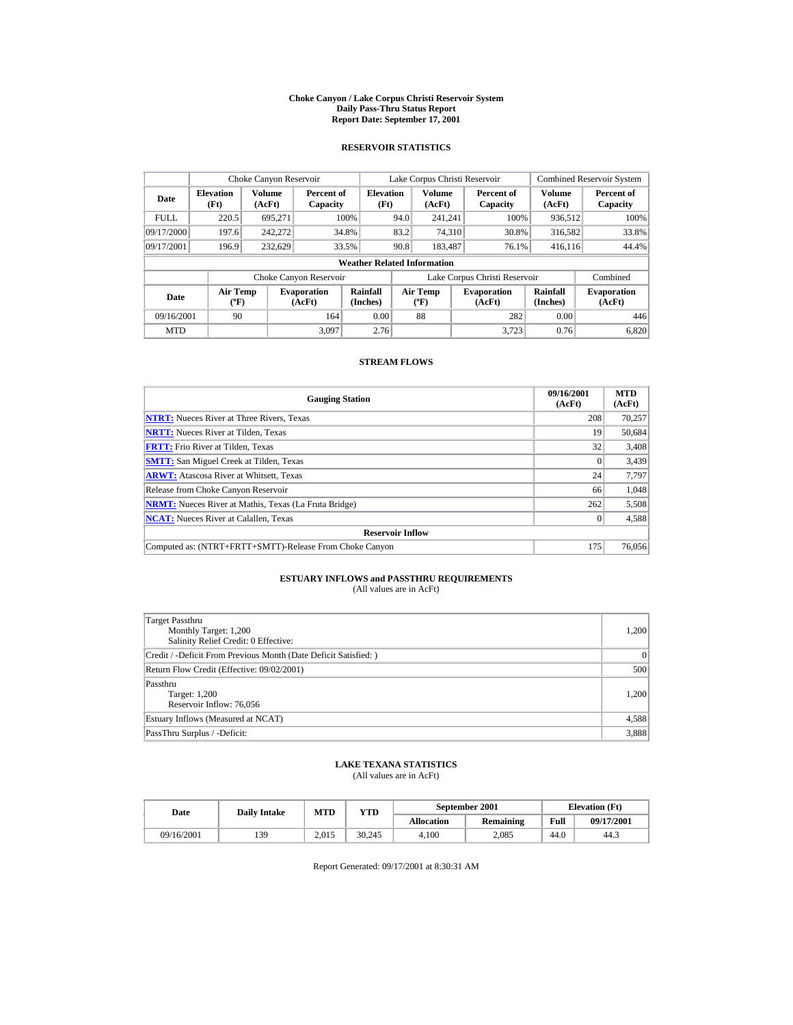#### **Choke Canyon / Lake Corpus Christi Reservoir System Daily Pass-Thru Status Report Report Date: September 17, 2001**

### **RESERVOIR STATISTICS**

|                                                          | Choke Canyon Reservoir   |                         |                              |                                    |      | Lake Corpus Christi Reservoir            |                               |                         | <b>Combined Reservoir System</b> |
|----------------------------------------------------------|--------------------------|-------------------------|------------------------------|------------------------------------|------|------------------------------------------|-------------------------------|-------------------------|----------------------------------|
| Date                                                     | <b>Elevation</b><br>(Ft) | <b>Volume</b><br>(AcFt) | Percent of<br>Capacity       | <b>Elevation</b><br>(Ft)           |      | <b>Volume</b><br>(AcFt)                  | Percent of<br>Capacity        | <b>Volume</b><br>(AcFt) | Percent of<br>Capacity           |
| <b>FULL</b>                                              | 220.5                    | 695.271                 |                              | 100%                               | 94.0 | 241.241                                  | 100%                          | 936,512                 | 100%                             |
| 09/17/2000                                               | 197.6                    | 242.272                 |                              | 34.8%                              | 83.2 | 74,310                                   | 30.8%                         | 316,582                 | 33.8%                            |
| 09/17/2001                                               | 196.9                    | 232,629                 |                              | 33.5%                              | 90.8 | 183.487                                  | 76.1%                         | 416,116                 | 44.4%                            |
|                                                          |                          |                         |                              | <b>Weather Related Information</b> |      |                                          |                               |                         |                                  |
|                                                          |                          |                         | Choke Canyon Reservoir       |                                    |      |                                          | Lake Corpus Christi Reservoir |                         | Combined                         |
| <b>Air Temp</b><br>Date<br>$({}^{\mathrm{o}}\mathbf{F})$ |                          |                         | <b>Evaporation</b><br>(AcFt) | Rainfall<br>(Inches)               |      | <b>Air Temp</b><br>$({}^{\circ}{\rm F})$ | <b>Evaporation</b><br>(AcFt)  | Rainfall<br>(Inches)    | <b>Evaporation</b><br>(AcFt)     |
| 09/16/2001                                               | 90                       |                         | 164                          | 0.00                               |      | 88                                       | 282                           | 0.00                    | 446                              |
| <b>MTD</b>                                               |                          |                         | 3.097                        | 2.76                               |      |                                          | 3.723                         | 0.76                    | 6.820                            |

### **STREAM FLOWS**

| <b>Gauging Station</b>                                       | 09/16/2001<br>(AcFt) | <b>MTD</b><br>(AcFt) |
|--------------------------------------------------------------|----------------------|----------------------|
| <b>NTRT:</b> Nueces River at Three Rivers, Texas             | 208                  | 70,257               |
| <b>NRTT:</b> Nueces River at Tilden, Texas                   | 19                   | 50,684               |
| <b>FRTT:</b> Frio River at Tilden, Texas                     | 32                   | 3,408                |
| <b>SMTT:</b> San Miguel Creek at Tilden, Texas               |                      | 3,439                |
| <b>ARWT:</b> Atascosa River at Whitsett, Texas               | 24                   | 7,797                |
| Release from Choke Canyon Reservoir                          | 66                   | 1.048                |
| <b>NRMT:</b> Nueces River at Mathis, Texas (La Fruta Bridge) | 262                  | 5,508                |
| <b>NCAT:</b> Nueces River at Calallen, Texas                 |                      | 4,588                |
| <b>Reservoir Inflow</b>                                      |                      |                      |
| Computed as: (NTRT+FRTT+SMTT)-Release From Choke Canyon      | 175                  | 76,056               |

# **ESTUARY INFLOWS and PASSTHRU REQUIREMENTS**<br>(All values are in AcFt)

| Target Passthru<br>Monthly Target: 1,200<br>Salinity Relief Credit: 0 Effective: | 1,200 |
|----------------------------------------------------------------------------------|-------|
| Credit / -Deficit From Previous Month (Date Deficit Satisfied:)                  | 0     |
| Return Flow Credit (Effective: 09/02/2001)                                       | 500   |
| Passthru<br>Target: 1,200<br>Reservoir Inflow: 76,056                            | 1,200 |
| Estuary Inflows (Measured at NCAT)                                               | 4,588 |
| PassThru Surplus / -Deficit:                                                     | 3,888 |

## **LAKE TEXANA STATISTICS**

(All values are in AcFt)

| Date       | MTD<br><b>VTD</b><br><b>Daily Intake</b> |       |        | September 2001    | <b>Elevation</b> (Ft) |      |            |
|------------|------------------------------------------|-------|--------|-------------------|-----------------------|------|------------|
|            |                                          |       |        | <b>Allocation</b> | Remaining             | Full | 09/17/2001 |
| 09/16/2001 | 139                                      | 2.015 | 30.245 | 4.100             | 2.085                 | 44.0 | 44.3       |

Report Generated: 09/17/2001 at 8:30:31 AM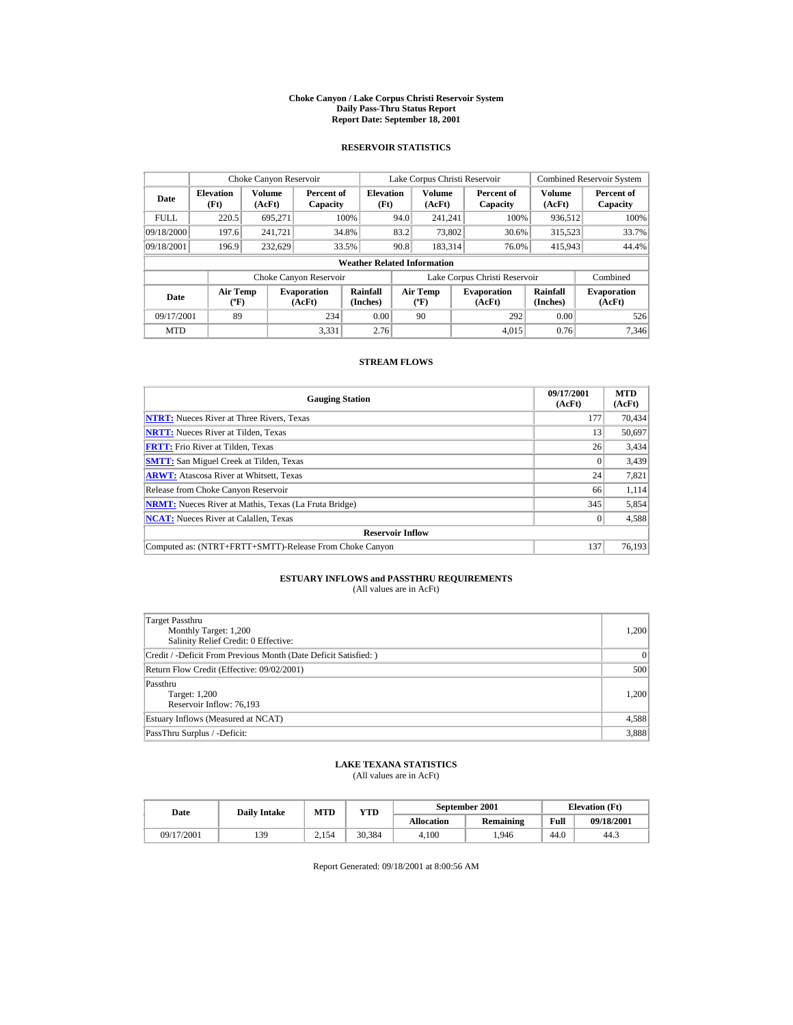#### **Choke Canyon / Lake Corpus Christi Reservoir System Daily Pass-Thru Status Report Report Date: September 18, 2001**

### **RESERVOIR STATISTICS**

|                                                     | Choke Canyon Reservoir   |                  |                              |                                    |      | Lake Corpus Christi Reservoir            |                               |                         | <b>Combined Reservoir System</b> |
|-----------------------------------------------------|--------------------------|------------------|------------------------------|------------------------------------|------|------------------------------------------|-------------------------------|-------------------------|----------------------------------|
| Date                                                | <b>Elevation</b><br>(Ft) | Volume<br>(AcFt) | Percent of<br>Capacity       | <b>Elevation</b><br>(Ft)           |      | <b>Volume</b><br>(AcFt)                  | Percent of<br>Capacity        | <b>Volume</b><br>(AcFt) | Percent of<br>Capacity           |
| <b>FULL</b>                                         | 220.5                    | 695.271          |                              | 100%                               | 94.0 | 241.241                                  | 100%                          | 936,512                 | 100%                             |
| 09/18/2000                                          | 197.6                    | 241.721          |                              | 34.8%                              | 83.2 | 73,802                                   | 30.6%                         | 315,523                 | 33.7%                            |
| 09/18/2001                                          | 196.9                    | 232.629          |                              | 33.5%                              | 90.8 | 183,314                                  | 76.0%                         | 415,943                 | 44.4%                            |
|                                                     |                          |                  |                              | <b>Weather Related Information</b> |      |                                          |                               |                         |                                  |
|                                                     |                          |                  | Choke Canyon Reservoir       |                                    |      |                                          | Lake Corpus Christi Reservoir |                         | Combined                         |
| <b>Air Temp</b><br>Date<br>$({}^{\circ}\mathrm{F})$ |                          |                  | <b>Evaporation</b><br>(AcFt) | Rainfall<br>(Inches)               |      | <b>Air Temp</b><br>$({}^{\circ}{\rm F})$ | <b>Evaporation</b><br>(AcFt)  | Rainfall<br>(Inches)    | <b>Evaporation</b><br>(AcFt)     |
| 09/17/2001                                          | 89                       |                  | 234                          | 0.00                               |      | 90                                       | 292                           | 0.00                    | 526                              |
| <b>MTD</b>                                          |                          |                  | 3.331                        | 2.76                               |      |                                          | 4.015                         | 0.76                    | 7.346                            |

### **STREAM FLOWS**

| <b>Gauging Station</b>                                       | 09/17/2001<br>(AcFt) | <b>MTD</b><br>(AcFt) |
|--------------------------------------------------------------|----------------------|----------------------|
| <b>NTRT:</b> Nueces River at Three Rivers, Texas             | 177                  | 70.434               |
| <b>NRTT:</b> Nueces River at Tilden, Texas                   | 13                   | 50,697               |
| <b>FRTT:</b> Frio River at Tilden, Texas                     | 26                   | 3,434                |
| <b>SMTT:</b> San Miguel Creek at Tilden, Texas               | $\Omega$             | 3,439                |
| <b>ARWT:</b> Atascosa River at Whitsett, Texas               | 24                   | 7,821                |
| Release from Choke Canyon Reservoir                          | 66                   | 1,114                |
| <b>NRMT:</b> Nueces River at Mathis, Texas (La Fruta Bridge) | 345                  | 5,854                |
| <b>NCAT:</b> Nueces River at Calallen, Texas                 |                      | 4,588                |
| <b>Reservoir Inflow</b>                                      |                      |                      |
| Computed as: (NTRT+FRTT+SMTT)-Release From Choke Canyon      | 137                  | 76.193               |

# **ESTUARY INFLOWS and PASSTHRU REQUIREMENTS**<br>(All values are in AcFt)

| Target Passthru<br>Monthly Target: 1,200<br>Salinity Relief Credit: 0 Effective: | 1,200 |
|----------------------------------------------------------------------------------|-------|
| Credit / -Deficit From Previous Month (Date Deficit Satisfied:)                  | 0     |
| Return Flow Credit (Effective: 09/02/2001)                                       | 500   |
| Passthru<br>Target: 1,200<br>Reservoir Inflow: 76,193                            | 1,200 |
| Estuary Inflows (Measured at NCAT)                                               | 4,588 |
| PassThru Surplus / -Deficit:                                                     | 3,888 |

## **LAKE TEXANA STATISTICS**

(All values are in AcFt)

| Date       | <b>Daily Intake</b> | <b>MTD</b> | $_{\rm VTD}$ |                   | September 2001 | <b>Elevation</b> (Ft) |            |
|------------|---------------------|------------|--------------|-------------------|----------------|-----------------------|------------|
|            |                     |            |              | <b>Allocation</b> | Remaining      | Full                  | 09/18/2001 |
| 09/17/2001 | 139                 | 2.154      | 30.384       | 4.100             | .946           | 44.0                  | 44.3       |

Report Generated: 09/18/2001 at 8:00:56 AM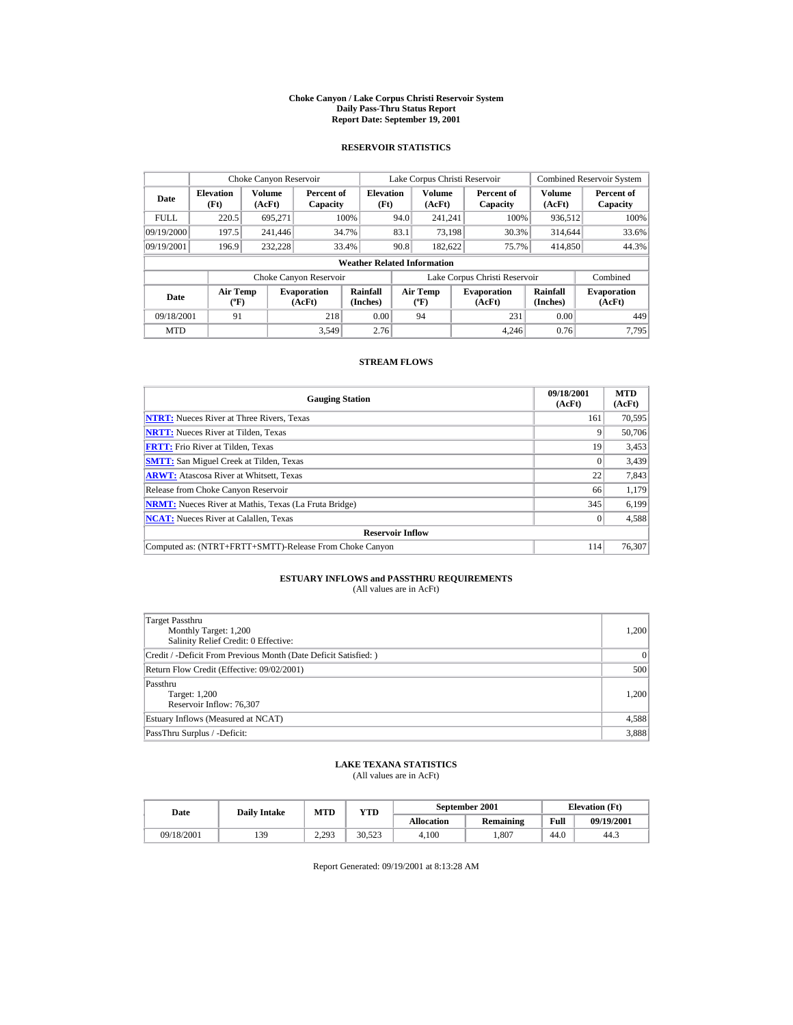#### **Choke Canyon / Lake Corpus Christi Reservoir System Daily Pass-Thru Status Report Report Date: September 19, 2001**

### **RESERVOIR STATISTICS**

|             | Choke Canyon Reservoir                      |                  |                              |                          |      | Lake Corpus Christi Reservoir            |  |                               |                         | <b>Combined Reservoir System</b> |  |  |
|-------------|---------------------------------------------|------------------|------------------------------|--------------------------|------|------------------------------------------|--|-------------------------------|-------------------------|----------------------------------|--|--|
| Date        | <b>Elevation</b><br>(Ft)                    | Volume<br>(AcFt) | Percent of<br>Capacity       | <b>Elevation</b><br>(Ft) |      | <b>Volume</b><br>(AcFt)                  |  | Percent of<br>Capacity        | <b>Volume</b><br>(AcFt) | Percent of<br>Capacity           |  |  |
| <b>FULL</b> | 220.5                                       | 695.271          |                              | 100%                     | 94.0 | 241.241                                  |  | 100%                          | 936,512                 | 100%                             |  |  |
| 09/19/2000  | 197.5                                       | 241,446          |                              | 34.7%                    | 83.1 | 73.198                                   |  | 30.3%                         | 314,644                 | 33.6%                            |  |  |
| 09/19/2001  | 196.9                                       | 232.228          |                              | 33.4%                    | 90.8 | 182,622                                  |  | 75.7%                         | 414,850                 | 44.3%                            |  |  |
|             | <b>Weather Related Information</b>          |                  |                              |                          |      |                                          |  |                               |                         |                                  |  |  |
|             |                                             |                  | Choke Canyon Reservoir       |                          |      |                                          |  | Lake Corpus Christi Reservoir |                         | Combined                         |  |  |
| Date        | <b>Air Temp</b><br>$({}^{\circ}\mathrm{F})$ |                  | <b>Evaporation</b><br>(AcFt) | Rainfall<br>(Inches)     |      | <b>Air Temp</b><br>$({}^{\circ}{\rm F})$ |  | <b>Evaporation</b><br>(AcFt)  | Rainfall<br>(Inches)    | <b>Evaporation</b><br>(AcFt)     |  |  |
| 09/18/2001  | 91                                          |                  | 218                          | 0.00                     |      | 94                                       |  | 231                           | 0.00                    | 449                              |  |  |
| <b>MTD</b>  |                                             |                  | 3.549                        | 2.76                     |      |                                          |  | 4.246                         | 0.76                    | 7.795                            |  |  |

### **STREAM FLOWS**

| <b>Gauging Station</b>                                       | 09/18/2001<br>(AcFt) | <b>MTD</b><br>(AcFt) |
|--------------------------------------------------------------|----------------------|----------------------|
| <b>NTRT:</b> Nueces River at Three Rivers, Texas             | 161                  | 70,595               |
| <b>NRTT:</b> Nueces River at Tilden, Texas                   | 9                    | 50,706               |
| <b>FRTT:</b> Frio River at Tilden, Texas                     | 19                   | 3,453                |
| <b>SMTT:</b> San Miguel Creek at Tilden, Texas               | $\Omega$             | 3,439                |
| <b>ARWT:</b> Atascosa River at Whitsett, Texas               | 22                   | 7,843                |
| Release from Choke Canyon Reservoir                          | 66                   | 1,179                |
| <b>NRMT:</b> Nueces River at Mathis, Texas (La Fruta Bridge) | 345                  | 6.199                |
| <b>NCAT:</b> Nueces River at Calallen, Texas                 |                      | 4,588                |
| <b>Reservoir Inflow</b>                                      |                      |                      |
| Computed as: (NTRT+FRTT+SMTT)-Release From Choke Canyon      | 114                  | 76,307               |

# **ESTUARY INFLOWS and PASSTHRU REQUIREMENTS**<br>(All values are in AcFt)

| Target Passthru<br>Monthly Target: 1,200<br>Salinity Relief Credit: 0 Effective: | 1,200 |
|----------------------------------------------------------------------------------|-------|
| Credit / -Deficit From Previous Month (Date Deficit Satisfied:)                  | 0     |
| Return Flow Credit (Effective: 09/02/2001)                                       | 500   |
| Passthru<br>Target: 1,200<br>Reservoir Inflow: 76,307                            | 1,200 |
| Estuary Inflows (Measured at NCAT)                                               | 4,588 |
| PassThru Surplus / -Deficit:                                                     | 3,888 |

## **LAKE TEXANA STATISTICS**

(All values are in AcFt)

| Date       | <b>Daily Intake</b> | MTD            | VTD    |                   | September 2001 | <b>Elevation</b> (Ft) |            |
|------------|---------------------|----------------|--------|-------------------|----------------|-----------------------|------------|
|            |                     |                |        | <b>Allocation</b> | Remaining      | Full                  | 09/19/2001 |
| 09/18/2001 | 139                 | 2.293<br>ر ريد | 30.523 | 4.100             | .807           | 44.0                  | 44.3       |

Report Generated: 09/19/2001 at 8:13:28 AM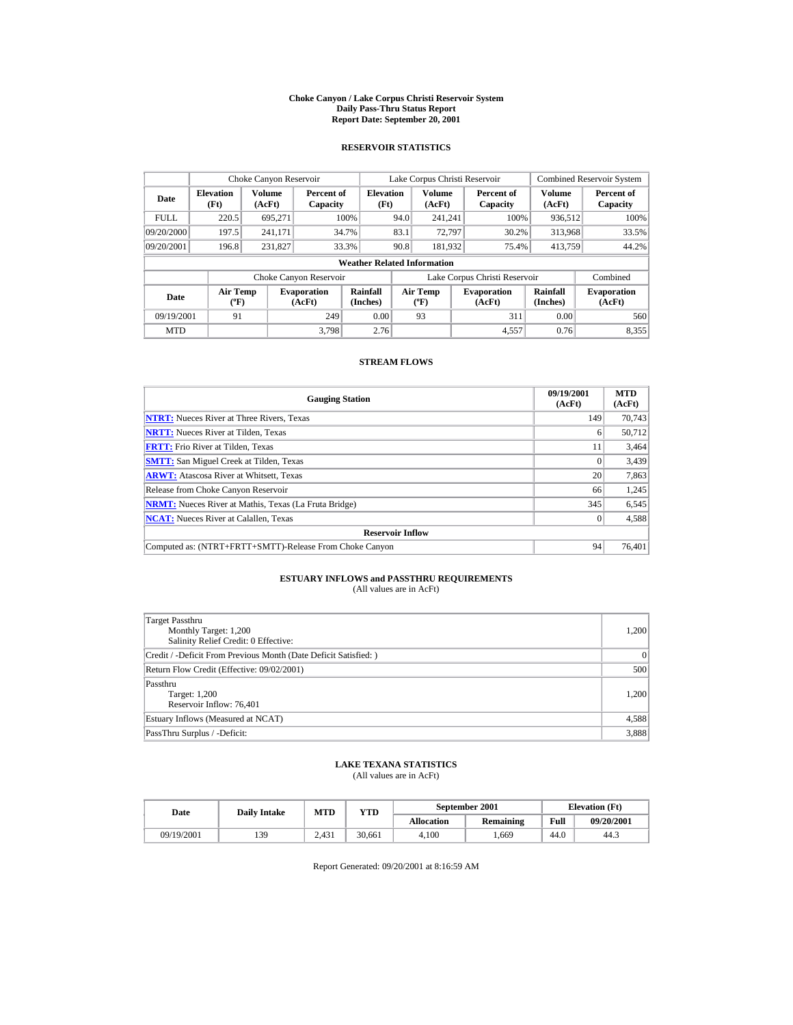#### **Choke Canyon / Lake Corpus Christi Reservoir System Daily Pass-Thru Status Report Report Date: September 20, 2001**

### **RESERVOIR STATISTICS**

|             | Choke Canyon Reservoir                    |                  |                              |                                    |      | Lake Corpus Christi Reservoir     |                               |                         | <b>Combined Reservoir System</b> |
|-------------|-------------------------------------------|------------------|------------------------------|------------------------------------|------|-----------------------------------|-------------------------------|-------------------------|----------------------------------|
| Date        | <b>Elevation</b><br>(Ft)                  | Volume<br>(AcFt) | Percent of<br>Capacity       | <b>Elevation</b><br>(Ft)           |      | <b>Volume</b><br>(AcFt)           | Percent of<br>Capacity        | <b>Volume</b><br>(AcFt) | Percent of<br>Capacity           |
| <b>FULL</b> | 220.5                                     | 695.271          |                              | 100%                               | 94.0 | 241.241                           | 100%                          | 936,512                 | 100%                             |
| 09/20/2000  | 197.5                                     | 241,171          |                              | 34.7%                              | 83.1 | 72.797                            | 30.2%                         | 313,968                 | 33.5%                            |
| 09/20/2001  | 196.8                                     | 231,827          |                              | 33.3%                              | 90.8 | 181,932                           | 75.4%                         | 413,759                 | 44.2%                            |
|             |                                           |                  |                              | <b>Weather Related Information</b> |      |                                   |                               |                         |                                  |
|             |                                           |                  | Choke Canyon Reservoir       |                                    |      |                                   | Lake Corpus Christi Reservoir |                         | Combined                         |
| Date        | Air Temp<br>$({}^{\mathrm{o}}\mathrm{F})$ |                  | <b>Evaporation</b><br>(AcFt) | Rainfall<br>(Inches)               |      | Air Temp<br>$({}^{\circ}{\rm F})$ | <b>Evaporation</b><br>(AcFt)  | Rainfall<br>(Inches)    | <b>Evaporation</b><br>(AcFt)     |
| 09/19/2001  | 91                                        |                  | 249                          | 0.00                               |      | 93                                | 311                           | 0.00                    | 560                              |
| <b>MTD</b>  |                                           |                  | 3.798                        | 2.76                               |      |                                   | 4,557                         | 0.76                    | 8,355                            |

### **STREAM FLOWS**

| <b>Gauging Station</b>                                       | 09/19/2001<br>(AcFt) | <b>MTD</b><br>(AcFt) |
|--------------------------------------------------------------|----------------------|----------------------|
| <b>NTRT:</b> Nueces River at Three Rivers, Texas             | 149                  | 70,743               |
| <b>NRTT:</b> Nueces River at Tilden, Texas                   |                      | 50.712               |
| <b>FRTT:</b> Frio River at Tilden, Texas                     | 11                   | 3,464                |
| <b>SMTT:</b> San Miguel Creek at Tilden, Texas               |                      | 3,439                |
| <b>ARWT:</b> Atascosa River at Whitsett, Texas               | 20                   | 7,863                |
| Release from Choke Canyon Reservoir                          | 66                   | 1,245                |
| <b>NRMT:</b> Nueces River at Mathis, Texas (La Fruta Bridge) | 345                  | 6,545                |
| <b>NCAT:</b> Nueces River at Calallen, Texas                 |                      | 4,588                |
| <b>Reservoir Inflow</b>                                      |                      |                      |
| Computed as: (NTRT+FRTT+SMTT)-Release From Choke Canyon      | 94                   | 76.401               |

# **ESTUARY INFLOWS and PASSTHRU REQUIREMENTS**<br>(All values are in AcFt)

| Target Passthru<br>Monthly Target: 1,200<br>Salinity Relief Credit: 0 Effective: | 1,200     |
|----------------------------------------------------------------------------------|-----------|
| Credit / -Deficit From Previous Month (Date Deficit Satisfied:)                  | $\vert$ 0 |
| Return Flow Credit (Effective: 09/02/2001)                                       | 500       |
| Passthru<br>Target: 1,200<br>Reservoir Inflow: 76,401                            | 1,200     |
| Estuary Inflows (Measured at NCAT)                                               | 4,588     |
| PassThru Surplus / -Deficit:                                                     | 3,888     |

## **LAKE TEXANA STATISTICS**

(All values are in AcFt)

| Date       | MTD<br><b>VTD</b><br><b>Daily Intake</b> |       |        |                   | September 2001 | <b>Elevation</b> (Ft) |            |
|------------|------------------------------------------|-------|--------|-------------------|----------------|-----------------------|------------|
|            |                                          |       |        | <b>Allocation</b> | Remaining      | Full                  | 09/20/2001 |
| 09/19/2001 | 139                                      | 2.431 | 30.661 | 4.100             | .669           | 44.0                  | 44.3       |

Report Generated: 09/20/2001 at 8:16:59 AM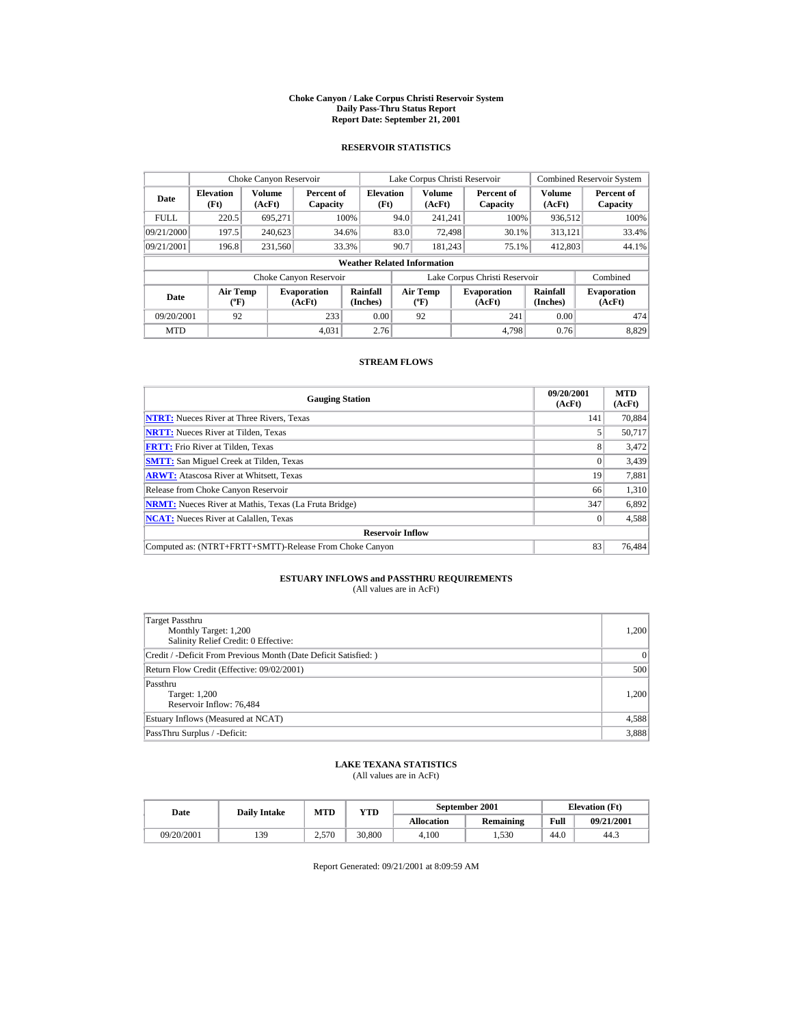#### **Choke Canyon / Lake Corpus Christi Reservoir System Daily Pass-Thru Status Report Report Date: September 21, 2001**

### **RESERVOIR STATISTICS**

|             | Choke Canyon Reservoir                      |                  |                              |                                    |      | Lake Corpus Christi Reservoir            |                               |                      | <b>Combined Reservoir System</b> |
|-------------|---------------------------------------------|------------------|------------------------------|------------------------------------|------|------------------------------------------|-------------------------------|----------------------|----------------------------------|
| Date        | <b>Elevation</b><br>(Ft)                    | Volume<br>(AcFt) | Percent of<br>Capacity       | <b>Elevation</b><br>(Ft)           |      | <b>Volume</b><br>(AcFt)                  | Percent of<br>Capacity        | Volume<br>(AcFt)     | Percent of<br>Capacity           |
| <b>FULL</b> | 220.5                                       | 695.271          |                              | 100%                               | 94.0 | 241.241                                  | 100%                          | 936,512              | 100%                             |
| 09/21/2000  | 197.5                                       | 240.623          |                              | 34.6%                              | 83.0 | 72,498                                   | 30.1%                         | 313,121              | 33.4%                            |
| 09/21/2001  | 196.8                                       | 231,560          |                              | 33.3%                              | 90.7 | 181.243                                  | 75.1%                         | 412,803              | 44.1%                            |
|             |                                             |                  |                              | <b>Weather Related Information</b> |      |                                          |                               |                      |                                  |
|             |                                             |                  | Choke Canyon Reservoir       |                                    |      |                                          | Lake Corpus Christi Reservoir |                      | Combined                         |
| Date        | <b>Air Temp</b><br>$({}^{\circ}\mathrm{F})$ |                  | <b>Evaporation</b><br>(AcFt) | Rainfall<br>(Inches)               |      | <b>Air Temp</b><br>$({}^{\circ}{\rm F})$ | <b>Evaporation</b><br>(AcFt)  | Rainfall<br>(Inches) | <b>Evaporation</b><br>(AcFt)     |
| 09/20/2001  | 92                                          |                  | 233                          | 0.00                               |      | 92                                       | 241                           | 0.00                 | 474                              |
| <b>MTD</b>  |                                             |                  | 4.031                        | 2.76                               |      |                                          | 4.798                         | 0.76                 | 8.829                            |

### **STREAM FLOWS**

| <b>Gauging Station</b>                                       | 09/20/2001<br>(AcFt) | <b>MTD</b><br>(AcFt) |
|--------------------------------------------------------------|----------------------|----------------------|
| <b>NTRT:</b> Nueces River at Three Rivers, Texas             | 141                  | 70.884               |
| <b>NRTT:</b> Nueces River at Tilden, Texas                   |                      | 50,717               |
| <b>FRTT:</b> Frio River at Tilden, Texas                     | 8                    | 3,472                |
| <b>SMTT:</b> San Miguel Creek at Tilden, Texas               |                      | 3,439                |
| <b>ARWT:</b> Atascosa River at Whitsett, Texas               | 19                   | 7,881                |
| Release from Choke Canyon Reservoir                          | 66                   | 1,310                |
| <b>NRMT:</b> Nueces River at Mathis, Texas (La Fruta Bridge) | 347                  | 6,892                |
| <b>NCAT:</b> Nueces River at Calallen, Texas                 |                      | 4,588                |
| <b>Reservoir Inflow</b>                                      |                      |                      |
| Computed as: (NTRT+FRTT+SMTT)-Release From Choke Canyon      | 83                   | 76,484               |

# **ESTUARY INFLOWS and PASSTHRU REQUIREMENTS**<br>(All values are in AcFt)

| Target Passthru<br>Monthly Target: 1,200<br>Salinity Relief Credit: 0 Effective: | 1,200 |
|----------------------------------------------------------------------------------|-------|
| Credit / -Deficit From Previous Month (Date Deficit Satisfied:)                  | 0     |
| Return Flow Credit (Effective: 09/02/2001)                                       | 500   |
| Passthru<br>Target: 1,200<br>Reservoir Inflow: 76,484                            | 1,200 |
| Estuary Inflows (Measured at NCAT)                                               | 4,588 |
| PassThru Surplus / -Deficit:                                                     | 3,888 |

## **LAKE TEXANA STATISTICS**

(All values are in AcFt)

| Date       | <b>Daily Intake</b> | MTD   | VTD    |                   | September 2001 | <b>Elevation</b> (Ft) |            |
|------------|---------------------|-------|--------|-------------------|----------------|-----------------------|------------|
|            |                     |       |        | <b>Allocation</b> | Remaining      | Full                  | 09/21/2001 |
| 09/20/2001 | 139                 | 2.570 | 30,800 | 4.100             | 1.530          | 44.0                  | 44.3       |

Report Generated: 09/21/2001 at 8:09:59 AM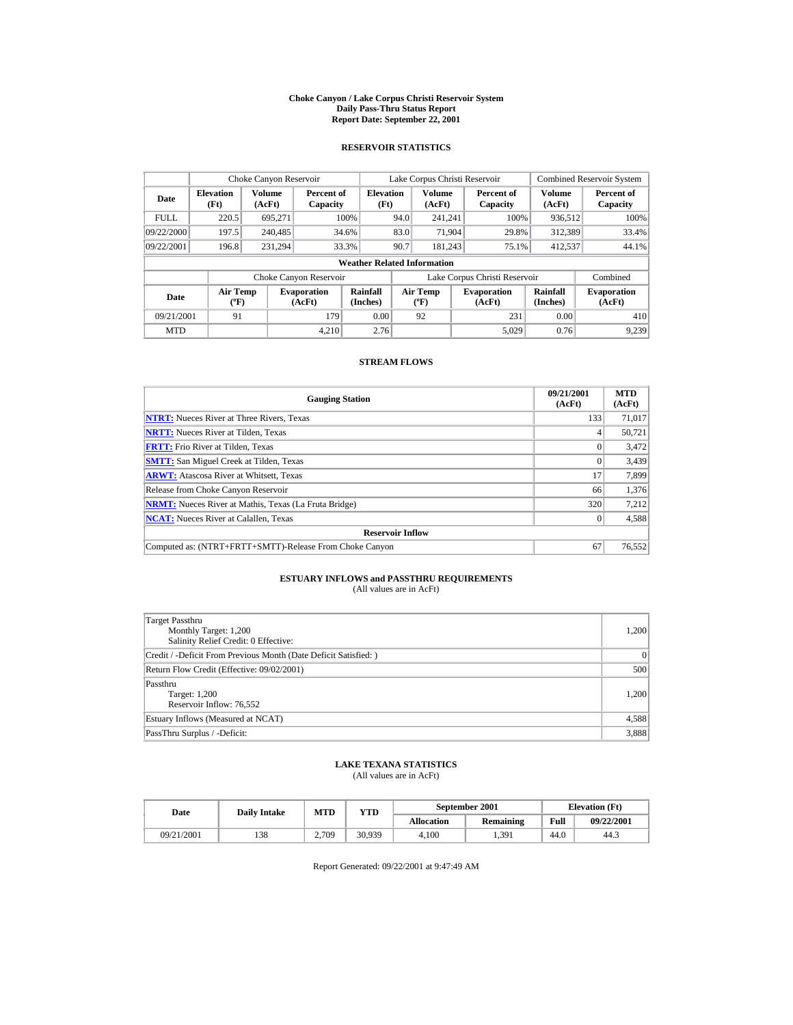#### **Choke Canyon / Lake Corpus Christi Reservoir System Daily Pass-Thru Status Report Report Date: September 22, 2001**

### **RESERVOIR STATISTICS**

|                                                     | Choke Canyon Reservoir   |                  |                              |                                                    |      | Lake Corpus Christi Reservoir            |     |                               |                      | <b>Combined Reservoir System</b> |
|-----------------------------------------------------|--------------------------|------------------|------------------------------|----------------------------------------------------|------|------------------------------------------|-----|-------------------------------|----------------------|----------------------------------|
| Date                                                | <b>Elevation</b><br>(Ft) | Volume<br>(AcFt) |                              | <b>Elevation</b><br>Percent of<br>(Ft)<br>Capacity |      | <b>Volume</b><br>(AcFt)                  |     | Percent of<br>Capacity        | Volume<br>(AcFt)     | Percent of<br>Capacity           |
| <b>FULL</b>                                         | 220.5                    | 695.271          |                              | 100%                                               | 94.0 | 241.241                                  |     | 100%                          | 936.512              | 100%                             |
| 09/22/2000                                          | 197.5                    | 240,485          |                              | 34.6%                                              | 83.0 | 71.904                                   |     | 29.8%                         | 312.389              | 33.4%                            |
| 09/22/2001                                          | 196.8                    | 231.294          |                              | 33.3%                                              | 90.7 | 181.243                                  |     | 75.1%                         | 412,537              | 44.1%                            |
|                                                     |                          |                  |                              | <b>Weather Related Information</b>                 |      |                                          |     |                               |                      |                                  |
|                                                     |                          |                  | Choke Canyon Reservoir       |                                                    |      |                                          |     | Lake Corpus Christi Reservoir |                      | Combined                         |
| <b>Air Temp</b><br>Date<br>$({}^{\circ}\mathrm{F})$ |                          |                  | <b>Evaporation</b><br>(AcFt) | Rainfall<br>(Inches)                               |      | <b>Air Temp</b><br>$({}^{\circ}{\rm F})$ |     | <b>Evaporation</b><br>(AcFt)  | Rainfall<br>(Inches) | <b>Evaporation</b><br>(AcFt)     |
| 09/21/2001<br>91<br>179                             |                          |                  | 0.00                         |                                                    | 92   |                                          | 231 | 0.00                          | 410                  |                                  |
| <b>MTD</b>                                          |                          |                  | 4.210                        | 2.76                                               |      |                                          |     | 5.029                         | 0.76                 | 9.239                            |

### **STREAM FLOWS**

| <b>Gauging Station</b>                                       | 09/21/2001<br>(AcFt) | <b>MTD</b><br>(AcFt) |
|--------------------------------------------------------------|----------------------|----------------------|
| <b>NTRT:</b> Nueces River at Three Rivers, Texas             | 133                  | 71.017               |
| <b>NRTT:</b> Nueces River at Tilden, Texas                   |                      | 50.721               |
| <b>FRTT:</b> Frio River at Tilden, Texas                     |                      | 3,472                |
| <b>SMTT:</b> San Miguel Creek at Tilden, Texas               |                      | 3,439                |
| <b>ARWT:</b> Atascosa River at Whitsett, Texas               | 17                   | 7,899                |
| Release from Choke Canyon Reservoir                          | 66                   | 1,376                |
| <b>NRMT:</b> Nueces River at Mathis, Texas (La Fruta Bridge) | 320                  | 7,212                |
| <b>NCAT:</b> Nueces River at Calallen, Texas                 |                      | 4,588                |
| <b>Reservoir Inflow</b>                                      |                      |                      |
| Computed as: (NTRT+FRTT+SMTT)-Release From Choke Canyon      | 67                   | 76,552               |

# **ESTUARY INFLOWS and PASSTHRU REQUIREMENTS**<br>(All values are in AcFt)

| Target Passthru<br>Monthly Target: 1,200<br>Salinity Relief Credit: 0 Effective: | 1,200     |
|----------------------------------------------------------------------------------|-----------|
| Credit / -Deficit From Previous Month (Date Deficit Satisfied:)                  | $\vert$ 0 |
| Return Flow Credit (Effective: 09/02/2001)                                       | 500       |
| Passthru<br>Target: 1,200<br>Reservoir Inflow: 76,552                            | 1,200     |
| Estuary Inflows (Measured at NCAT)                                               | 4,588     |
| PassThru Surplus / -Deficit:                                                     | 3,888     |

## **LAKE TEXANA STATISTICS**

(All values are in AcFt)

| Date       | <b>Daily Intake</b> | <b>MTD</b> | $_{\rm VTD}$ | September 2001    |           |      | <b>Elevation</b> (Ft) |
|------------|---------------------|------------|--------------|-------------------|-----------|------|-----------------------|
|            |                     |            |              | <b>Allocation</b> | Remaining | Full | 09/22/2001            |
| 09/21/2001 | 138                 | 2.709      | 30.939       | 4.100             | 1.391     | 44.0 | 44.3                  |

Report Generated: 09/22/2001 at 9:47:49 AM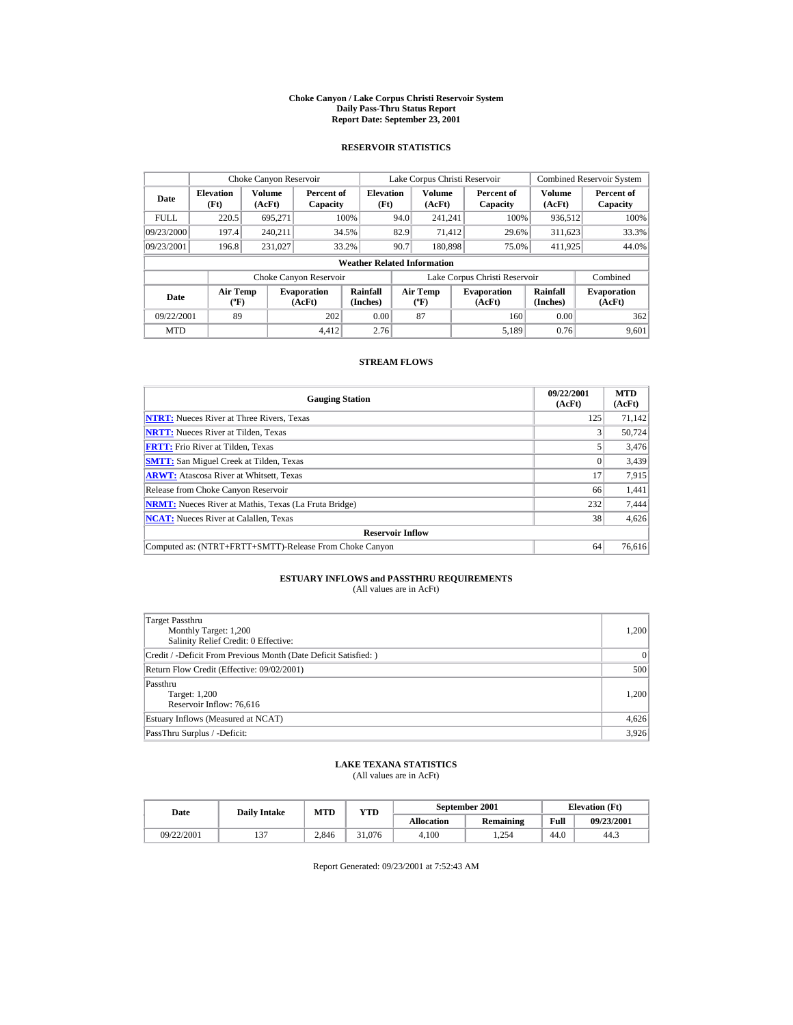#### **Choke Canyon / Lake Corpus Christi Reservoir System Daily Pass-Thru Status Report Report Date: September 23, 2001**

### **RESERVOIR STATISTICS**

|                                                          | Choke Canyon Reservoir   |                         |                              |                                    |      | Lake Corpus Christi Reservoir            |                               |                         | <b>Combined Reservoir System</b> |
|----------------------------------------------------------|--------------------------|-------------------------|------------------------------|------------------------------------|------|------------------------------------------|-------------------------------|-------------------------|----------------------------------|
| Date                                                     | <b>Elevation</b><br>(Ft) | <b>Volume</b><br>(AcFt) | Percent of<br>Capacity       | <b>Elevation</b><br>(Ft)           |      | <b>Volume</b><br>(AcFt)                  | Percent of<br>Capacity        | <b>Volume</b><br>(AcFt) | Percent of<br>Capacity           |
| <b>FULL</b>                                              | 220.5                    | 695.271                 |                              | 100%                               | 94.0 | 241.241                                  | 100%                          | 936,512                 | 100%                             |
| 09/23/2000                                               | 197.4                    | 240.211                 |                              | 34.5%                              | 82.9 | 71.412                                   | 29.6%                         | 311,623                 | 33.3%                            |
| 09/23/2001                                               | 196.8                    | 231.027                 |                              | 33.2%                              | 90.7 | 180,898                                  | 75.0%                         | 411,925                 | 44.0%                            |
|                                                          |                          |                         |                              | <b>Weather Related Information</b> |      |                                          |                               |                         |                                  |
|                                                          |                          |                         | Choke Canyon Reservoir       |                                    |      |                                          | Lake Corpus Christi Reservoir |                         | Combined                         |
| <b>Air Temp</b><br>Date<br>$({}^{\mathrm{o}}\mathbf{F})$ |                          |                         | <b>Evaporation</b><br>(AcFt) | Rainfall<br>(Inches)               |      | <b>Air Temp</b><br>$({}^{\circ}{\rm F})$ | <b>Evaporation</b><br>(AcFt)  | Rainfall<br>(Inches)    | <b>Evaporation</b><br>(AcFt)     |
| 89<br>09/22/2001<br>202                                  |                          | 0.00                    |                              | 87                                 | 160  | 0.00                                     | 362                           |                         |                                  |
| <b>MTD</b>                                               |                          |                         | 4.412                        | 2.76                               |      |                                          | 5.189                         | 0.76                    | 9.601                            |

### **STREAM FLOWS**

| <b>Gauging Station</b>                                       | 09/22/2001<br>(AcFt) | <b>MTD</b><br>(AcFt) |
|--------------------------------------------------------------|----------------------|----------------------|
| <b>NTRT:</b> Nueces River at Three Rivers, Texas             | 125                  | 71.142               |
| <b>NRTT:</b> Nueces River at Tilden, Texas                   |                      | 50.724               |
| <b>FRTT:</b> Frio River at Tilden, Texas                     |                      | 3,476                |
| <b>SMTT:</b> San Miguel Creek at Tilden, Texas               |                      | 3,439                |
| <b>ARWT:</b> Atascosa River at Whitsett, Texas               | 17                   | 7,915                |
| Release from Choke Canyon Reservoir                          | 66                   | 1,441                |
| <b>NRMT:</b> Nueces River at Mathis, Texas (La Fruta Bridge) | 232                  | 7.444                |
| <b>NCAT:</b> Nueces River at Calallen, Texas                 | 38                   | 4,626                |
| <b>Reservoir Inflow</b>                                      |                      |                      |
| Computed as: (NTRT+FRTT+SMTT)-Release From Choke Canyon      | 64                   | 76,616               |

# **ESTUARY INFLOWS and PASSTHRU REQUIREMENTS**<br>(All values are in AcFt)

| Target Passthru<br>Monthly Target: 1,200<br>Salinity Relief Credit: 0 Effective: | 1,200 |
|----------------------------------------------------------------------------------|-------|
| Credit / -Deficit From Previous Month (Date Deficit Satisfied:)                  | 0     |
| Return Flow Credit (Effective: 09/02/2001)                                       | 500   |
| Passthru<br>Target: 1,200<br>Reservoir Inflow: 76,616                            | 1,200 |
| Estuary Inflows (Measured at NCAT)                                               | 4,626 |
| PassThru Surplus / -Deficit:                                                     | 3,926 |

## **LAKE TEXANA STATISTICS**

(All values are in AcFt)

| Date       | <b>Daily Intake</b> | MTD   | $_{\rm VTD}$ |                   | September 2001 | <b>Elevation</b> (Ft) |            |
|------------|---------------------|-------|--------------|-------------------|----------------|-----------------------|------------|
|            |                     |       |              | <b>Allocation</b> | Remaining      | Full                  | 09/23/2001 |
| 09/22/2001 | $\sim$              | 2.846 | 31,076       | 4.100             | . 254          | 44.0                  | 44.3       |

Report Generated: 09/23/2001 at 7:52:43 AM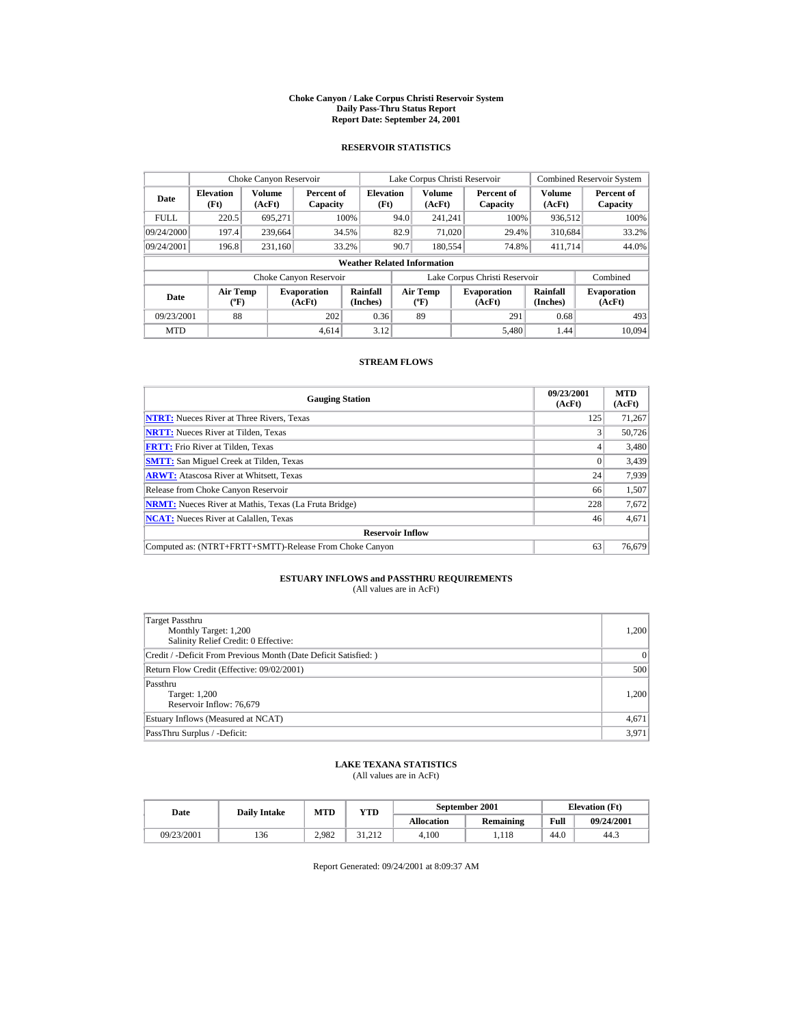#### **Choke Canyon / Lake Corpus Christi Reservoir System Daily Pass-Thru Status Report Report Date: September 24, 2001**

### **RESERVOIR STATISTICS**

|                                                     | Choke Canyon Reservoir   |                              |                        |                                    |                                          | Lake Corpus Christi Reservoir |                               |                              | <b>Combined Reservoir System</b> |
|-----------------------------------------------------|--------------------------|------------------------------|------------------------|------------------------------------|------------------------------------------|-------------------------------|-------------------------------|------------------------------|----------------------------------|
| Date                                                | <b>Elevation</b><br>(Ft) | Volume<br>(AcFt)             | Percent of<br>Capacity | <b>Elevation</b><br>(Ft)           |                                          | <b>Volume</b><br>(AcFt)       | Percent of<br>Capacity        | <b>Volume</b><br>(AcFt)      | Percent of<br>Capacity           |
| <b>FULL</b>                                         | 220.5                    | 695.271                      |                        | 100%                               | 94.0                                     | 241.241                       | 100%                          | 936,512                      | 100%                             |
| 09/24/2000                                          | 197.4                    | 239.664                      |                        | 34.5%                              | 82.9<br>71.020                           |                               | 29.4%                         | 310.684                      | 33.2%                            |
| 09/24/2001                                          | 196.8                    | 231.160                      |                        | 33.2%                              | 90.7                                     | 180,554                       | 74.8%                         | 411,714                      | 44.0%                            |
|                                                     |                          |                              |                        | <b>Weather Related Information</b> |                                          |                               |                               |                              |                                  |
|                                                     |                          |                              | Choke Canyon Reservoir |                                    |                                          |                               | Lake Corpus Christi Reservoir |                              | Combined                         |
| <b>Air Temp</b><br>Date<br>$({}^{\circ}\mathrm{F})$ |                          | <b>Evaporation</b><br>(AcFt) | Rainfall<br>(Inches)   |                                    | <b>Air Temp</b><br>$({}^{\circ}{\rm F})$ | <b>Evaporation</b><br>(AcFt)  | Rainfall<br>(Inches)          | <b>Evaporation</b><br>(AcFt) |                                  |
| 88<br>202<br>09/23/2001                             |                          |                              | 0.36                   |                                    | 89                                       | 291                           | 0.68                          | 493                          |                                  |
| <b>MTD</b>                                          |                          |                              | 4.614                  | 3.12                               |                                          |                               | 5.480                         | 1.44                         | 10.094                           |

### **STREAM FLOWS**

| <b>Gauging Station</b>                                       | 09/23/2001<br>(AcFt) | <b>MTD</b><br>(AcFt) |
|--------------------------------------------------------------|----------------------|----------------------|
| <b>NTRT:</b> Nueces River at Three Rivers, Texas             | 125                  | 71,267               |
| <b>NRTT:</b> Nueces River at Tilden, Texas                   |                      | 50.726               |
| <b>FRTT:</b> Frio River at Tilden, Texas                     |                      | 3,480                |
| <b>SMTT:</b> San Miguel Creek at Tilden, Texas               |                      | 3,439                |
| <b>ARWT:</b> Atascosa River at Whitsett, Texas               | 24                   | 7,939                |
| Release from Choke Canyon Reservoir                          | 66                   | 1,507                |
| <b>NRMT:</b> Nueces River at Mathis, Texas (La Fruta Bridge) | 228                  | 7,672                |
| <b>NCAT:</b> Nueces River at Calallen, Texas                 | 46                   | 4,671                |
| <b>Reservoir Inflow</b>                                      |                      |                      |
| Computed as: (NTRT+FRTT+SMTT)-Release From Choke Canyon      | 63                   | 76,679               |

# **ESTUARY INFLOWS and PASSTHRU REQUIREMENTS**<br>(All values are in AcFt)

| Target Passthru<br>Monthly Target: 1,200<br>Salinity Relief Credit: 0 Effective: | 1,200 |
|----------------------------------------------------------------------------------|-------|
| Credit / -Deficit From Previous Month (Date Deficit Satisfied:)                  | 0     |
| Return Flow Credit (Effective: 09/02/2001)                                       | 500   |
| Passthru<br>Target: 1,200<br>Reservoir Inflow: 76,679                            | 1,200 |
| Estuary Inflows (Measured at NCAT)                                               | 4,671 |
| PassThru Surplus / -Deficit:                                                     | 3,971 |

## **LAKE TEXANA STATISTICS**

(All values are in AcFt)

| Date       | <b>Daily Intake</b> | <b>MTD</b><br>$_{\rm VTD}$ |        |                   | September 2001 | <b>Elevation</b> (Ft) |            |
|------------|---------------------|----------------------------|--------|-------------------|----------------|-----------------------|------------|
|            |                     |                            |        | <b>Allocation</b> | Remaining      | Full                  | 09/24/2001 |
| 09/23/2001 | 136                 | 2.982                      | 31.212 | 4.100             | .118           | 44.0                  | 44.3       |

Report Generated: 09/24/2001 at 8:09:37 AM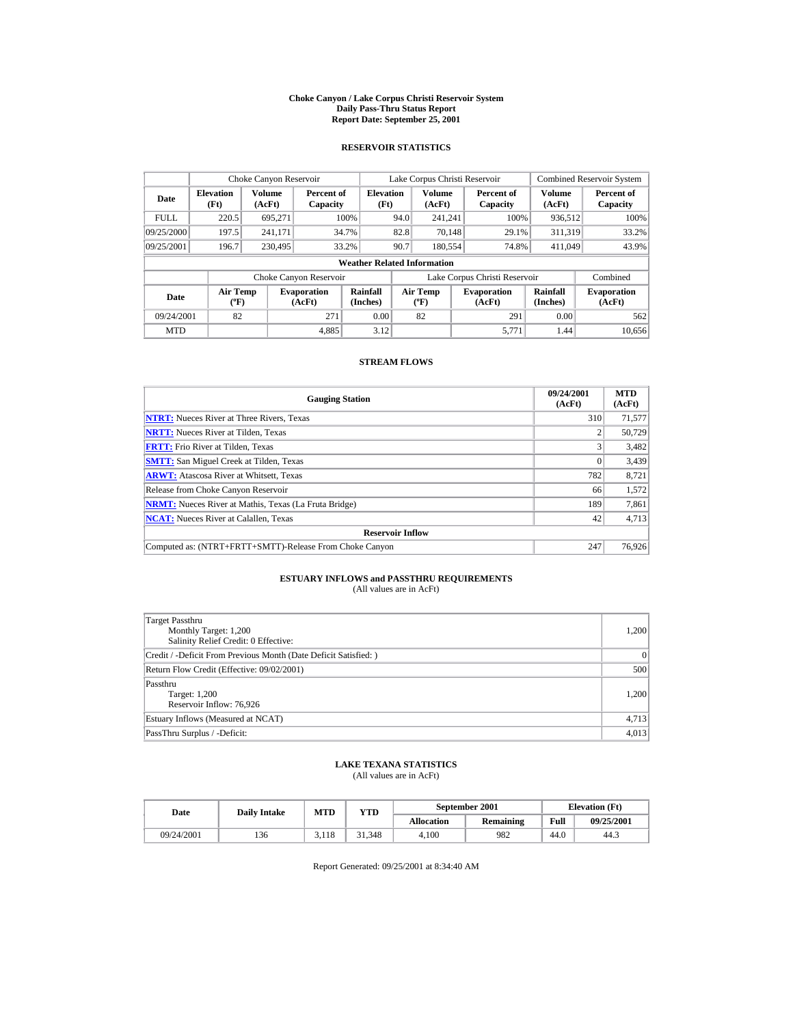#### **Choke Canyon / Lake Corpus Christi Reservoir System Daily Pass-Thru Status Report Report Date: September 25, 2001**

### **RESERVOIR STATISTICS**

|             | Choke Canyon Reservoir                           |                  |                              |                          | Lake Corpus Christi Reservoir |                                           |  |                               |                      | <b>Combined Reservoir System</b> |  |  |
|-------------|--------------------------------------------------|------------------|------------------------------|--------------------------|-------------------------------|-------------------------------------------|--|-------------------------------|----------------------|----------------------------------|--|--|
| Date        | <b>Elevation</b><br>(Ft)                         | Volume<br>(AcFt) | Percent of<br>Capacity       | <b>Elevation</b><br>(Ft) |                               | Volume<br>(AcFt)                          |  | Percent of<br>Capacity        | Volume<br>(AcFt)     | Percent of<br>Capacity           |  |  |
| <b>FULL</b> | 220.5                                            | 695.271          |                              | 100%                     | 94.0                          | 241.241                                   |  | 100%                          | 936,512              | 100%                             |  |  |
| 09/25/2000  | 197.5                                            | 241.171          |                              | 34.7%                    | 82.8                          | 70.148                                    |  | 29.1%                         | 311,319              | 33.2%                            |  |  |
| 09/25/2001  | 196.7                                            | 230,495          |                              | 33.2%                    | 90.7                          | 180,554                                   |  | 74.8%                         | 411.049              | 43.9%                            |  |  |
|             | <b>Weather Related Information</b>               |                  |                              |                          |                               |                                           |  |                               |                      |                                  |  |  |
|             |                                                  |                  | Choke Canyon Reservoir       |                          |                               |                                           |  | Lake Corpus Christi Reservoir |                      | Combined                         |  |  |
| Date        | <b>Air Temp</b><br>$({}^{\mathrm{o}}\mathbf{F})$ |                  | <b>Evaporation</b><br>(AcFt) | Rainfall<br>(Inches)     |                               | Air Temp<br>$({}^{\mathrm{o}}\mathrm{F})$ |  | <b>Evaporation</b><br>(AcFt)  | Rainfall<br>(Inches) | <b>Evaporation</b><br>(AcFt)     |  |  |
| 09/24/2001  | 82                                               |                  | 271                          | 0.00                     |                               | 82                                        |  | 291                           | 0.00                 | 562                              |  |  |
| <b>MTD</b>  |                                                  |                  | 4,885                        | 3.12                     |                               |                                           |  | 5.771                         | 1.44                 | 10.656                           |  |  |

### **STREAM FLOWS**

| <b>Gauging Station</b>                                       | 09/24/2001<br>(AcFt) | <b>MTD</b><br>(AcFt) |
|--------------------------------------------------------------|----------------------|----------------------|
| <b>NTRT:</b> Nueces River at Three Rivers, Texas             | 310                  | 71,577               |
| <b>NRTT:</b> Nueces River at Tilden, Texas                   |                      | 50,729               |
| <b>FRTT:</b> Frio River at Tilden, Texas                     |                      | 3,482                |
| <b>SMTT:</b> San Miguel Creek at Tilden, Texas               | $\Omega$             | 3,439                |
| <b>ARWT:</b> Atascosa River at Whitsett, Texas               | 782                  | 8,721                |
| Release from Choke Canyon Reservoir                          | 66                   | 1,572                |
| <b>NRMT:</b> Nueces River at Mathis, Texas (La Fruta Bridge) | 189                  | 7,861                |
| <b>NCAT:</b> Nueces River at Calallen, Texas                 | 42                   | 4,713                |
| <b>Reservoir Inflow</b>                                      |                      |                      |
| Computed as: (NTRT+FRTT+SMTT)-Release From Choke Canyon      | 247                  | 76,926               |

# **ESTUARY INFLOWS and PASSTHRU REQUIREMENTS**<br>(All values are in AcFt)

| Target Passthru<br>Monthly Target: 1,200<br>Salinity Relief Credit: 0 Effective: | 1,200 |
|----------------------------------------------------------------------------------|-------|
| Credit / -Deficit From Previous Month (Date Deficit Satisfied:)                  | 0     |
| Return Flow Credit (Effective: 09/02/2001)                                       | 500   |
| Passthru<br>Target: 1,200<br>Reservoir Inflow: 76,926                            | 1,200 |
| Estuary Inflows (Measured at NCAT)                                               | 4,713 |
| PassThru Surplus / -Deficit:                                                     | 4,013 |

## **LAKE TEXANA STATISTICS**

(All values are in AcFt)

| Date |            | <b>Daily Intake</b> | <b>MTD</b> | $_{\rm VTD}$ |                   | September 2001 | <b>Elevation</b> (Ft) |            |
|------|------------|---------------------|------------|--------------|-------------------|----------------|-----------------------|------------|
|      |            |                     |            |              | <b>Allocation</b> | Remaining      | Full                  | 09/25/2001 |
|      | 09/24/2001 | 136                 | 3.118      | 31.348       | 4.100             | 982            | 44.0                  | 44.3       |

Report Generated: 09/25/2001 at 8:34:40 AM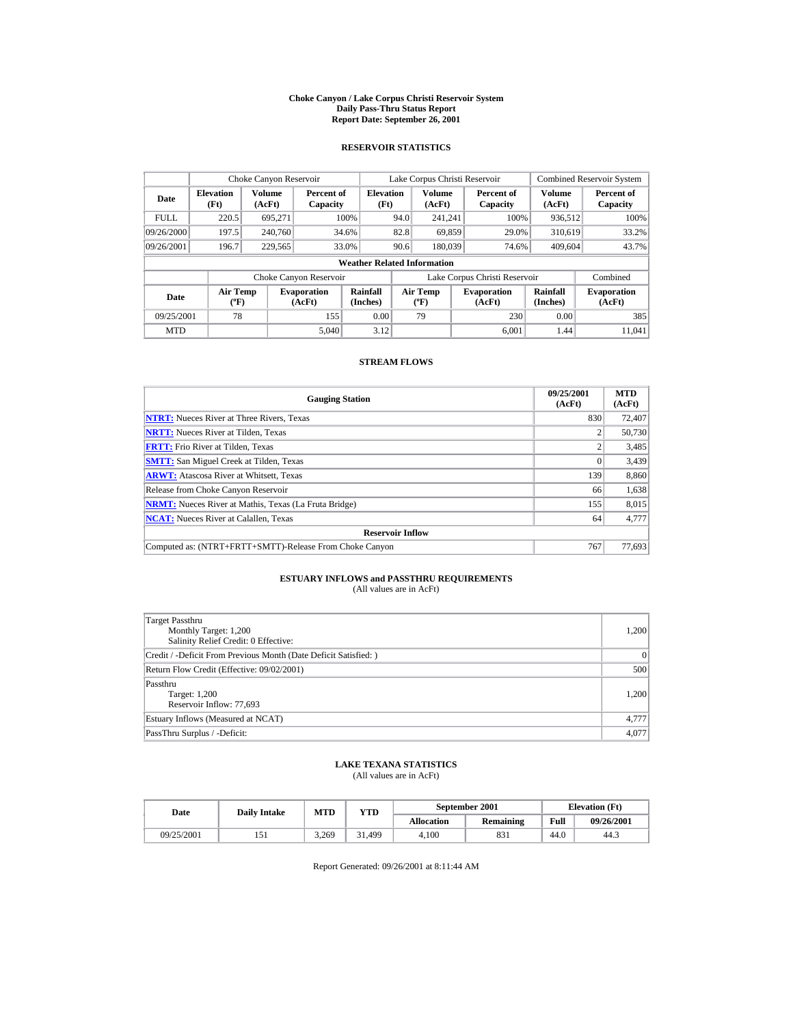#### **Choke Canyon / Lake Corpus Christi Reservoir System Daily Pass-Thru Status Report Report Date: September 26, 2001**

### **RESERVOIR STATISTICS**

|             | Choke Canyon Reservoir                    |                  |                              |                          | Lake Corpus Christi Reservoir |                                   |  |                               |                         | <b>Combined Reservoir System</b> |  |  |
|-------------|-------------------------------------------|------------------|------------------------------|--------------------------|-------------------------------|-----------------------------------|--|-------------------------------|-------------------------|----------------------------------|--|--|
| Date        | <b>Elevation</b><br>(Ft)                  | Volume<br>(AcFt) | Percent of<br>Capacity       | <b>Elevation</b><br>(Ft) |                               | Volume<br>(AcFt)                  |  | Percent of<br>Capacity        | <b>Volume</b><br>(AcFt) | Percent of<br>Capacity           |  |  |
| <b>FULL</b> | 220.5                                     | 695.271          |                              | 100%                     | 94.0                          | 241.241                           |  | 100%                          | 936.512                 | 100%                             |  |  |
| 09/26/2000  | 197.5                                     | 240,760          |                              | 34.6%                    | 82.8                          | 69.859                            |  | 29.0%                         | 310.619                 | 33.2%                            |  |  |
| 09/26/2001  | 196.7                                     | 229,565          |                              | 33.0%                    | 90.6                          | 180,039                           |  | 74.6%                         | 409,604                 | 43.7%                            |  |  |
|             | <b>Weather Related Information</b>        |                  |                              |                          |                               |                                   |  |                               |                         |                                  |  |  |
|             |                                           |                  | Choke Canyon Reservoir       |                          |                               |                                   |  | Lake Corpus Christi Reservoir |                         | Combined                         |  |  |
| Date        | Air Temp<br>$({}^{\mathrm{o}}\mathrm{F})$ |                  | <b>Evaporation</b><br>(AcFt) | Rainfall<br>(Inches)     |                               | Air Temp<br>$({}^{\circ}{\rm F})$ |  | <b>Evaporation</b><br>(AcFt)  | Rainfall<br>(Inches)    | <b>Evaporation</b><br>(AcFt)     |  |  |
| 09/25/2001  | 78                                        |                  | 155                          | 0.00                     |                               | 79                                |  | 230                           | 0.00                    | 385                              |  |  |
| <b>MTD</b>  |                                           |                  | 5.040                        | 3.12                     |                               |                                   |  | 6.001                         | 1.44                    | 11.041                           |  |  |

### **STREAM FLOWS**

| <b>Gauging Station</b>                                       | 09/25/2001<br>(AcFt) | <b>MTD</b><br>(AcFt) |
|--------------------------------------------------------------|----------------------|----------------------|
| <b>NTRT:</b> Nueces River at Three Rivers, Texas             | 830                  | 72,407               |
| <b>NRTT:</b> Nueces River at Tilden, Texas                   |                      | 50,730               |
| <b>FRTT:</b> Frio River at Tilden, Texas                     |                      | 3,485                |
| <b>SMTT:</b> San Miguel Creek at Tilden, Texas               | $\Omega$             | 3,439                |
| <b>ARWT:</b> Atascosa River at Whitsett, Texas               | 139                  | 8,860                |
| Release from Choke Canyon Reservoir                          | 66                   | 1,638                |
| <b>NRMT:</b> Nueces River at Mathis, Texas (La Fruta Bridge) | 155                  | 8,015                |
| <b>NCAT:</b> Nueces River at Calallen, Texas                 | 64                   | 4,777                |
| <b>Reservoir Inflow</b>                                      |                      |                      |
| Computed as: (NTRT+FRTT+SMTT)-Release From Choke Canyon      | 767                  | 77,693               |

# **ESTUARY INFLOWS and PASSTHRU REQUIREMENTS**<br>(All values are in AcFt)

| Target Passthru<br>Monthly Target: 1,200<br>Salinity Relief Credit: 0 Effective: | 1,200 |
|----------------------------------------------------------------------------------|-------|
| Credit / -Deficit From Previous Month (Date Deficit Satisfied:)                  | 0     |
| Return Flow Credit (Effective: 09/02/2001)                                       | 500   |
| Passthru<br>Target: 1,200<br>Reservoir Inflow: 77,693                            | 1,200 |
| Estuary Inflows (Measured at NCAT)                                               | 4,777 |
| PassThru Surplus / -Deficit:                                                     | 4.077 |

## **LAKE TEXANA STATISTICS**

(All values are in AcFt)

| Date       | <b>Daily Intake</b> | <b>MTD</b> | $_{\rm VTD}$ |                   | September 2001 |      | <b>Elevation</b> (Ft) |
|------------|---------------------|------------|--------------|-------------------|----------------|------|-----------------------|
|            |                     |            |              | <b>Allocation</b> | Remaining      | Full | 09/26/2001            |
| 09/25/2001 |                     | 3.269      | 31.499       | 4.100             | 831            | 44.0 | 44.3                  |

Report Generated: 09/26/2001 at 8:11:44 AM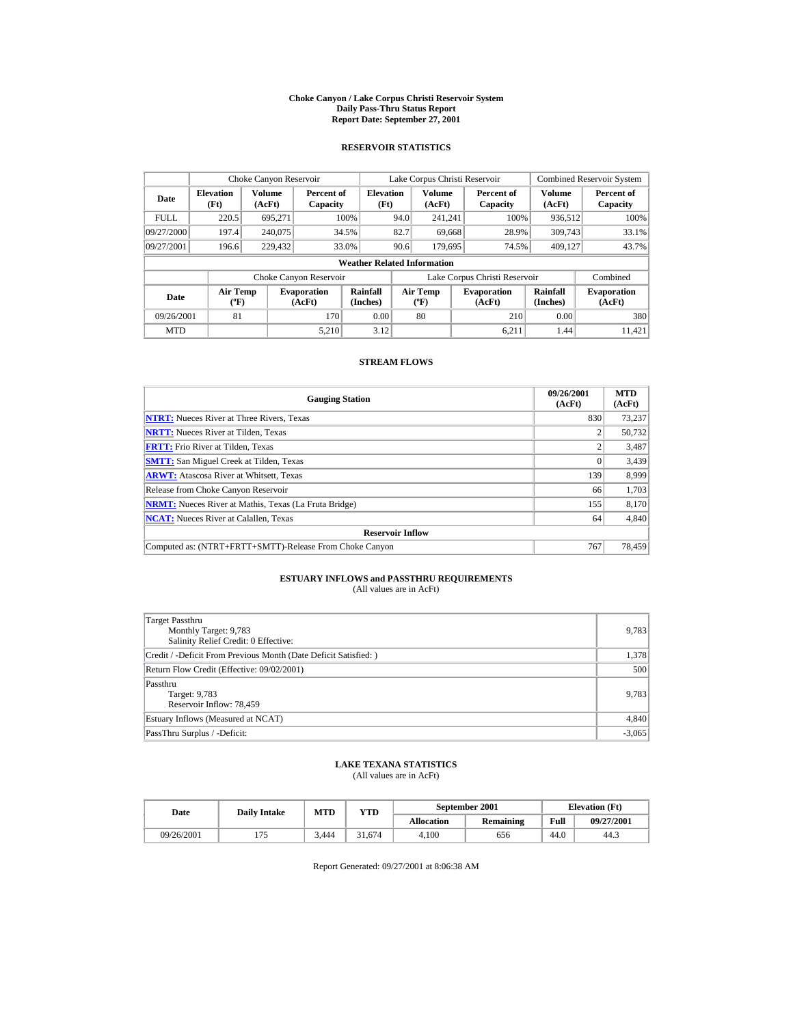#### **Choke Canyon / Lake Corpus Christi Reservoir System Daily Pass-Thru Status Report Report Date: September 27, 2001**

### **RESERVOIR STATISTICS**

|             | Choke Canyon Reservoir                           |                  |                              |                          | Lake Corpus Christi Reservoir |                                           |  |                               |                      | <b>Combined Reservoir System</b> |  |  |
|-------------|--------------------------------------------------|------------------|------------------------------|--------------------------|-------------------------------|-------------------------------------------|--|-------------------------------|----------------------|----------------------------------|--|--|
| Date        | <b>Elevation</b><br>(Ft)                         | Volume<br>(AcFt) | Percent of<br>Capacity       | <b>Elevation</b><br>(Ft) |                               | <b>Volume</b><br>(AcFt)                   |  | Percent of<br>Capacity        | Volume<br>(AcFt)     | Percent of<br>Capacity           |  |  |
| <b>FULL</b> | 220.5                                            | 695.271          |                              | 100%                     | 94.0                          | 241.241                                   |  | 100%                          | 936.512              | 100%                             |  |  |
| 09/27/2000  | 197.4                                            | 240,075          |                              | 34.5%                    | 82.7                          | 69.668                                    |  | 28.9%                         | 309,743              | 33.1%                            |  |  |
| 09/27/2001  | 196.6                                            | 229,432          |                              | 33.0%                    | 90.6                          | 179.695                                   |  | 74.5%                         | 409,127              | 43.7%                            |  |  |
|             | <b>Weather Related Information</b>               |                  |                              |                          |                               |                                           |  |                               |                      |                                  |  |  |
|             |                                                  |                  | Choke Canyon Reservoir       |                          |                               |                                           |  | Lake Corpus Christi Reservoir |                      | Combined                         |  |  |
| Date        | <b>Air Temp</b><br>$({}^{\mathrm{o}}\mathbf{F})$ |                  | <b>Evaporation</b><br>(AcFt) | Rainfall<br>(Inches)     |                               | Air Temp<br>$({}^{\mathrm{o}}\mathrm{F})$ |  | <b>Evaporation</b><br>(AcFt)  | Rainfall<br>(Inches) | <b>Evaporation</b><br>(AcFt)     |  |  |
| 09/26/2001  | 81                                               |                  | 170                          | 0.00                     |                               | 80                                        |  | 210                           | 0.00                 | 380                              |  |  |
| <b>MTD</b>  |                                                  |                  | 5.210                        | 3.12                     |                               |                                           |  | 6.211                         | 1.44                 | 11.421                           |  |  |

### **STREAM FLOWS**

| <b>Gauging Station</b>                                       | 09/26/2001<br>(AcFt) | <b>MTD</b><br>(AcFt) |
|--------------------------------------------------------------|----------------------|----------------------|
| <b>NTRT:</b> Nueces River at Three Rivers, Texas             | 830                  | 73,237               |
| <b>NRTT:</b> Nueces River at Tilden, Texas                   |                      | 50,732               |
| <b>FRTT:</b> Frio River at Tilden, Texas                     |                      | 3,487                |
| <b>SMTT:</b> San Miguel Creek at Tilden, Texas               |                      | 3,439                |
| <b>ARWT:</b> Atascosa River at Whitsett, Texas               | 139                  | 8.999                |
| Release from Choke Canyon Reservoir                          | 66                   | 1,703                |
| <b>NRMT:</b> Nueces River at Mathis, Texas (La Fruta Bridge) | 155                  | 8,170                |
| <b>NCAT:</b> Nueces River at Calallen, Texas                 | 64                   | 4,840                |
| <b>Reservoir Inflow</b>                                      |                      |                      |
| Computed as: (NTRT+FRTT+SMTT)-Release From Choke Canyon      | 767                  | 78.459               |

# **ESTUARY INFLOWS and PASSTHRU REQUIREMENTS**<br>(All values are in AcFt)

| Target Passthru<br>Monthly Target: 9,783<br>Salinity Relief Credit: 0 Effective: | 9,783    |
|----------------------------------------------------------------------------------|----------|
| Credit / -Deficit From Previous Month (Date Deficit Satisfied:)                  | 1,378    |
| Return Flow Credit (Effective: 09/02/2001)                                       | 500      |
| Passthru<br>Target: 9,783<br>Reservoir Inflow: 78,459                            | 9,783    |
| Estuary Inflows (Measured at NCAT)                                               | 4,840    |
| PassThru Surplus / -Deficit:                                                     | $-3,065$ |

## **LAKE TEXANA STATISTICS**

(All values are in AcFt)

| Date       | <b>Daily Intake</b> | <b>MTD</b> | $_{\rm VTD}$ |                   | September 2001 | <b>Elevation</b> (Ft) |            |
|------------|---------------------|------------|--------------|-------------------|----------------|-----------------------|------------|
|            |                     |            |              | <b>Allocation</b> | Remaining      | Full                  | 09/27/2001 |
| 09/26/2001 |                     | 3.444      | 31.674       | 4.100             | 656            | 44.0                  | 44.3       |

Report Generated: 09/27/2001 at 8:06:38 AM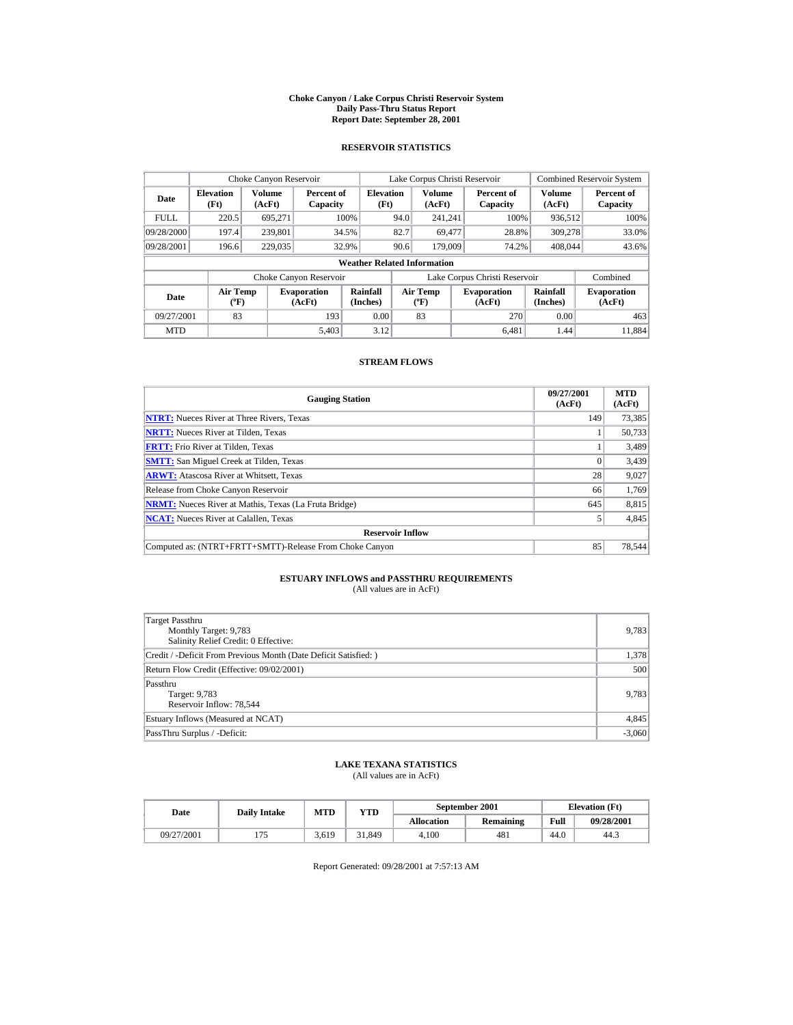#### **Choke Canyon / Lake Corpus Christi Reservoir System Daily Pass-Thru Status Report Report Date: September 28, 2001**

### **RESERVOIR STATISTICS**

|            | Choke Canyon Reservoir                           |                         |                              |                          | Lake Corpus Christi Reservoir |                                                                          |  |                               |                              | <b>Combined Reservoir System</b> |  |  |
|------------|--------------------------------------------------|-------------------------|------------------------------|--------------------------|-------------------------------|--------------------------------------------------------------------------|--|-------------------------------|------------------------------|----------------------------------|--|--|
| Date       | <b>Elevation</b><br>(Ft)                         | <b>Volume</b><br>(AcFt) | Percent of<br>Capacity       | <b>Elevation</b><br>(Ft) |                               | <b>Volume</b><br>(AcFt)                                                  |  | Percent of<br>Capacity        | <b>Volume</b><br>(AcFt)      | Percent of<br>Capacity           |  |  |
| FULL.      | 220.5                                            | 695.271                 |                              | 100%                     | 94.0<br>241.241               |                                                                          |  | 100%                          | 936,512                      | 100%                             |  |  |
| 09/28/2000 | 197.4                                            | 239.801                 |                              | 34.5%                    | 82.7                          | 69.477                                                                   |  | 28.8%                         | 309,278                      | 33.0%                            |  |  |
| 09/28/2001 | 196.6                                            | 229,035                 |                              | 32.9%                    | 90.6                          | 179,009                                                                  |  | 74.2%                         | 408,044                      | 43.6%                            |  |  |
|            | <b>Weather Related Information</b>               |                         |                              |                          |                               |                                                                          |  |                               |                              |                                  |  |  |
|            |                                                  |                         | Choke Canyon Reservoir       |                          |                               |                                                                          |  | Lake Corpus Christi Reservoir |                              | Combined                         |  |  |
| Date       | <b>Air Temp</b><br>$({}^{\mathrm{o}}\mathbf{F})$ |                         | <b>Evaporation</b><br>(AcFt) | Rainfall<br>(Inches)     |                               | <b>Air Temp</b><br><b>Evaporation</b><br>(AcFt)<br>$({}^{\circ}{\rm F})$ |  | Rainfall<br>(Inches)          | <b>Evaporation</b><br>(AcFt) |                                  |  |  |
| 09/27/2001 | 83                                               |                         | 193                          | 0.00                     |                               | 83                                                                       |  | 270                           | 0.00                         | 463                              |  |  |
| <b>MTD</b> |                                                  |                         | 5.403                        | 3.12                     |                               |                                                                          |  | 6.481                         | 1.44                         | 11.884                           |  |  |

### **STREAM FLOWS**

| <b>Gauging Station</b>                                       | 09/27/2001<br>(AcFt) | <b>MTD</b><br>(AcFt) |
|--------------------------------------------------------------|----------------------|----------------------|
| <b>NTRT:</b> Nueces River at Three Rivers, Texas             | 149                  | 73,385               |
| <b>NRTT:</b> Nueces River at Tilden, Texas                   |                      | 50.733               |
| <b>FRTT:</b> Frio River at Tilden, Texas                     |                      | 3,489                |
| <b>SMTT:</b> San Miguel Creek at Tilden, Texas               |                      | 3,439                |
| <b>ARWT:</b> Atascosa River at Whitsett, Texas               | 28                   | 9,027                |
| Release from Choke Canyon Reservoir                          | 66                   | 1,769                |
| <b>NRMT:</b> Nueces River at Mathis, Texas (La Fruta Bridge) | 645                  | 8,815                |
| <b>NCAT:</b> Nueces River at Calallen, Texas                 |                      | 4,845                |
| <b>Reservoir Inflow</b>                                      |                      |                      |
| Computed as: (NTRT+FRTT+SMTT)-Release From Choke Canyon      | 85                   | 78,544               |

# **ESTUARY INFLOWS and PASSTHRU REQUIREMENTS**<br>(All values are in AcFt)

| Target Passthru<br>Monthly Target: 9,783<br>Salinity Relief Credit: 0 Effective: | 9,783    |
|----------------------------------------------------------------------------------|----------|
| Credit / -Deficit From Previous Month (Date Deficit Satisfied:)                  | 1,378    |
| Return Flow Credit (Effective: 09/02/2001)                                       | 500      |
| Passthru<br>Target: 9,783<br>Reservoir Inflow: 78,544                            | 9,783    |
| Estuary Inflows (Measured at NCAT)                                               | 4,845    |
| PassThru Surplus / -Deficit:                                                     | $-3,060$ |

## **LAKE TEXANA STATISTICS**

(All values are in AcFt)

| Date       | <b>Daily Intake</b> | MTD   | YTD    |                   | September 2001   |      | <b>Elevation</b> (Ft) |
|------------|---------------------|-------|--------|-------------------|------------------|------|-----------------------|
|            |                     |       |        | <b>Allocation</b> | <b>Remaining</b> | Full | 09/28/2001            |
| 09/27/2001 |                     | 3.619 | 31.849 | 4.100             | 481              | 44.0 | 44.3                  |

Report Generated: 09/28/2001 at 7:57:13 AM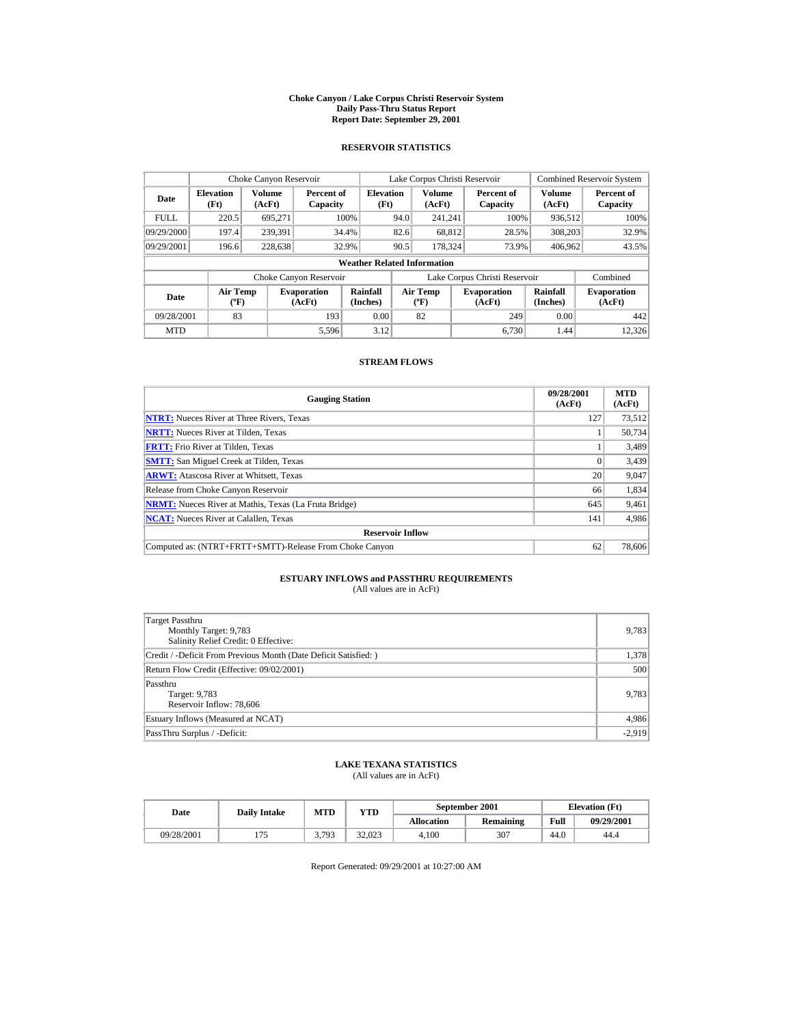#### **Choke Canyon / Lake Corpus Christi Reservoir System Daily Pass-Thru Status Report Report Date: September 29, 2001**

### **RESERVOIR STATISTICS**

|             | Choke Canyon Reservoir                           |                  |                              |                          | Lake Corpus Christi Reservoir |                                           |  |                               |                      | <b>Combined Reservoir System</b> |  |  |
|-------------|--------------------------------------------------|------------------|------------------------------|--------------------------|-------------------------------|-------------------------------------------|--|-------------------------------|----------------------|----------------------------------|--|--|
| Date        | <b>Elevation</b><br>(Ft)                         | Volume<br>(AcFt) | Percent of<br>Capacity       | <b>Elevation</b><br>(Ft) |                               | Volume<br>(AcFt)                          |  | Percent of<br>Capacity        | Volume<br>(AcFt)     | Percent of<br>Capacity           |  |  |
| <b>FULL</b> | 220.5                                            | 695.271          |                              | 100%                     | 94.0                          | 241.241                                   |  | 100%                          | 936.512              | 100%                             |  |  |
| 09/29/2000  | 197.4                                            | 239.391          |                              | 34.4%                    | 82.6                          | 68.812                                    |  | 28.5%                         | 308,203              | 32.9%                            |  |  |
| 09/29/2001  | 196.6                                            | 228,638          |                              | 32.9%                    | 90.5                          | 178.324                                   |  | 73.9%                         | 406,962              | 43.5%                            |  |  |
|             | <b>Weather Related Information</b>               |                  |                              |                          |                               |                                           |  |                               |                      |                                  |  |  |
|             |                                                  |                  | Choke Canyon Reservoir       |                          |                               |                                           |  | Lake Corpus Christi Reservoir |                      | Combined                         |  |  |
| Date        | <b>Air Temp</b><br>$({}^{\mathrm{o}}\mathbf{F})$ |                  | <b>Evaporation</b><br>(AcFt) | Rainfall<br>(Inches)     |                               | Air Temp<br>$({}^{\mathrm{o}}\mathrm{F})$ |  | <b>Evaporation</b><br>(AcFt)  | Rainfall<br>(Inches) | <b>Evaporation</b><br>(AcFt)     |  |  |
| 09/28/2001  | 83                                               |                  | 193                          | 0.00                     |                               | 82                                        |  | 249                           | 0.00                 | 442                              |  |  |
| <b>MTD</b>  |                                                  |                  | 5,596                        | 3.12                     |                               |                                           |  | 6.730                         | 1.44                 | 12.326                           |  |  |

### **STREAM FLOWS**

| <b>Gauging Station</b>                                       | 09/28/2001<br>(AcFt) | <b>MTD</b><br>(AcFt) |
|--------------------------------------------------------------|----------------------|----------------------|
| <b>NTRT:</b> Nueces River at Three Rivers, Texas             | 127                  | 73,512               |
| <b>NRTT:</b> Nueces River at Tilden, Texas                   |                      | 50,734               |
| <b>FRTT:</b> Frio River at Tilden, Texas                     |                      | 3,489                |
| <b>SMTT:</b> San Miguel Creek at Tilden, Texas               |                      | 3,439                |
| <b>ARWT:</b> Atascosa River at Whitsett, Texas               | 20                   | 9,047                |
| Release from Choke Canyon Reservoir                          | 66                   | 1,834                |
| <b>NRMT:</b> Nueces River at Mathis, Texas (La Fruta Bridge) | 645                  | 9,461                |
| <b>NCAT:</b> Nueces River at Calallen, Texas                 | 141                  | 4,986                |
| <b>Reservoir Inflow</b>                                      |                      |                      |
| Computed as: (NTRT+FRTT+SMTT)-Release From Choke Canyon      | 62                   | 78,606               |

# **ESTUARY INFLOWS and PASSTHRU REQUIREMENTS**<br>(All values are in AcFt)

| Target Passthru<br>Monthly Target: 9,783<br>Salinity Relief Credit: 0 Effective: | 9,783    |
|----------------------------------------------------------------------------------|----------|
| Credit / -Deficit From Previous Month (Date Deficit Satisfied:)                  | 1,378    |
| Return Flow Credit (Effective: 09/02/2001)                                       | 500      |
| Passthru<br>Target: 9,783<br>Reservoir Inflow: 78,606                            | 9,783    |
| Estuary Inflows (Measured at NCAT)                                               | 4,986    |
| PassThru Surplus / -Deficit:                                                     | $-2,919$ |

## **LAKE TEXANA STATISTICS**

(All values are in AcFt)

| Date       | <b>Daily Intake</b> | <b>MTD</b> | YTD    |                   | September 2001   | <b>Elevation</b> (Ft) |            |
|------------|---------------------|------------|--------|-------------------|------------------|-----------------------|------------|
|            |                     |            |        | <b>Allocation</b> | <b>Remaining</b> | Full                  | 09/29/2001 |
| 09/28/2001 |                     | 3703       | 32,023 | 4.100             | 307              | 44.0                  | 44.4       |

Report Generated: 09/29/2001 at 10:27:00 AM